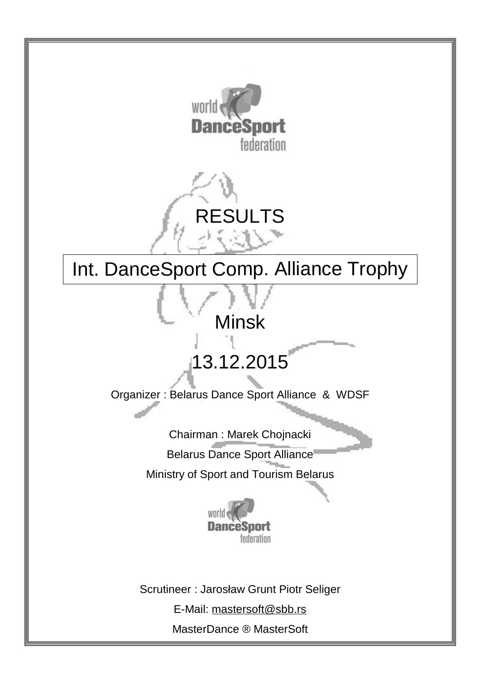



# Int. DanceSport Comp. Alliance Trophy

# Minsk

# 13.12.2015

Organizer : Belarus Dance Sport Alliance & WDSF

Chairman : Marek Chojnacki

Belarus Dance Sport Alliance

Ministry of Sport and Tourism Belarus



Scrutineer : Jarosław Grunt Piotr Seliger

E-Mail: [mastersoft@sbb.rs](mailto:mastersoft@sbb.rs)

MasterDance ® MasterSoft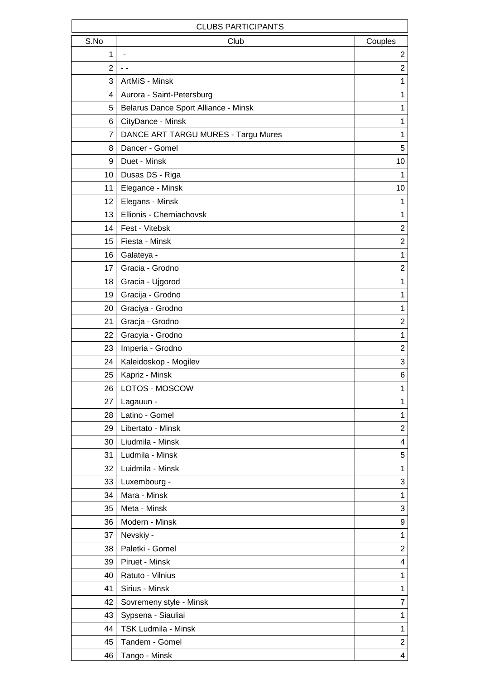| <b>CLUBS PARTICIPANTS</b> |                                      |                |  |  |  |  |  |  |  |  |  |  |  |
|---------------------------|--------------------------------------|----------------|--|--|--|--|--|--|--|--|--|--|--|
| S.No                      | Club                                 | Couples        |  |  |  |  |  |  |  |  |  |  |  |
| 1                         |                                      | 2              |  |  |  |  |  |  |  |  |  |  |  |
| 2                         | $ -$                                 | $\overline{c}$ |  |  |  |  |  |  |  |  |  |  |  |
| 3                         | ArtMiS - Minsk                       | 1              |  |  |  |  |  |  |  |  |  |  |  |
| 4                         | Aurora - Saint-Petersburg            | $\mathbf 1$    |  |  |  |  |  |  |  |  |  |  |  |
| 5                         | Belarus Dance Sport Alliance - Minsk | 1              |  |  |  |  |  |  |  |  |  |  |  |
| 6                         | CityDance - Minsk                    | 1              |  |  |  |  |  |  |  |  |  |  |  |
| 7                         | DANCE ART TARGU MURES - Targu Mures  | 1              |  |  |  |  |  |  |  |  |  |  |  |
| 8                         | Dancer - Gomel                       | 5              |  |  |  |  |  |  |  |  |  |  |  |
| 9                         | Duet - Minsk                         | 10             |  |  |  |  |  |  |  |  |  |  |  |
| 10                        | Dusas DS - Riga                      | 1              |  |  |  |  |  |  |  |  |  |  |  |
| 11                        | Elegance - Minsk                     | 10             |  |  |  |  |  |  |  |  |  |  |  |
| 12                        | Elegans - Minsk                      | 1              |  |  |  |  |  |  |  |  |  |  |  |
| 13                        | Ellionis - Cherniachovsk             | 1              |  |  |  |  |  |  |  |  |  |  |  |
| 14                        | Fest - Vitebsk                       | $\overline{2}$ |  |  |  |  |  |  |  |  |  |  |  |
| 15                        | Fiesta - Minsk                       | $\overline{2}$ |  |  |  |  |  |  |  |  |  |  |  |
| 16                        | Galateya -                           | $\mathbf 1$    |  |  |  |  |  |  |  |  |  |  |  |
| 17                        | Gracia - Grodno                      | $\overline{2}$ |  |  |  |  |  |  |  |  |  |  |  |
| 18                        | Gracia - Ujgorod                     | 1              |  |  |  |  |  |  |  |  |  |  |  |
| 19                        | Gracija - Grodno                     | 1              |  |  |  |  |  |  |  |  |  |  |  |
| 20                        | Graciya - Grodno                     | $\mathbf 1$    |  |  |  |  |  |  |  |  |  |  |  |
| 21                        | Gracja - Grodno                      | $\overline{2}$ |  |  |  |  |  |  |  |  |  |  |  |
| 22                        | Gracyia - Grodno                     | $\mathbf 1$    |  |  |  |  |  |  |  |  |  |  |  |
| 23                        | Imperia - Grodno                     | $\overline{c}$ |  |  |  |  |  |  |  |  |  |  |  |
| 24                        | Kaleidoskop - Mogilev                | 3              |  |  |  |  |  |  |  |  |  |  |  |
| 25                        | Kapriz - Minsk                       | 6              |  |  |  |  |  |  |  |  |  |  |  |
| 26                        | LOTOS - MOSCOW                       | 1              |  |  |  |  |  |  |  |  |  |  |  |
| 27                        | Lagauun -                            | 1              |  |  |  |  |  |  |  |  |  |  |  |
| 28                        | Latino - Gomel                       | $\mathbf 1$    |  |  |  |  |  |  |  |  |  |  |  |
| 29                        | Libertato - Minsk                    | $\overline{2}$ |  |  |  |  |  |  |  |  |  |  |  |
| 30                        | Liudmila - Minsk                     | 4              |  |  |  |  |  |  |  |  |  |  |  |
| 31                        | Ludmila - Minsk                      | 5              |  |  |  |  |  |  |  |  |  |  |  |
| 32                        | Luidmila - Minsk                     | $\mathbf 1$    |  |  |  |  |  |  |  |  |  |  |  |
| 33                        | Luxembourg -                         | 3              |  |  |  |  |  |  |  |  |  |  |  |
| 34                        | Mara - Minsk                         | $\mathbf 1$    |  |  |  |  |  |  |  |  |  |  |  |
| 35                        | Meta - Minsk                         | 3              |  |  |  |  |  |  |  |  |  |  |  |
| 36                        | Modern - Minsk                       | 9              |  |  |  |  |  |  |  |  |  |  |  |
| 37                        | Nevskiy -                            | $\mathbf 1$    |  |  |  |  |  |  |  |  |  |  |  |
| 38                        | Paletki - Gomel                      | $\overline{c}$ |  |  |  |  |  |  |  |  |  |  |  |
| 39                        | Piruet - Minsk                       | 4              |  |  |  |  |  |  |  |  |  |  |  |
| 40                        | Ratuto - Vilnius                     | 1              |  |  |  |  |  |  |  |  |  |  |  |
| 41                        | Sirius - Minsk                       | $\mathbf 1$    |  |  |  |  |  |  |  |  |  |  |  |
| 42                        | Sovremeny style - Minsk              | $\overline{7}$ |  |  |  |  |  |  |  |  |  |  |  |
| 43                        | Sypsena - Siauliai                   | 1              |  |  |  |  |  |  |  |  |  |  |  |
| 44                        | <b>TSK Ludmila - Minsk</b>           | 1              |  |  |  |  |  |  |  |  |  |  |  |
| 45                        | Tandem - Gomel                       | $\overline{c}$ |  |  |  |  |  |  |  |  |  |  |  |
| 46                        | Tango - Minsk                        | 4              |  |  |  |  |  |  |  |  |  |  |  |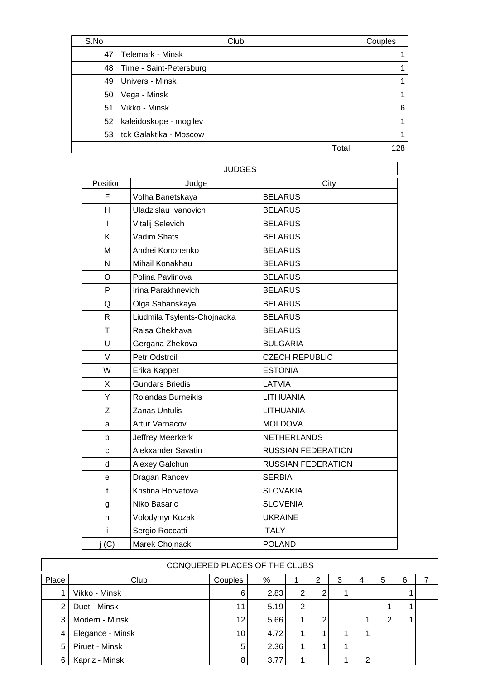| S.No | Club                    | Couples |
|------|-------------------------|---------|
| 47   | Telemark - Minsk        |         |
| 48   | Time - Saint-Petersburg |         |
| 49   | Univers - Minsk         |         |
| 50   | Vega - Minsk            |         |
| 51   | Vikko - Minsk           | 6       |
| 52   | kaleidoskope - mogilev  |         |
| 53   | tck Galaktika - Moscow  |         |
|      | Total                   | 128     |

|              | <b>JUDGES</b>               |                           |
|--------------|-----------------------------|---------------------------|
| Position     | Judge                       | City                      |
| F            | Volha Banetskaya            | <b>BELARUS</b>            |
| Н            | Uladzislau Ivanovich        | <b>BELARUS</b>            |
| L            | Vitalij Selevich            | <b>BELARUS</b>            |
| Κ            | Vadim Shats                 | <b>BELARUS</b>            |
| M            | Andrei Kononenko            | <b>BELARUS</b>            |
| N            | Mihail Konakhau             | <b>BELARUS</b>            |
| $\circ$      | Polina Pavlinova            | <b>BELARUS</b>            |
| P            | Irina Parakhnevich          | <b>BELARUS</b>            |
| Q            | Olga Sabanskaya             | <b>BELARUS</b>            |
| $\mathsf{R}$ | Liudmila Tsylents-Chojnacka | <b>BELARUS</b>            |
| T            | Raisa Chekhava              | <b>BELARUS</b>            |
| U            | Gergana Zhekova             | <b>BULGARIA</b>           |
| $\vee$       | <b>Petr Odstrcil</b>        | <b>CZECH REPUBLIC</b>     |
| W            | Erika Kappet                | <b>ESTONIA</b>            |
| X            | <b>Gundars Briedis</b>      | LATVIA                    |
| Y            | Rolandas Burneikis          | <b>LITHUANIA</b>          |
| Z            | <b>Zanas Untulis</b>        | LITHUANIA                 |
| a            | <b>Artur Varnacov</b>       | <b>MOLDOVA</b>            |
| b            | Jeffrey Meerkerk            | <b>NETHERLANDS</b>        |
| C            | Alekxander Savatin          | <b>RUSSIAN FEDERATION</b> |
| d            | Alexey Galchun              | <b>RUSSIAN FEDERATION</b> |
| е            | Dragan Rancev               | <b>SERBIA</b>             |
| $\mathsf{f}$ | Kristina Horvatova          | <b>SLOVAKIA</b>           |
| g            | Niko Basaric                | <b>SLOVENIA</b>           |
| h            | Volodymyr Kozak             | <b>UKRAINE</b>            |
| i            | Sergio Roccatti             | <b>ITALY</b>              |
| i(G)         | Marek Chojnacki             | <b>POLAND</b>             |

|       | CONQUERED PLACES OF THE CLUBS |                 |      |                |   |   |   |   |   |  |  |  |  |  |  |
|-------|-------------------------------|-----------------|------|----------------|---|---|---|---|---|--|--|--|--|--|--|
| Place | Club                          | Couples         | %    |                | 2 | 3 | 4 | 5 | 6 |  |  |  |  |  |  |
|       | Vikko - Minsk                 | 6               | 2.83 | 2              |   |   |   |   |   |  |  |  |  |  |  |
| 2     | Duet - Minsk                  | 11              | 5.19 | $\overline{2}$ |   |   |   |   |   |  |  |  |  |  |  |
| 3     | Modern - Minsk                | 12 <sup>2</sup> | 5.66 |                | 2 |   |   | ⌒ |   |  |  |  |  |  |  |
| 4     | Elegance - Minsk              | 10              | 4.72 |                |   |   |   |   |   |  |  |  |  |  |  |
| 5     | Piruet - Minsk                | 5               | 2.36 |                |   |   |   |   |   |  |  |  |  |  |  |
| 6     | Kapriz - Minsk                | 8               | 3.77 |                |   |   | ົ |   |   |  |  |  |  |  |  |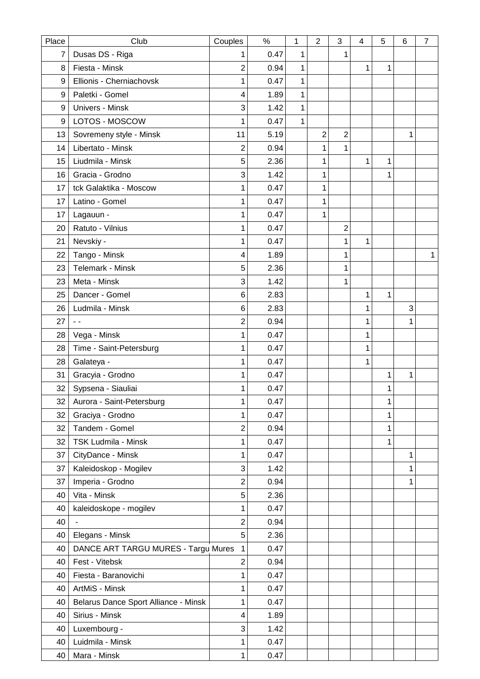| Place          | Club                                 | Couples                 | $\%$ | 1            | $\overline{2}$ | 3              | 4 | 5 | 6 | 7            |
|----------------|--------------------------------------|-------------------------|------|--------------|----------------|----------------|---|---|---|--------------|
| $\overline{7}$ | Dusas DS - Riga                      | 1                       | 0.47 | 1            |                | 1              |   |   |   |              |
| 8              | Fiesta - Minsk                       | 2                       | 0.94 | 1            |                |                | 1 | 1 |   |              |
| 9              | Ellionis - Cherniachovsk             | 1                       | 0.47 | $\mathbf{1}$ |                |                |   |   |   |              |
| 9              | Paletki - Gomel                      | 4                       | 1.89 | $\mathbf{1}$ |                |                |   |   |   |              |
| 9              | Univers - Minsk                      | 3                       | 1.42 | 1            |                |                |   |   |   |              |
| 9              | LOTOS - MOSCOW                       | 1                       | 0.47 | 1            |                |                |   |   |   |              |
| 13             | Sovremeny style - Minsk              | 11                      | 5.19 |              | $\overline{2}$ | $\overline{2}$ |   |   | 1 |              |
| 14             | Libertato - Minsk                    | $\overline{2}$          | 0.94 |              | 1              | 1              |   |   |   |              |
| 15             | Liudmila - Minsk                     | 5                       | 2.36 |              | 1              |                | 1 | 1 |   |              |
| 16             | Gracia - Grodno                      | 3                       | 1.42 |              | 1              |                |   | 1 |   |              |
| 17             | tck Galaktika - Moscow               | 1                       | 0.47 |              | 1              |                |   |   |   |              |
| 17             | Latino - Gomel                       | 1                       | 0.47 |              | 1              |                |   |   |   |              |
| 17             | Lagauun -                            | 1                       | 0.47 |              | 1              |                |   |   |   |              |
| 20             | Ratuto - Vilnius                     | 1                       | 0.47 |              |                | 2              |   |   |   |              |
| 21             | Nevskiy -                            | 1                       | 0.47 |              |                | 1              | 1 |   |   |              |
| 22             | Tango - Minsk                        | $\overline{\mathbf{4}}$ | 1.89 |              |                | 1              |   |   |   | $\mathbf{1}$ |
| 23             | Telemark - Minsk                     | 5                       | 2.36 |              |                | 1              |   |   |   |              |
| 23             | Meta - Minsk                         | 3                       | 1.42 |              |                | 1              |   |   |   |              |
| 25             | Dancer - Gomel                       | 6                       | 2.83 |              |                |                | 1 | 1 |   |              |
| 26             | Ludmila - Minsk                      | 6                       | 2.83 |              |                |                | 1 |   | 3 |              |
| 27             | $\sim$ $\sim$                        | 2                       | 0.94 |              |                |                | 1 |   | 1 |              |
| 28             | Vega - Minsk                         | 1                       | 0.47 |              |                |                | 1 |   |   |              |
| 28             | Time - Saint-Petersburg              | 1                       | 0.47 |              |                |                | 1 |   |   |              |
| 28             | Galateya -                           | 1                       | 0.47 |              |                |                | 1 |   |   |              |
| 31             | Gracyia - Grodno                     | 1                       | 0.47 |              |                |                |   | 1 | 1 |              |
| 32             | Sypsena - Siauliai                   | 1                       | 0.47 |              |                |                |   | 1 |   |              |
| 32             | Aurora - Saint-Petersburg            | 1                       | 0.47 |              |                |                |   | 1 |   |              |
| 32             | Graciya - Grodno                     | 1                       | 0.47 |              |                |                |   | 1 |   |              |
| 32             | Tandem - Gomel                       | $\overline{2}$          | 0.94 |              |                |                |   | 1 |   |              |
| 32             | <b>TSK Ludmila - Minsk</b>           | 1                       | 0.47 |              |                |                |   | 1 |   |              |
| 37             | CityDance - Minsk                    | 1                       | 0.47 |              |                |                |   |   | 1 |              |
| 37             | Kaleidoskop - Mogilev                | 3                       | 1.42 |              |                |                |   |   | 1 |              |
| 37             | Imperia - Grodno                     | $\overline{2}$          | 0.94 |              |                |                |   |   | 1 |              |
| 40             | Vita - Minsk                         | 5                       | 2.36 |              |                |                |   |   |   |              |
| 40             | kaleidoskope - mogilev               | 1                       | 0.47 |              |                |                |   |   |   |              |
| 40             |                                      | $\overline{c}$          | 0.94 |              |                |                |   |   |   |              |
| 40             | Elegans - Minsk                      | 5                       | 2.36 |              |                |                |   |   |   |              |
| 40             | DANCE ART TARGU MURES - Targu Mures  | $\mathbf{1}$            | 0.47 |              |                |                |   |   |   |              |
| 40             | Fest - Vitebsk                       | $\overline{c}$          | 0.94 |              |                |                |   |   |   |              |
| 40             | Fiesta - Baranovichi                 | 1                       | 0.47 |              |                |                |   |   |   |              |
| 40             | ArtMiS - Minsk                       | 1                       | 0.47 |              |                |                |   |   |   |              |
| 40             | Belarus Dance Sport Alliance - Minsk | 1                       | 0.47 |              |                |                |   |   |   |              |
| 40             | Sirius - Minsk                       | 4                       | 1.89 |              |                |                |   |   |   |              |
| 40             | Luxembourg -                         | 3                       | 1.42 |              |                |                |   |   |   |              |
| 40             | Luidmila - Minsk                     | 1                       | 0.47 |              |                |                |   |   |   |              |
| 40             | Mara - Minsk                         | $\mathbf{1}$            | 0.47 |              |                |                |   |   |   |              |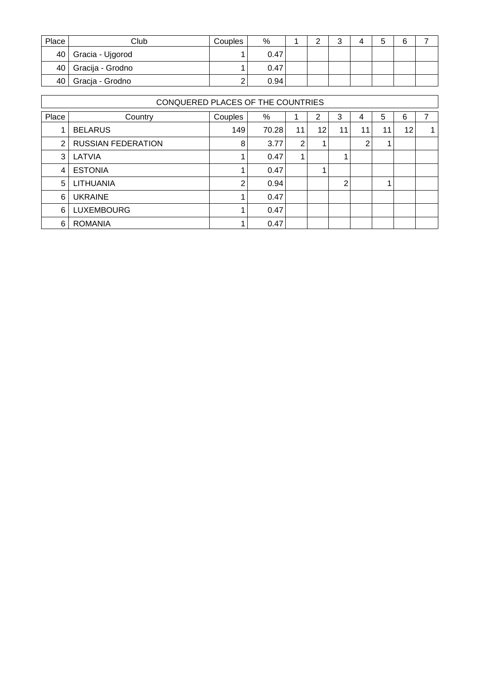| Place | Club                  | Couples | %    | $\sim$ | $\sqrt{2}$<br>ີ | ∽<br>w |  |
|-------|-----------------------|---------|------|--------|-----------------|--------|--|
|       | 40   Gracia - Ujgorod |         | 0.47 |        |                 |        |  |
|       | 40   Gracija - Grodno |         | 0.47 |        |                 |        |  |
| 40 l  | Gracja - Grodno       | っ<br>ے  | 0.94 |        |                 |        |  |

|       | CONQUERED PLACES OF THE COUNTRIES |         |       |    |    |                |                |    |    |   |  |  |  |  |  |
|-------|-----------------------------------|---------|-------|----|----|----------------|----------------|----|----|---|--|--|--|--|--|
| Place | Country                           | Couples | %     |    | 2  | 3              | 4              | 5  | 6  | 7 |  |  |  |  |  |
|       | <b>BELARUS</b>                    | 149     | 70.28 | 11 | 12 | 11             | 11             | 11 | 12 |   |  |  |  |  |  |
| 2     | <b>RUSSIAN FEDERATION</b>         | 8       | 3.77  | 2  |    |                | $\overline{2}$ |    |    |   |  |  |  |  |  |
| 3     | LATVIA                            |         | 0.47  | 1  |    |                |                |    |    |   |  |  |  |  |  |
| 4     | <b>ESTONIA</b>                    |         | 0.47  |    |    |                |                |    |    |   |  |  |  |  |  |
| 5     | LITHUANIA                         | 2       | 0.94  |    |    | $\overline{2}$ |                |    |    |   |  |  |  |  |  |
| 6     | <b>UKRAINE</b>                    |         | 0.47  |    |    |                |                |    |    |   |  |  |  |  |  |
| 6     | <b>LUXEMBOURG</b>                 |         | 0.47  |    |    |                |                |    |    |   |  |  |  |  |  |
| 6     | <b>ROMANIA</b>                    |         | 0.47  |    |    |                |                |    |    |   |  |  |  |  |  |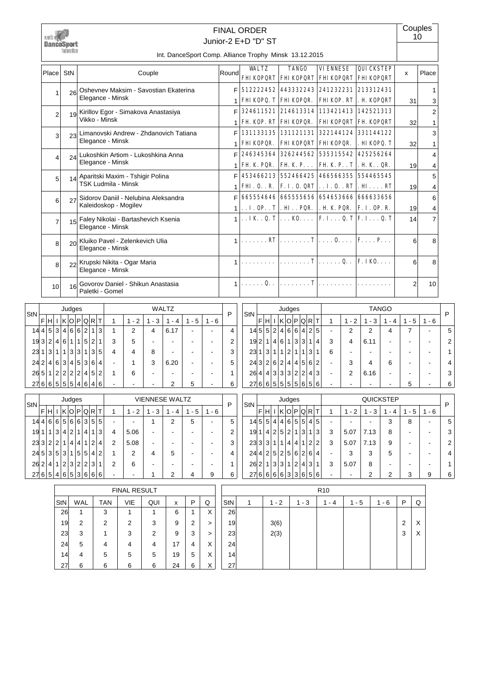

# Junior-2 E+D "D" ST FINAL ORDER

**Couples** 10

Int. DanceSport Comp. Alliance Trophy Minsk 13.12.2015

| Place           | StN             | Couple                                                         | Round  | <b>WAT.TZ</b>                                                                      | <b>TANGO</b>           | <b>VIENNESE</b>                                                                                      | <b>QUICKSTEP</b><br><b>FHI KOPQRT   FHI KOPQRT   FHI KOPQRT   FHI KOPQRT</b> | $\boldsymbol{\mathsf{x}}$ | Place               |
|-----------------|-----------------|----------------------------------------------------------------|--------|------------------------------------------------------------------------------------|------------------------|------------------------------------------------------------------------------------------------------|------------------------------------------------------------------------------|---------------------------|---------------------|
|                 | 26              | Oshevnev Maksim - Savostian Ekaterina<br>Elegance - Minsk      | F      |                                                                                    |                        | 512222452 443332243 241232231 213312431<br><b>FHI KOPQ. T FHI KOPQR. FHI KOP. RT . H. KOPQRT</b>     |                                                                              | 31                        | 3                   |
| $\mathfrak{p}$  |                 | 19 Kirillov Egor - Simakova Anastasiya<br>Vikko - Minsk        | F      |                                                                                    |                        | 324611521 214613314 113421413 142521313                                                              |                                                                              |                           | $\overline{2}$      |
| $\mathbf{3}$    |                 | 23 Limanovski Andrew - Zhdanovich Tatiana                      | 1<br>F |                                                                                    | FH. KOP. RT FHI KOPOR. | <b>FHI KOPORT FH. KOPORT</b><br>  131133135   131121131   322144124   331144122                      |                                                                              | 32                        | 3                   |
|                 |                 | Elegance - Minsk                                               | 1      | <b>FHIKOPOR.</b>                                                                   |                        | <b>FHI KOPORT FHI KOPOR.</b>                                                                         | . НІКОРО. Т                                                                  | 32                        |                     |
| 4               | $2\Delta$       | Lukoshkin Artiom - Lukoshkina Anna<br>Elegance - Minsk         | F<br>1 |                                                                                    |                        | 246345364 326244562 535315542 425256264<br>FH K PQR. $ FH K P FH K PT $ . H K . QR.                  |                                                                              | 19                        | 4<br>4              |
| 5 <sup>1</sup>  | 14              | Aparitski Maxim - Tshigir Polina<br><b>TSK Ludmila - Minsk</b> | F<br>1 |                                                                                    |                        | 453466213 552466425 466566355 554465545<br><b>FHI. O. . R.   F. I. O. QRT   I. O. . RT   . HI RT</b> |                                                                              |                           | 5                   |
| 6 <sup>1</sup>  | 27              | Sidorov Daniil - Nelubina Aleksandra                           | F      |                                                                                    |                        | 665554646 665555656 654653666 666633656                                                              |                                                                              | 19                        | 4<br>6              |
|                 |                 | Kaleidoskop - Mogilev                                          |        | $1 \dots$ I. OP. $\cdot$ T $ \dots$ HI. $\dots$ PQR.                               |                        | . H K PQR.   F. I. OP. R.                                                                            |                                                                              | 19                        | 4<br>$\overline{7}$ |
|                 | 15              | Faley Nikolai - Bartashevich Ksenia<br>Elegance - Minsk        |        | $1$   <b>IK</b> . <b>Q. T</b>   <b>KO.</b>   <b>F. I. Q. T</b>   <b>F. I. Q. T</b> |                        |                                                                                                      |                                                                              | 14                        |                     |
| $\mathsf{B}$    | 20 <sup>1</sup> | Kluiko Pavel - Zelenkevich Ulia<br>Elegance - Minsk            | 1      |                                                                                    |                        | . RT $  \dots \dots \dots T   \dots 0 \dots   F \dots P \dots$                                       |                                                                              | 6                         | 8                   |
| $\mathsf{B}$    | 22              | Krupski Nikita - Ogar Maria<br>Elegance - Minsk                | 1      |                                                                                    |                        | $\ldots \ldots \ldots$ $\mathbf{T}   \ldots \ldots \mathbf{Q} \ldots   \mathbf{F}$ . IKO. $\ldots$   |                                                                              | 6                         | 8                   |
| 10 <sup>1</sup> | 16              | Govorov Daniel - Shikun Anastasia<br>Paletki - Gomel           | 1      | . 0. .                                                                             | . <b>T</b>             |                                                                                                      |                                                                              | $\overline{2}$            | 10                  |

| <b>StN</b> |   |                |                |                | Judges         |   |                 |                |   |   |         |                                    | <b>WALTZ</b>                       |                          |           | P              |
|------------|---|----------------|----------------|----------------|----------------|---|-----------------|----------------|---|---|---------|------------------------------------|------------------------------------|--------------------------|-----------|----------------|
|            | F | н              |                | κ              | Οl             | P | ∣Q∣             | R              | т | 1 | $1 - 2$ | 3<br>1<br>$\overline{\phantom{a}}$ | 1<br>4<br>$\overline{\phantom{a}}$ | 5<br>1<br>$\blacksquare$ | $-6$<br>1 |                |
| 14         | 4 | 5              | 3              | 4              | 6              | 6 | $\overline{2}$  | 1              | 3 | 1 | 2       | 4                                  | 6.17                               |                          |           | 4              |
| 19         | 3 | $\overline{2}$ | 4              | 6              | 1              | 1 | 5               | $\overline{2}$ | 1 | 3 | 5       |                                    |                                    |                          |           | $\overline{2}$ |
| 23         | 1 | 3              | 1              | 1              | 3              | 3 | 1               | 3              | 5 | 4 | 4       | 8                                  |                                    |                          |           | 3              |
| 242        |   | 4              | 6              | 3              | 4 <sup>1</sup> | 5 | 3 <sup>1</sup>  | 6              | 4 |   |         | 3                                  | 6.20                               |                          |           | 5              |
| 26         | 5 | 1              | $\overline{2}$ | $\overline{2}$ | 2 <sup>1</sup> | 2 | $\vert 4 \vert$ | 5              | 2 | 1 | 6       |                                    |                                    |                          |           |                |
| 27         | 6 | 6              | 5              | 5              | 5              | 4 | 6               | 4              | 6 |   |         |                                    | 2                                  | 5                        |           | 6              |

| StN |                 |   |   |                | Judges         |   |                       |                |   |   |         |          | <b>TANGO</b> |          |         | P              |
|-----|-----------------|---|---|----------------|----------------|---|-----------------------|----------------|---|---|---------|----------|--------------|----------|---------|----------------|
|     | F               | н |   | κ              | Οl             | P | ۱Q                    | R              | т | 1 | $1 - 2$ | - 3<br>1 | - 4<br>1     | - 5<br>1 | $1 - 6$ |                |
|     | 145             | 5 | 2 | 4              | 6              | 6 | $\mathbf{4}^{\prime}$ | $\overline{2}$ | 5 |   | 2       | 2        | 4            | 7        |         | 5              |
| 19  | 2 <sup>1</sup>  | 1 | 4 | 6              | 1              | 3 | 3                     | 1              | 4 | 3 | 4       | 6.11     |              |          |         | $\overline{2}$ |
| 23  |                 | 3 | 1 | $\mathbf{1}$   | 2              | 1 | 1                     | 3              | 1 | 6 |         |          |              |          |         |                |
| 24  | 3 2             |   | 6 | $\overline{2}$ | 4              | 4 | 5                     | 6              | 2 |   | 3       | 4        | 6            |          |         | 4              |
| 26  | $\vert 4 \vert$ | 4 | 3 | 3              | 3              | 2 | 2                     | 4              | 3 |   | 2       | 6.16     |              |          |         | 3              |
| 27  | 6               | 6 | 5 | 5              | 5 <sup>1</sup> | 5 | 6                     | 5              | 6 |   |         |          |              | 5        |         | 6              |
|     |                 |   |   |                |                |   |                       |                |   |   |         |          |              |          |         |                |

| StN     |               |             | Judges         |                |                |                |     |   |   |      | <b>VIENNESE WALTZ</b>    |     |     |                          | D | StN |            |      | Judges                |   |    |                |   |                          |      | QUICKSTEP |     |         | D |
|---------|---------------|-------------|----------------|----------------|----------------|----------------|-----|---|---|------|--------------------------|-----|-----|--------------------------|---|-----|------------|------|-----------------------|---|----|----------------|---|--------------------------|------|-----------|-----|---------|---|
|         | <b>FIHL</b>   | I K O P Q R |                |                |                |                |     |   |   | $-2$ | $-3$                     | - 4 | - 5 | - 6                      |   |     | F.         | ⊣HL' | K O P Q R T           |   |    |                |   | $-2$                     | $-3$ | - 4       | - 5 | $1 - 6$ |   |
|         | 1446665663555 |             |                |                |                |                |     |   | - |      |                          | ◠   | 5   | -                        | 5 |     |            |      |                       |   |    | 14551414655145 | - | $\blacksquare$           | -    | 3         | 8   |         | 5 |
| 19      |               | 3           | $\overline{4}$ | 2 <sub>1</sub> |                | $\overline{4}$ |     | 3 | 4 | 5.06 | $\overline{\phantom{0}}$ |     |     | $\overline{\phantom{0}}$ | ⌒ | 19  |            | 4    | 2 5 2 1               | 3 |    | 3              | 3 | 5.07                     | 7.13 | 8         |     | -       | 3 |
| 233 2 2 |               |             |                | 4              | $\vert$ 4      |                | 2   | 4 | 2 | 5.08 | $\blacksquare$           | -   |     | -                        | 3 |     | 23 3 3 1 1 |      |                       |   |    | 4 4 1 2 2      | 3 | 5.07                     | 7.13 | 9         |     | -       | 2 |
| 24535   |               |             | $\mathbf{3}$   |                | 5 <sup>1</sup> | 5 <sup>1</sup> | 4 2 |   |   | 2    | 4                        | 5   |     | -                        | 4 |     |            |      | 24  4 2 5 2 5 6 2 6 4 |   |    |                | - | 3                        | 3    | 5         |     | -       | 4 |
| 262     | ا 4           | ≀ 1         | $\overline{2}$ | 3              |                | 2 2            | 3   |   | 2 | 6    | -                        |     |     | -                        |   |     | 262        |      | 3 3 1 2               |   | 43 |                | 3 | 5.07                     | 8    |           |     | -       |   |
| 276546  |               |             |                | 5              |                | 3666           |     |   | - |      |                          |     | 4   | 9                        | 6 |     |            |      | 2766666336656         |   |    |                |   | $\overline{\phantom{a}}$ | ົ    |           |     | 9       | 6 |

|     |            |        | <b>FINAL RESULT</b> |     |    |   |                   |                 |      |     | R <sub>10</sub> |     |     |   |           |
|-----|------------|--------|---------------------|-----|----|---|-------------------|-----------------|------|-----|-----------------|-----|-----|---|-----------|
| StN | <b>WAL</b> | tan    | VIE                 | QUI | x  | P | Q                 | <b>StN</b>      | $-2$ | - 3 | - 4             | - 5 | - 6 | P | w         |
| 26  |            | 3      |                     |     | 6  |   | v<br>⌒            | 26              |      |     |                 |     |     |   |           |
| 19  | 2          | ົ<br>∠ | ົ<br>∠              | 3   | 9  | ◠ |                   | 19              | 3(6) |     |                 |     |     | 2 | $\lambda$ |
| 23  | 3          |        | 3                   | ົ   | 9  | 3 | ⋗                 | 23              | 2(3) |     |                 |     |     | 3 | $\lambda$ |
| 24  | 5          | 4      |                     | 4   | 17 | 4 | X                 | 24              |      |     |                 |     |     |   |           |
| 14  | 4          | 5      | 5                   | 5   | 19 | 5 | X                 | 14 <sub>1</sub> |      |     |                 |     |     |   |           |
| 27  | 6          | 6      | 6                   | 6   | 24 | 6 | $\checkmark$<br>⌒ | 27              |      |     |                 |     |     |   |           |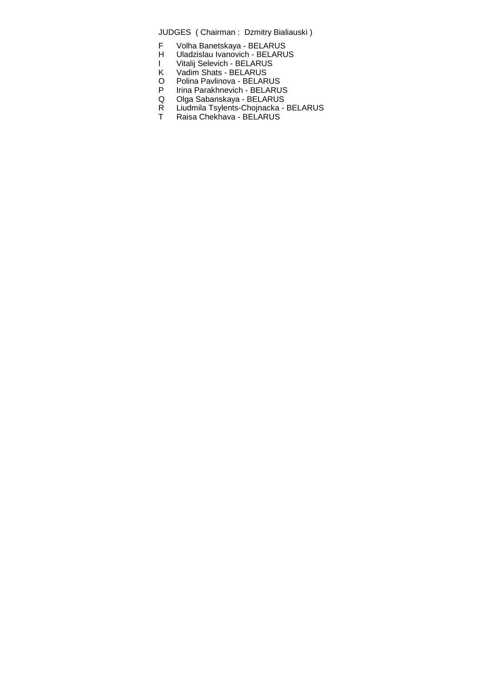- F Volha Banetskaya BELARUS<br>H Uladzislau Ivanovich BELARU
- Uladzislau Ivanovich BELARUS
- I Vitalij Selevich BELARUS
- K Vadim Shats BELARUS
- O Polina Pavlinova BELARUS
- P Irina Parakhnevich BELARUS Q Olga Sabanskaya - BELARUS
- R Liudmila Tsylents-Chojnacka BELARUS
- T Raisa Chekhava BELARUS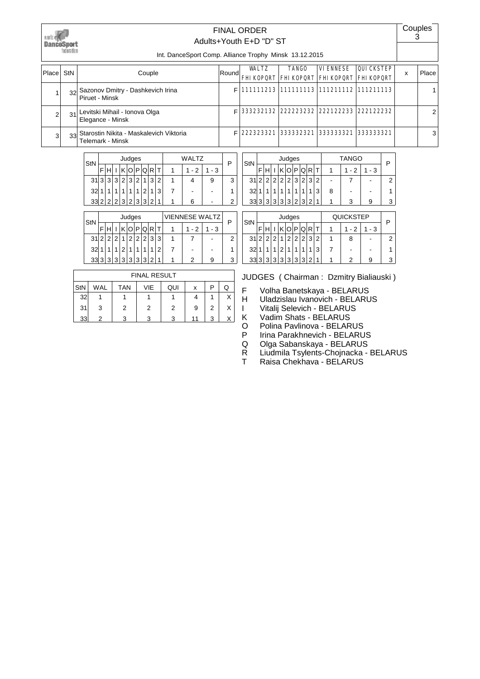

### Adults+Youth E+D "D" ST FINAL ORDER

Couples 3

Int. DanceSport Comp. Alliance Trophy Minsk 13.12.2015

| Place | <b>StN</b> | Couple                                                                | Roundl | WALTZ     | <b>TANGO</b>          | <b>VIENNESE</b><br><b>FHI KOPORT FHI KOPORT FHI KOPORT FHI KOPORT</b> | <b>QUICKSTEP</b>                              | x | Place          |
|-------|------------|-----------------------------------------------------------------------|--------|-----------|-----------------------|-----------------------------------------------------------------------|-----------------------------------------------|---|----------------|
|       |            | 32 Sazonov Dmitry - Dashkevich Irina<br>Piruet - Minsk                | FI     |           |                       |                                                                       | 111111213   111111113   111211112   111211113 |   |                |
|       | 31         | Levitski Mihail - Ionova Olga<br>Elegance - Minsk                     |        |           |                       |                                                                       | 333232132 222223232 222122233 222122232       |   | 2 <sub>1</sub> |
|       |            | 33 Starostin Nikita - Maskalevich Viktoria<br><b>Telemark - Minsk</b> |        | 222323321 | 333332321   333333321 |                                                                       | 333333321                                     |   | $\frac{3}{3}$  |

| StN |   |   |   |       | Judges |       |     |   |   | WAI TZ |       | P |
|-----|---|---|---|-------|--------|-------|-----|---|---|--------|-------|---|
|     |   |   |   |       | Ol     | P     | IQI | R |   | - 2    | 1 - 3 |   |
| 31  | ว | ົ | ว | 2     | 3      | 2     | 1   | 3 | 2 |        | 9     | 3 |
| 32  |   |   |   |       |        |       | っ   |   | 3 |        |       |   |
| 33  | c | 2 | 2 | .1311 |        | 2 3 3 |     | 2 | 1 | 6      |       |   |

| StN |   |   |   | Judges |   |   |   |   |   |   | VIENNESE WALTZ |     | Ρ |
|-----|---|---|---|--------|---|---|---|---|---|---|----------------|-----|---|
|     |   |   |   |        |   |   | Q |   |   |   | - 2            | - 3 |   |
| 31  | ົ |   | 2 |        | 2 | 2 | 2 | 3 | 3 |   |                |     | 2 |
| 32  |   |   |   | ◠      |   |   |   |   | າ |   |                |     |   |
| 33  | າ | ٩ | ર | 3      | 3 | 3 | 3 | 2 | 4 | ٠ | っ              | р   | З |

|     |            |            | <b>FINAL RESULT</b> |     |    |   |   |
|-----|------------|------------|---------------------|-----|----|---|---|
| StN | <b>WAL</b> | <b>TAN</b> | <b>VIE</b>          | QUI | х  | P | Q |
| 32  |            |            |                     |     |    |   | Χ |
| 31  | 3          | 2          | 2                   | 2   | 9  | 2 | Χ |
| 33  | っ          |            | 3                   | ર   | 11 | 3 | v |

| StN    |   |   |   |                | Judges         |   |           |   |                |   | <b>TANGO</b> |     | F |
|--------|---|---|---|----------------|----------------|---|-----------|---|----------------|---|--------------|-----|---|
|        |   |   |   |                |                | P | O.        |   |                |   | - 2          | - 3 |   |
| $31$ 2 |   | 2 | 2 | 2 <sub>1</sub> | 2 <sub>1</sub> | 3 | 2         | 3 | $\overline{2}$ |   |              |     | 2 |
| 32     |   |   |   |                |                |   |           |   | ີ              | 8 |              |     |   |
| 33     | 3 | ว |   |                |                |   | 3 3 3 2 3 | 2 | 4              |   |              | р   | 3 |

|     |                |   |   | Judges |                |                |   |   |   | <b>QUICKSTEP</b> |      |   |
|-----|----------------|---|---|--------|----------------|----------------|---|---|---|------------------|------|---|
| StN |                |   |   |        |                | P              | Q |   |   | - 2              | $-3$ | P |
| 31  | $\overline{2}$ | 2 | 2 | 1      | 2              | 2              | 2 | 3 | 2 | 8                |      | 2 |
| 32  |                |   |   | 2      | 1              |                |   |   | 3 |                  |      |   |
| 33  | c              | 3 | 3 | 3      | 3 <sup>1</sup> | $\overline{3}$ | 3 | າ | 4 | ົ                | 9    | 3 |

- F Volha Banetskaya BELARUS<br>H Uladzislau Ivanovich BELARU
- Uladzislau Ivanovich BELARUS
- I Vitalij Selevich BELARUS<br>K Vadim Shats BELARUS
	- Vadim Shats BELARUS
- O Polina Pavlinova BELARUS<br>P Irina Parakhnevich BELARU
- Irina Parakhnevich BELARUS
- Q Olga Sabanskaya BELARUS
- R Liudmila Tsylents-Chojnacka BELARUS
- T Raisa Chekhava BELARUS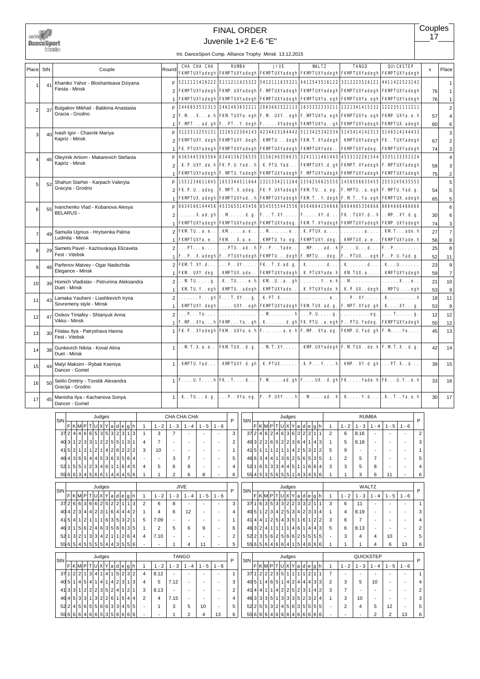write<br>DanceSport<br>Edmiot

# FINAL ORDER

Juvenile 1+2 E-6 "E"

Int. DanceSport Comp. Alliance Trophy Minsk 13.12.2015

|                |    |                                                                   |                |                                                            |         |                         | int. Dance sport Comp. Amance Trophy Immisk 13.12.2013                                              |                                                                                                  |                                       |                                                            |    |                         |
|----------------|----|-------------------------------------------------------------------|----------------|------------------------------------------------------------|---------|-------------------------|-----------------------------------------------------------------------------------------------------|--------------------------------------------------------------------------------------------------|---------------------------------------|------------------------------------------------------------|----|-------------------------|
| Place StN      |    | Couple                                                            | Round          | CHA CHA CHA                                                |         | <b>RUMBA</b>            | <b>JIVE</b><br>FKMPTUXYadegh FKMPTUXYadegh FKMPTUXYadegh FKMPTUXYadegh FKMPTUXYadegh FKMPTUXYadegh  | <b>VALTZ</b>                                                                                     | <b>TANGO</b>                          | QUICKSTEP                                                  | х  | Place                   |
|                |    | Khamko Yahor - Bloshantsava Dziyana                               | F.             | 5212121426222 5111211425322                                |         |                         |                                                                                                     |                                                                                                  |                                       | 5412111635321 4412543516122 3312223524121 4411422523142    |    | $\mathbf{1}$            |
| 1              | 41 | Fiesta - Minsk                                                    |                | FKMPTUXYadegh FKMP. UXYadegh                               |         |                         |                                                                                                     |                                                                                                  |                                       | F. MPTUXYadegh FKMPTUXYadegh FKMPTUXYadegh FKMPTUXYadegh   | 76 | $\mathbf{1}$            |
|                |    |                                                                   |                | FKMPTUXYadegh FKMPTUXYadegh                                |         |                         |                                                                                                     |                                                                                                  |                                       | FKMPTUXYadegh FKMPTUXYa. egh FKMPTUXYa. egh FKMPTUXYadegh  | 76 | $\mathbf{1}$            |
|                |    | Bulgakov Mikhail - Babkina Anastasia                              | F              | 2446653532313 2462463632211                                |         |                         |                                                                                                     |                                                                                                  |                                       | 2663662522113 1635332233211 1221341415232 1222351111211    |    | $\overline{c}$          |
| $\overline{2}$ | 37 | Gracia - Grodno                                                   | $\overline{2}$ |                                                            |         |                         | F. M X. e. h  FKM TUXYa. egh  F. M . UXY. . egh  F. MPTUXYa. egh  FKMPTUXYa. egh  FKMP. UXYa. e. h  |                                                                                                  |                                       |                                                            | 57 | $\overline{4}$          |
|                |    |                                                                   |                | $F. MPT. ad. gh F. . PT. . Y. degh$                        |         |                         |                                                                                                     |                                                                                                  |                                       | F. XYadegh FKMPTUXYa.gh FKMPTUXYadegh FKMPTUX. adegh       |    |                         |
|                |    |                                                                   |                |                                                            |         |                         |                                                                                                     |                                                                                                  |                                       |                                                            | 60 | 6                       |
| 3              | 40 | Ivash Igor - Chasnik Mariya<br>Kapriz - Minsk                     | F              | 3123312255131 3226522364143                                |         |                         |                                                                                                     |                                                                                                  |                                       | 4234423164442 5123425342334 5145414142313 5146514244433    |    | 3                       |
|                |    |                                                                   | 2              | <b>FKMPTUXY.</b> degh <b>FKMPTUXY.</b> degh                |         |                         |                                                                                                     |                                                                                                  |                                       | . KMPTU. degh FKM T. XYadegh . KMPTUXYadegh FK . TUXYadegh | 67 | $\overline{c}$          |
|                |    |                                                                   |                | FK. PTUXYadegh FKMPTUXYadegh                               |         |                         | <b>FKMPTUXYadegh FKMPTUXYade</b>                                                                    |                                                                                                  | <b>FKMPTUXYadeg.</b>                  | FKMPTUXYadegh                                              | 74 | 3                       |
| $\overline{4}$ | 46 | Oleyinik Artiom - Makarevich Stefania                             | F              |                                                            |         |                         | 4365445363564  6344136256535  3156246356635  3241111461443  4533132261544  3335133352324            |                                                                                                  |                                       |                                                            |    | 4                       |
|                |    | Kapriz - Minsk                                                    | $\overline{2}$ | . K. P. UXY. de. h  FK. P. U. Yad. . h                     |         |                         | . K. PTU. Yad.                                                                                      |                                                                                                  |                                       | FKMPTUXY. d. gh FKMPT. XYadegh F. MPTUXYadegh              | 58 | $\mathsf 3$             |
|                |    |                                                                   |                |                                                            |         |                         | FKMPTUXYadegh  F. MPTU. Yadegh  FKMPTUXYadegh  F. MPTUXYadegh  FKMPTUXYadegh  FKMPTUXYadegh         |                                                                                                  |                                       |                                                            | 75 | $\overline{\mathbf{c}}$ |
| 5              | 52 | Shahun Siarhei - Karpach Valeryia                                 |                | 1551234611645 1653344511664                                |         |                         |                                                                                                     |                                                                                                  |                                       | 1321334211264 2356256625555 2456556633455 2553245635555    |    | 5                       |
|                |    | Gracyia - Grodno                                                  | $\overline{2}$ | FK P. U. . adeg.                                           |         | F. MPT. X. adeg.        |                                                                                                     | FK P. UXYadegh FKM TU. . a. eg.                                                                  |                                       | F. MPTU. . a. egh  F. MPTU. Yad. g.                        | 54 | 5                       |
|                |    |                                                                   | 1              |                                                            |         |                         | FKMPTUX. adegh  FKMPTUXYad. . h  FKMPTUXYadegh  FKM T. . Y. degh  F. M T. . Ya. egh  FKMPTUX. adegh |                                                                                                  |                                       |                                                            | 65 | 5                       |
|                |    | Ivanchenko Vlad - Kobanova Alesya                                 | F              | 6634566144456 4535655143456                                |         |                         |                                                                                                     |                                                                                                  |                                       | 6545555443556 6564664154666 6664665356666 6664666466666    |    | 6                       |
| 6              | 55 | <b>BELARUS -</b>                                                  |                | $\ldots \ldots$ X. ad. gh $\ldots$ M $\ldots \ldots$ d. g. |         |                         |                                                                                                     |                                                                                                  |                                       |                                                            |    |                         |
|                |    |                                                                   | 2              |                                                            |         |                         | FT. XY                                                                                              | F. XY. d.                                                                                        |                                       | <b>FK.</b> TUXY. d. . h MP. . XY. d. g.                    | 30 | 6                       |
|                |    |                                                                   |                |                                                            |         |                         | FKMPTUXYadegh FKMPTUXYadegh FKMPTUXYadeg. FKM T. XYadegh FKMPTUXYadegh FKMP. UXYadegh               |                                                                                                  |                                       |                                                            | 74 | 3                       |
| $\overline{7}$ | 49 | Samuila Ugnius - Hrytsenka Palina                                 | $\overline{2}$ | $FKM$ TU. $\ldots$ a. e. $\ldots$                          |         | $.$ KM $. \ldots$ a. e. | .Me.                                                                                                | . K. PTUX. a.                                                                                    | . <b>a.</b>                           | . KM T. ade. h                                             | 27 | $\overline{7}$          |
|                |    | Ludmila - Minsk                                                   |                | FKMPTUXYa. e. .                                            |         | <b>FKMX.a.e</b>         | . KMPTU. Ya. eg.                                                                                    | <b>FKMPTUXY.</b> deg.                                                                            |                                       | . KMPTUX. a. e. . FKMPTUXYade. h                           | 56 | 8                       |
| 8              | 29 | Samets Pavel - Kazlouskaya Elizaveta                              | $\overline{2}$ | PTa<br>.                                                   |         |                         | $\ldots$ PTU. . ad. . h F. . P. Yade. .                                                             |                                                                                                  |                                       | $\ldots$ MP ad. . h F U d   F P                            | 25 | 8                       |
|                |    | Fest - Vitebsk                                                    | $\mathbf{1}$   | F. . P. . X. adegh F. . PTUXYadegh                         |         |                         |                                                                                                     | <b>FKMPTUdegh F. MPTUdeg.   F. . PTUXegh F. . P. U. Yad. g.</b>                                  |                                       |                                                            | 52 | 11                      |
| 9              | 48 | Parfenov Matvey - Ogar Nadezhda                                   | $\mathfrak{p}$ | <b>FKM T. XY. d</b>                                        |         | $\ldots$ P. $XY$        | <b>FK.T.X.ad.g.</b>                                                                                 | . K d.                                                                                           | . K d.                                | . K U.                                                     | 23 | 9                       |
|                |    | Elegance - Minsk                                                  | 1              | FKM . UXY. deg.                                            |         | . KMPTUX. ade. .        |                                                                                                     | FKMPTUXYadegh  . K. PTUXYade. h  . KM TUX. a                                                     |                                       | . KMPTUXYadegh                                             | 59 | $\overline{7}$          |
|                |    | Homich Vladislav - Petrunina Aleksandra                           | $\overline{2}$ | $$ M TU. $$ g.                                             |         | . K . TU. e. h          |                                                                                                     | . KM . U. . a. . gh $\vert \ldots \ldots \cdot Y$ . . e. h $\vert \ldots M \ldots \ldots \ldots$ |                                       | x                                                          | 21 | 10                      |
| 10             | 39 | Duet - Minsk                                                      | $\mathbf{1}$   | . KM TU. Y. . egh . KMPTU. . adegh                         |         |                         | . KMPTUXYade. .                                                                                     |                                                                                                  |                                       | . K. PTUXYade. h   . K. P. UX. . degh   MPTU. egh          |    |                         |
|                |    |                                                                   |                |                                                            |         |                         |                                                                                                     |                                                                                                  |                                       |                                                            | 53 | 9                       |
| 11             | 43 | Lamaka Yauheni - Liashkevich Iryna<br>Sovremeny style - Minsk     | $\overline{2}$ | $\ldots \ldots Y \ldots gh$ F T. XY g.                     |         |                         |                                                                                                     |                                                                                                  |                                       |                                                            | 18 | 11                      |
|                |    |                                                                   | $\mathbf{1}$   |                                                            |         |                         | . KMPTUXY. degh   UXY. . egh   FKMPTUXYadegh   FKM TUX. ad. g.   F. MPT. XYad. gh   . K. XY. g.     |                                                                                                  |                                       |                                                            | 53 | 9                       |
| 12             | 47 | Osikov Timafey - Shtanyuk Anna                                    | $\overline{2}$ | $\ldots$ P. $\ldots$ Ya. $\ldots$                          |         | .                       |                                                                                                     |                                                                                                  |                                       |                                                            | 12 | 12                      |
|                |    | Vikko - Minsk                                                     |                |                                                            |         |                         | F. MP. . XYa. h  FKMP. Ya. . gh  . K. d. gh  FK. PTU. . a. egh  F. . PTU. Yadeg.   FKMPTUXYadegh    |                                                                                                  |                                       |                                                            | 50 | 12                      |
| 13             | 30 | Filatau Ilya - Patryshava Hanna<br>Fest - Vitebsk                 |                |                                                            |         |                         | FK. P. . XYadegh FKM . UXYa. e. h F. a. e. h F. MP. . XYa. eg. FKMP. U. Yad. gh F. M Ya.            |                                                                                                  |                                       |                                                            | 45 | 13                      |
| 14             | 38 | Gunkevich Nikita - Koval Alina<br>Duet - Minsk                    | $\mathbf{1}$   | M T. X. a. e. .   FKM TUX. . d. g.                         |         |                         |                                                                                                     | . . M T. XY.   . KMP. UXYadegh F. M TUX. . de. h F. M T. X. . d. g.                              |                                       |                                                            | 42 | 14                      |
|                |    |                                                                   |                |                                                            |         |                         |                                                                                                     |                                                                                                  |                                       |                                                            |    |                         |
| 15             | 44 | Malyi Maksim - Rybak Kseniya                                      | $\mathbf{1}$   | . KMPTU. Yad.                                              |         | . KMPTUXY. d. gh        |                                                                                                     | . K. PTUX.   . K. P. Y. h  . KMP. . XY. d. gh  PT. X. . d.                                       |                                       |                                                            | 39 | 15                      |
|                |    | Dancer - Gomel                                                    |                |                                                            |         |                         |                                                                                                     |                                                                                                  |                                       |                                                            |    |                         |
| 16             | 50 | Selilo Dmitriy - Tovstik Alexandra                                |                |                                                            |         |                         | $\vert \cdot \vert$ F U. Y h FK. T d   F. M ad. gh F UX. . d. gh FK Yade. h FK U. Y e. h            |                                                                                                  |                                       |                                                            | 33 | 16                      |
|                |    | Gracija - Grodno                                                  |                |                                                            |         |                         |                                                                                                     |                                                                                                  |                                       |                                                            |    |                         |
| 17             | 45 | Manisha Ilya - Kachanova Sonya<br>Dancer - Gomel                  |                |                                                            |         |                         | $ 1 $ . K. TUd. g. $ P.$ XYa. eg.   F P. UXY h $ M$ ad. . h $ KY.$ d                                |                                                                                                  |                                       | . K . T. . Ya. e. h                                        | 30 | 17                      |
|                |    |                                                                   |                |                                                            |         |                         |                                                                                                     |                                                                                                  |                                       |                                                            |    |                         |
|                |    | Judges                                                            |                | CHA CHA CHA                                                |         | P                       | Judges                                                                                              |                                                                                                  | <b>RUMBA</b>                          | P                                                          |    |                         |
|                |    | StN<br>F K M P T U X Y a d e g h <br>$1 - 2$<br>$\overline{1}$    | $1 - 3$        | $1 - 4$<br>$1 - 5$                                         | $1 - 6$ | StN                     | F K M P T U X Y a d e g h                                                                           | $\mathbf{1}$                                                                                     | $1 - 2$<br>$1 - 3$<br>$1 - 4$         | $1 - 5$<br>$1 - 6$                                         |    |                         |
|                |    | 37244665353231<br>$\overline{1}$<br>3                             | $\overline{7}$ |                                                            |         | 3                       | 37246246363221                                                                                      | $\overline{2}$                                                                                   | 8.16<br>6                             | $\overline{2}$                                             |    |                         |
|                |    | 40 3 1 2 3 3 1 2 2 5 5 1 3 1 <br>$\overline{7}$<br>$\overline{4}$ |                |                                                            |         | $\mathbf 2$             | 403226522364143                                                                                     | $\overline{1}$                                                                                   | 5<br>8.18                             | 3<br>$\overline{\phantom{a}}$                              |    |                         |
|                |    | 415 2 1 2 1 2 1 4 2 6 2 2 2<br>10<br>3                            |                |                                                            |         | $\mathbf{1}$            | $41\overline{5}111121114215322$                                                                     | 5                                                                                                | 9                                     | 1                                                          |    |                         |
|                |    | 46 4 3 6 5 4 4 5 3 6 3 5 6 4                                      | 3              |                                                            |         | 5                       | 4663441136256535                                                                                    |                                                                                                  |                                       | $\blacksquare$                                             |    |                         |
|                |    | 5215512234611645                                                  |                | $\overline{7}$                                             |         |                         | 521653344511664                                                                                     |                                                                                                  | $\overline{c}$<br>5<br>$\overline{7}$ | 5                                                          |    |                         |
|                |    | 5<br>4                                                            | 6              | 8                                                          |         | $\pmb{4}$               |                                                                                                     | 3                                                                                                | 3<br>5<br>8                           | 4<br>$\overline{\phantom{a}}$                              |    |                         |
|                |    | 556634566144456<br>$\mathbf{1}$                                   | $\overline{2}$ | 6<br>8                                                     |         | 6                       | 554535655143456                                                                                     | $\mathbf{1}$                                                                                     | 3<br>6<br>$\mathbf{1}$                | 11<br>6<br>$\blacksquare$                                  |    |                         |
|                |    | Judges                                                            |                | JIVE                                                       |         |                         | Judges                                                                                              |                                                                                                  | WALTZ                                 |                                                            |    |                         |
|                |    | StN  <br>F K M P T U X Y a d e g h <br>$1 - 2$<br>$\overline{1}$  | $1 - 3$        | $1 - 4$<br>$1 - 5$                                         | $1 - 6$ | P<br>StN                | F K M P T U X Y a d e g h                                                                           | $\mathbf{1}$                                                                                     | $1 - 2$<br>$1 - 3$<br>$1 - 4$         | P<br>$1 - 5$<br>$1 - 6$                                    |    |                         |
|                |    | 3726636825221113                                                  |                |                                                            |         |                         | 371635332223321                                                                                     |                                                                                                  |                                       |                                                            |    |                         |
|                |    | 2<br>6                                                            | 8              |                                                            |         | 3                       |                                                                                                     | 3                                                                                                | 6<br>11                               |                                                            |    |                         |
|                |    | 40 4 2 3 4 4 2 3 1 6 4 4 4 2<br>$\overline{4}$<br>$\mathbf{1}$    | 6              | 12                                                         |         | $\overline{\mathbf{4}}$ | $40\,5 1 2 3 4 2 5 3 4 2 3 3$                                                                       | 4<br>$\mathbf{1}$                                                                                | 8.19<br>4                             | 3                                                          |    |                         |

|     | 46 3 1 5 6 2 4 6 3 5 6 6 3 5 |  |                          |        |  |  |   |                |      | 5    | 6            | 9       |         | 6              | 46 3 2 4 1 1 1 1 1 4 6 1 4 4 3 |                            |  |  |        |  |  |  | 6    | 8.13    |           |         |     | 2 |
|-----|------------------------------|--|--------------------------|--------|--|--|---|----------------|------|------|--------------|---------|---------|----------------|--------------------------------|----------------------------|--|--|--------|--|--|--|------|---------|-----------|---------|-----|---|
|     | 52 1 3 2 1 3 3 4 2 1 1 2 6 4 |  |                          |        |  |  |   | 4              | 7.10 |      |              |         |         | $\overline{2}$ | 522 356 2566 62555             |                            |  |  |        |  |  |  |      |         | 4         | 10      |     | 5 |
|     | 55665455555443556            |  |                          |        |  |  |   |                |      |      | 4            | 11      |         | 5              | 556656466415454666             |                            |  |  |        |  |  |  |      |         |           | 6       | 13  | 6 |
| StN |                              |  |                          | Judges |  |  |   |                |      |      | <b>TANGO</b> |         |         | Þ              | StN                            |                            |  |  | Judges |  |  |  |      |         | QUICKSTEP |         |     | P |
|     |                              |  | FK M P T U X Y a d e g h |        |  |  |   |                | $-2$ | $-3$ | - 4          | $1 - 5$ | $1 - 6$ |                |                                | F K M P T U X Y a d e g h' |  |  |        |  |  |  | $-2$ | $1 - 3$ | $1 - 4$   | $1 - 5$ | - 6 |   |
|     | 37 1 2 2 1 3 4 1 4 1 5 2 3 2 |  |                          |        |  |  |   | 4              | 8.12 |      |              |         |         |                | 371222351111112111             |                            |  |  |        |  |  |  |      |         |           |         |     |   |
|     | 40 5 1                       |  | 4 5 4 1 4 1 4 2 3 1      |        |  |  | 3 |                | 5    | 7.12 |              |         |         | 3              | 40 5 1 4 6 5 1 4 2 4 4 4 3 3   |                            |  |  |        |  |  |  |      |         | 10        |         |     | 4 |
|     | 41 3 3 1 2 2 2 3 5 2 4 1 2 1 |  |                          |        |  |  |   | 3              | 8.13 |      |              |         |         | $\overline{2}$ | 41 4 4 1 1 4 2 25 23 14 2      |                            |  |  |        |  |  |  |      |         |           |         |     | 2 |
|     | 46 4 5 3 3 1 3 2 2 6 1 5 4 4 |  |                          |        |  |  |   | $\overline{2}$ | 4    | 7.15 |              |         |         | 4              | 46 3 3 3 5 1 3 3 3 5 6 7 8 9 4 |                            |  |  |        |  |  |  |      | 10      |           |         |     | 3 |
|     | 52 2 4 5 6 5 5 6 6 3 3 4 5 5 |  |                          |        |  |  |   |                |      | з    | 5            | 10      |         | 5              | 52 2 5 5 3 2 4 5 6 3 5 5 5 5   |                            |  |  |        |  |  |  |      |         | 5         | 12      |     | 5 |
|     | 5566664665356666             |  |                          |        |  |  |   |                |      |      |              | 4       | 13      | 6              | 556666466664666666             |                            |  |  |        |  |  |  |      |         |           | 2       | 13  | 6 |

41 4 4 1 2 5 4 3 5 1 6 1 2 2 3 6 7 - - - - 4

41| 5| 4| 1| 2| 1| 1| 1| 6| 3| 5| 3| 2| 1| 5 | 7.09 | - | - | - | - | 1

**Couples**  $17$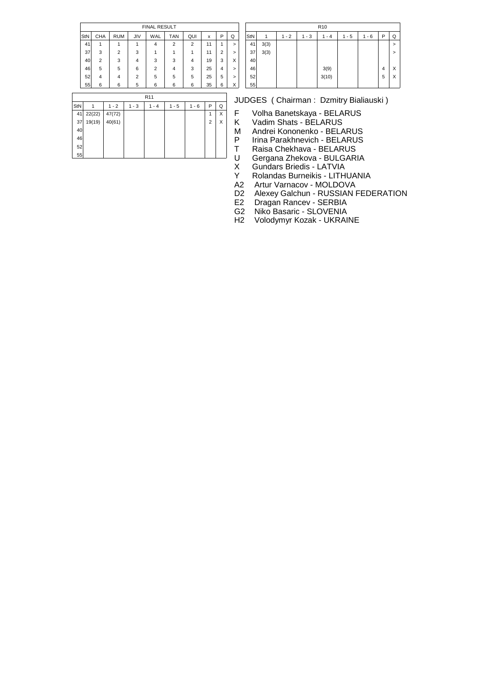|     |                |            |     | <b>FINAL RESULT</b> |                |     |    |   |                |
|-----|----------------|------------|-----|---------------------|----------------|-----|----|---|----------------|
| StN | <b>CHA</b>     | <b>RUM</b> | JIV | WAL                 | <b>TAN</b>     | QUI | x  | P | Q              |
| 41  | 1              |            |     | 4                   | $\overline{2}$ | 2   | 11 | 1 | $\overline{ }$ |
| 37  | 3              | 2          | 3   |                     |                | 1   | 11 | 2 | >              |
| 40  | $\overline{2}$ | 3          | 4   | 3                   | 3              | 4   | 19 | 3 | X              |
| 46  | 5              | 5          | 6   | 2                   | 4              | 3   | 25 | 4 | >              |
| 52  | 4              | 4          | 2   | 5                   | 5              | 5   | 25 | 5 | >              |
| 55  | 6              | 6          | 5   | 6                   | 6              | 6   | 35 | 6 | X              |

|     |      |         |         | R <sub>10</sub> |         |         |   |        |
|-----|------|---------|---------|-----------------|---------|---------|---|--------|
| StN |      | $1 - 2$ | $1 - 3$ | $1 - 4$         | $1 - 5$ | $1 - 6$ | P | Q      |
| 41  | 3(3) |         |         |                 |         |         |   | $\geq$ |
| 37  | 3(3) |         |         |                 |         |         |   | >      |
| 40  |      |         |         |                 |         |         |   |        |
| 46  |      |         |         | 3(9)            |         |         | 4 | X      |
| 52  |      |         |         | 3(10)           |         |         | 5 | Χ      |
| 55  |      |         |         |                 |         |         |   |        |

|     |        |         |         | R <sub>11</sub> |         |         |                |   |
|-----|--------|---------|---------|-----------------|---------|---------|----------------|---|
| StN | 1      | $1 - 2$ | $1 - 3$ | $1 - 4$         | $1 - 5$ | $1 - 6$ | P              | Q |
| 41  | 22(22) | 47(72)  |         |                 |         |         | 1              | X |
| 37  | 19(19) | 40(61)  |         |                 |         |         | $\overline{2}$ | Χ |
| 40  |        |         |         |                 |         |         |                |   |
| 46  |        |         |         |                 |         |         |                |   |
| 52  |        |         |         |                 |         |         |                |   |
| 55  |        |         |         |                 |         |         |                |   |

F Volha Banetskaya - BELARUS<br>K Vadim Shats - BELARUS

K Vadim Shats - BELARUS<br>M Andrei Kononenko - BELA

M Andrei Kononenko - BELARUS

P Irina Parakhnevich - BELARUS

T Raisa Chekhava - BELARUS<br>U Gergana Zhekova - BULGARI

U Gergana Zhekova - BULGARIA<br>X Gundars Briedis - LATVIA

X Gundars Briedis - LATVIA<br>Y Rolandas Burneikis - LITH

Y Rolandas Burneikis - LITHUANIA<br>A2 Artur Varnacov - MOLDOVA

A2 Artur Varnacov - MOLDOVA<br>D2 Alexey Galchun - RUSSIAN I D2 Alexey Galchun - RUSSIAN FEDERATION<br>E2 Dragan Rancev - SERBIA

E2 Dragan Rancev - SERBIA<br>G2 Niko Basaric - SLOVENIA

G2 Niko Basaric - SLOVENIA<br>H2 Volodymyr Kozak - UKRAII

Volodymyr Kozak - UKRAINE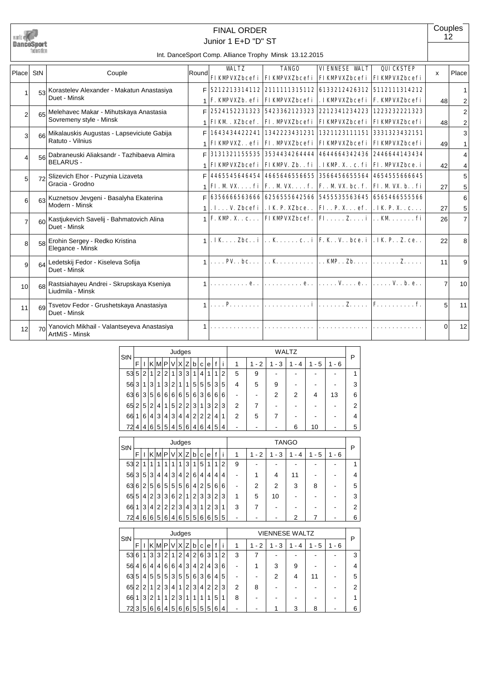

# Junior 1 E+D "D" ST FINAL ORDER

**Couples** 12

#### Int. DanceSport Comp. Alliance Trophy Minsk 13.12.2015

| Place          | StN             | Couple                                                               | Round | <b>WAT.TZ</b>                             | <b>TANGO</b><br><b>FIKMPVXZbcefi   FIKMPVXZbcefi   FIKMPVXZbcefi   FIKMPVXZbcefi</b>                                                            | <b>VIENNESE WALT</b> | QUICKSTEP | x              | Place               |
|----------------|-----------------|----------------------------------------------------------------------|-------|-------------------------------------------|-------------------------------------------------------------------------------------------------------------------------------------------------|----------------------|-----------|----------------|---------------------|
|                |                 | 53 Korastelev Alexander - Makatun Anastasiya<br>Duet - Minsk         | F.    |                                           | 5212213314112 2111111315112 6133212426312 5112111314212<br><b>F. KMPVXZb. efi   FIKMPVXZbcefi   . IKMPVXZbcefi   F. KMPVXZbcefi</b>             |                      |           | 48             |                     |
| $\overline{2}$ |                 | 65 Melehavec Makar - Mihutskaya Anastasia<br>Sovremeny style - Minsk | F     | <b>FIKM. XZbcef.</b>                      | 2524152231323 5423362123323 2212341234223 1223232221323<br><b>FI. MPVXZbcefi   FIKMPVXZbcefi   FIKMPVXZbcefi</b>                                |                      |           | 48             | $\overline{2}$<br>2 |
| 3              | <b>GGI</b>      | Mikalauskis Augustas - Lapseviciute Gabija<br>Ratuto - Vilnius       | Е     |                                           | 1643434422241   1342223431231   1321123111151   3331323432151<br><b>FIKMPVXZefi   FI. MPVXZbcefi   FIKMPVXZbcefi   FIKMPVXZbcefi</b>            |                      |           | 49             | 3                   |
| Δ              | 56 <sup>1</sup> | Dabraneuski Aliaksandr - Tazhibaeva Almira<br><b>BELARUS -</b>       | F     |                                           | 3131321155535 3534434264444 4644664342436 2446644143434<br><b>FIKMPVXZbcefi   FIKMPV. Zb. . fi   . IKMP. X. . c. fi   FI. MPVXZbce. i</b>       |                      |           | 42             | 4<br>4              |
| 5              | 7기              | Slizevich Ehor - Puzynia Lizaveta<br>Gracia - Grodno                 | F     |                                           | 4465545646454 4665646556655 3566456655564 4654555666645<br>FI. M VX. $\dots$ fi   F. . M VX. $\dots$ f.   F. . M VX. bc. f.   FI. M VX. b. . fi |                      |           | 27             | 5<br>5              |
| 6              |                 | 63 Kuznetsov Jevgeni - Basalyha Ekaterina<br>Modern - Minsk          | F     |                                           | 6356666563666 6256555642566 5455535563645 6565466555566<br>.IV. Zbcefi   . IK. P. XZbce. .   FI. . P. X. ef.   . IK. P. X. . c.                 |                      |           | 27             | 6<br>5              |
| 7              |                 | 60 Kastjukevich Savelij - Bahmatovich Alina<br>Duet - Minsk          |       |                                           | $1 \times \text{KMP. X. c.}$ . FIKMPVXZbcef. FI Z i  KM  fi                                                                                     |                      |           | 26             | $\overline{7}$      |
| 8              | $58$            | Erohin Sergey - Redko Kristina<br>Elegance - Minsk                   |       |                                           | . IK  Zbc. . i $\vert$ K c. . i   F. K. . V. . bce. i   . IK P. . Z. ce. .                                                                      |                      |           | 22             | 8                   |
| 9              | 64              | Ledetskij Fedor - Kiseleva Sofija<br>Duet - Minsk                    |       | $1, \ldots$ PV. $\cdot$ bc. $\cdot \cdot$ | $\ldots$ K   KMP. . Zb.   Z.                                                                                                                    |                      |           | 11             | 9                   |
| 10             | 68              | Rastsiahayeu Andrei - Skrupskaya Kseniya<br>Liudmila - Minsk         |       |                                           |                                                                                                                                                 | e V e V. . b. e      |           | $\overline{7}$ | 10                  |
| 11             |                 | 69 Tsvetov Fedor - Grushetskaya Anastasiya<br>Duet - Minsk           |       |                                           | $1  P i Z FF.$                                                                                                                                  |                      |           | 5              | 11                  |
| 12             | $\overline{70}$ | Yanovich Mikhail - Valantseyeva Anastasiya<br>ArtMiS - Minsk         |       |                                           |                                                                                                                                                 |                      |           | $\Omega$       | 12                  |

| StN |   |                |                |   |   |        | Judges |   |   |   |                |   |   |   |                       |                                    | WALTZ               |                     |       | P |
|-----|---|----------------|----------------|---|---|--------|--------|---|---|---|----------------|---|---|---|-----------------------|------------------------------------|---------------------|---------------------|-------|---|
|     | F |                | KI             | м | P | V      | ΧI     | Z | b | C | e              | f | I | 1 | $\overline{2}$<br>1 - | 3<br>1<br>$\overline{\phantom{a}}$ | 4<br>$\blacksquare$ | 5<br>$\blacksquare$ | 1 - 6 |   |
| 53  | 5 | 2              | 1              | 2 | 2 | 1      | 3      | 3 | 1 | 4 |                | 1 | 2 | 5 | 9                     |                                    |                     |                     |       |   |
| 56  | 3 | $\mathbf{1}$   | 3 <sub>1</sub> | 1 | 3 | 2      | 1      | 1 | 5 | 5 | 5 <sup>1</sup> | 3 | 5 | 4 | 5                     | 9                                  |                     |                     |       | 3 |
| 63  | 6 | 3              | 5 <sup>1</sup> | 6 | 6 | 6      | 6      | 5 | 6 | 3 | 6              | 6 | 6 | - |                       | 2                                  | 2                   | 4                   | 13    | 6 |
| 65  | 2 | 5              | 2              | 4 | 1 | 5      | 2      | 2 | 3 | 1 | 3              | 2 | 3 | 2 |                       |                                    |                     |                     |       | 2 |
| 66  | 1 | 6              | 4              | 3 | 4 | 3      | 4      | 4 | 2 | 2 | 2              | 4 |   | 2 | 5                     |                                    |                     |                     |       | 4 |
| 72  | 4 | 4 <sup>1</sup> | 6              | 5 | 5 | $.4^+$ | 5      | 6 | 4 | 6 | 4              | 5 | 4 |   |                       |                                    | 6                   | 10                  |       | 5 |

| StN |     |                |   |     |                |   | Judges         |                |                |   |                |   |   |                          |             |      | TANGO  |     |           | P |
|-----|-----|----------------|---|-----|----------------|---|----------------|----------------|----------------|---|----------------|---|---|--------------------------|-------------|------|--------|-----|-----------|---|
|     | F   |                |   | KIM | P              | V | Χl             | Z              | b              | C | е              | f |   | 1                        | 2<br>1<br>٠ | $-3$ | 4<br>۰ | - 5 | $-6$<br>1 |   |
| 53  | 2   |                |   | 1   | 1              | 1 |                | 3              | 1              | 5 | 1              | 1 | 2 | 9                        | -           |      |        |     |           |   |
| 56  | 3   | 5              | 3 | 4   | 4              | 3 | 4              | $\overline{2}$ | 6              | 4 | 4'             | 4 | 4 | $\blacksquare$           | 1           | 4    | 11     |     |           | 4 |
| 63  | 6   | 2 <sup>1</sup> | 5 | 6   | 5              | 5 | 5              | 6              | 4              | 2 | 5              | 6 | 6 | $\overline{\phantom{a}}$ | 2           | 2    | 3      | 8   |           | 5 |
| 65  | 5   | 41             | 2 | 3   | 3              | 6 | 2 <sub>1</sub> | 1              | $\overline{2}$ | 3 | 3              | 2 | 3 | 1                        | 5           | 10   |        |     |           | 3 |
| 66  | 1   | 3              | 4 | 2   | $\overline{2}$ | 2 | 3              | 4              | 3              | 1 | $\overline{2}$ | 3 | 1 | 3                        | 7           |      |        |     |           | 2 |
|     | 724 | 6              | 6 | 5   | 6              | 4 | 6              | 5              | 5              | 6 | 6              | 5 | 5 | ٠                        |             |      | 2      |     |           | 6 |

|   |                                  |   |   |                |                |   |   |                                |                |   |   |                      |   |                          |        |   |        |                       | P |
|---|----------------------------------|---|---|----------------|----------------|---|---|--------------------------------|----------------|---|---|----------------------|---|--------------------------|--------|---|--------|-----------------------|---|
| F |                                  | κ | M | P              | V              |   |   | b                              | C              | е | f |                      | 1 | 2<br>1<br>$\blacksquare$ | 3<br>۰ | 4 | 5<br>۰ | $-6$                  |   |
| 6 | 1                                | 3 | 3 | 2              | 1              | 2 | 4 | 2                              | 6              | 3 | 1 | 2                    | 3 | 7                        |        |   |        |                       | 3 |
| 4 | 6                                | 4 | 4 | 6              | 6              |   | 3 | 4                              | $\overline{2}$ |   | 3 | 6                    | - | 4                        | 3      | 9 |        |                       | 4 |
| 5 | 4                                |   |   | 5              | 3              |   | 5 | 6                              | 3              | 6 | 4 | 5                    | ٠ |                          | 2      | 4 | 11     |                       | 5 |
| 2 | 2                                |   | 2 | 3              | 4              | 1 | 2 | 3                              | 4              |   | 2 | 3                    | 2 | 8                        |        |   |        |                       | 2 |
|   | 3                                | 2 | 1 | 1              | 2              | 3 | 1 | 1                              | 1              | 1 | 5 | 1                    | 8 |                          |        |   |        |                       |   |
| 3 | 5                                | 6 | 6 | 4              | 5              | 6 | 6 | 5                              | 5              | 5 | 6 | 4                    | ۰ |                          |        | 3 | 8      |                       | 6 |
|   | 53<br>56<br>63<br>65<br>66<br>72 |   |   | 5 <sup>1</sup> | 5 <sup>1</sup> |   |   | ΙZ<br>X<br>4<br>5 <sup>5</sup> | Judges         |   |   | 4'<br>2 <sup>1</sup> |   |                          |        |   |        | <b>VIENNESE WALTZ</b> |   |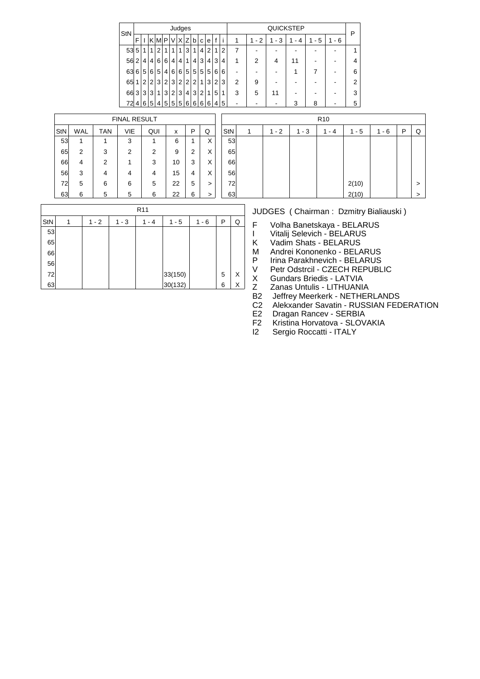| StN     |                |                |                |   |                |   | Judges |                |                |                |                |   |                |                |                |          | QUICKSTEP |          |           | P |
|---------|----------------|----------------|----------------|---|----------------|---|--------|----------------|----------------|----------------|----------------|---|----------------|----------------|----------------|----------|-----------|----------|-----------|---|
|         | F              |                | κ              | M | P              | V | X      | Ζ              | b              | C              | e              | f | Ť              | 1              | $-2$<br>1      | - 3<br>1 | - 4       | - 5<br>1 | $-6$<br>1 |   |
| $53\,5$ |                | 1              | 1              | 2 | 1              |   | 1      | 3              | 1              | ا 4 ،          | 2              | 1 | $\overline{2}$ | 7              | -              | ۰        |           |          |           |   |
| 56      | $\overline{2}$ | 4              | 4              | 6 | 6              | 4 | 4      | 1              | 4              | 3              | 4              | 3 | 4              | 1              | $\overline{2}$ | 4        | 11        |          |           |   |
| 63      | 6              | 5              | 6              | 5 | 4 <sup>1</sup> | 6 | 6      | 5              | 5              | 5 <sup>1</sup> | 5 <sup>5</sup> | 6 | 6              | ۰              |                |          |           |          |           | 6 |
| 65      | 1              | $\overline{2}$ | $\overline{2}$ | 3 | 2 <sub>1</sub> | 3 | 2      | $\overline{2}$ | $\overline{2}$ | 1              | $\mathbf{3}$   | 2 | 3              | $\overline{2}$ | 9              |          |           |          |           | 2 |
| 66      | 3              | 3              | 3              | 1 | 3              | 2 | 3      | 4              | 3              | 2 <sub>1</sub> | 1              | 5 | 1              | 3              | 5              | 11       |           |          |           | 3 |
| 72      | $\overline{4}$ | 6              | 5              | 4 | 5 <sup>1</sup> | 5 | 5      | 6              | 6              | 6              | 6              | 4 | 5              |                |                |          | 3         | 8        |           | 5 |

|     |            |            | <b>FINAL RESULT</b> |     |    |   |        |    |
|-----|------------|------------|---------------------|-----|----|---|--------|----|
| StN | <b>WAL</b> | <b>TAN</b> | VIE                 | QUI | x  | Ρ | Q      | St |
| 53  |            |            | 3                   |     | 6  | 1 | X      |    |
| 65  | 2          | 3          | $\overline{2}$      | 2   | 9  | 2 | X      |    |
| 66  | 4          | 2          |                     | 3   | 10 | 3 | Χ      |    |
| 56  | 3          | 4          | 4                   | 4   | 15 | 4 | Χ      |    |
| 72  | 5          | 6          | 6                   | 5   | 22 | 5 | $\geq$ |    |
| 63  | 6          | 5          | 5                   | 6   | 22 | 6 | >      |    |

|     |         |         | R <sub>10</sub> |                    |         |   |   |
|-----|---------|---------|-----------------|--------------------|---------|---|---|
| StN | $1 - 2$ | $1 - 3$ | $1 - 4$         | $1 - 5$            | $1 - 6$ | P | Q |
| 53  |         |         |                 |                    |         |   |   |
| 65  |         |         |                 |                    |         |   |   |
| 66  |         |         |                 |                    |         |   |   |
| 56  |         |         |                 |                    |         |   |   |
| 72  |         |         |                 |                    |         |   | > |
| 63  |         |         |                 | $2(10)$<br>$2(10)$ |         |   | > |

|  |  |  | JUDGES (Chairman: Dzmitry Bialiauski)                 |
|--|--|--|-------------------------------------------------------|
|  |  |  | $1-6$ $\boxed{P \mid Q}$ F Volha Banetskaya - BELARUS |
|  |  |  | Vitalij Selevich - BELARUS                            |

I Vitalij Selevich - BELARUS<br>K Vadim Shats - BELARUS

K Vadim Shats - BELARUS<br>M Andrei Kononenko - BELA

M Andrei Kononenko - BELARUS<br>P Irina Parakhnevich - BELARUS

P Irina Parakhnevich - BELARUS<br>V Petr Odstrcil - CZECH REPUBL V Petr Odstrcil - CZECH REPUBLIC<br>X Gundars Briedis - LATVIA

X Gundars Briedis - LATVIA<br>Z Zanas Untulis - LITHUANI

Z Zanas Untulis - LITHUANIA<br>B2 Jeffrev Meerkerk - NETHER

B2 Jeffrey Meerkerk - NETHERLANDS<br>C2 Alekxander Savatin - RUSSIAN FED

C2 Alekxander Savatin - RUSSIAN FEDERATION<br>E2 Dragan Rancev - SERBIA

E2 Dragan Rancev - SERBIA<br>F2 Kristina Horvatova - SLOV

F2 Kristina Horvatova - SLOVAKIA<br>I2 Sergio Roccatti - ITALY

Sergio Roccatti - ITALY

|     |   |         |         | R <sub>11</sub> |         |         |   |   |
|-----|---|---------|---------|-----------------|---------|---------|---|---|
| StN | 1 | $1 - 2$ | $1 - 3$ | $1 - 4$         | $1 - 5$ | $1 - 6$ | P | Q |
| 53  |   |         |         |                 |         |         |   |   |
| 65  |   |         |         |                 |         |         |   |   |
| 66  |   |         |         |                 |         |         |   |   |
| 56  |   |         |         |                 |         |         |   |   |
| 72  |   |         |         |                 | 33(150) |         | 5 | X |
| 63  |   |         |         |                 | 30(132) |         | 6 | Χ |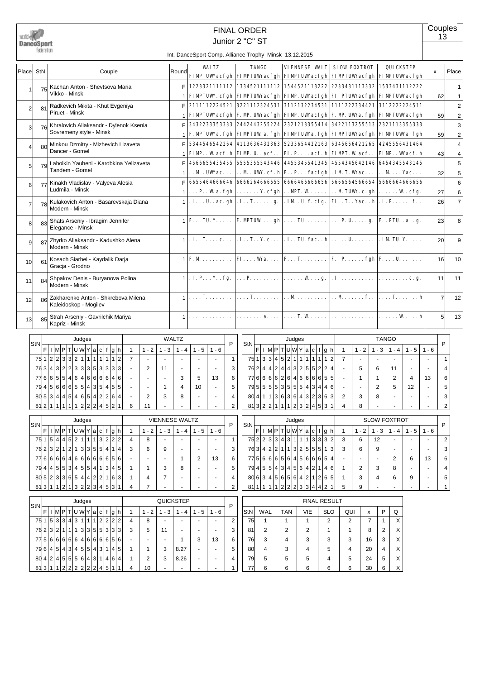|                | DanceSport<br>federation |                                                                                                  |                   |                          | <b>FINAL ORDER</b><br>Junior 2 "C" ST                                                                                                               |                              |                         |                     |                 |                                                                                               |                       |                          |          |                     |                     |                                                                                                               |                | Couples<br>13  |                              |
|----------------|--------------------------|--------------------------------------------------------------------------------------------------|-------------------|--------------------------|-----------------------------------------------------------------------------------------------------------------------------------------------------|------------------------------|-------------------------|---------------------|-----------------|-----------------------------------------------------------------------------------------------|-----------------------|--------------------------|----------|---------------------|---------------------|---------------------------------------------------------------------------------------------------------------|----------------|----------------|------------------------------|
|                |                          |                                                                                                  |                   |                          | Int. DanceSport Comp. Alliance Trophy Minsk 13.12.2015                                                                                              |                              |                         |                     |                 |                                                                                               |                       |                          |          |                     |                     |                                                                                                               |                |                |                              |
| Place          | StN                      | Couple                                                                                           | Round             |                          | <b>WALTZ</b><br>FIMPTUWacfgh FIMPTUWacfgh FIMPTUWacfgh FIMPTUWacfgh FIMPTUWacfgh                                                                    |                              |                         | <b>TANGO</b>        |                 | <b>VIENNESE VALT SLOW FOXTROT</b>                                                             |                       |                          |          |                     |                     | <b>QUICKSTEP</b>                                                                                              | x              |                | Place                        |
|                | 75                       | Kachan Anton - Shevtsova Maria<br>Vikko - Minsk                                                  | F<br>$\mathbf{1}$ |                          | 1223321111112 1334521111112 1544521113222 2233431113332 1533431112222<br><b>FIMPTUW. cfgh FIMPTUWacfgh FIMP. UWacfgh FI. PTUWacfgh FIMPTUWacfgh</b> |                              |                         |                     |                 |                                                                                               |                       |                          |          |                     |                     |                                                                                                               |                | 62             | 1<br>1                       |
| $\overline{2}$ | 81                       | Radkevich Mikita - Khut Evgeniya<br>Piruet - Minsk                                               | F                 |                          | 2111112224521<br>FIMPTUWacfgh F. M. UWacfgh FIMP. UWacfgh F. M. UWa. fgh FIMPTUWacfgh                                                               |                              |                         |                     |                 |                                                                                               |                       |                          |          |                     |                     | 3221112324531 3112132234531 1111222334421 3112222224511                                                       |                | 59             | $\mathbf 2$<br>2             |
| 3              | 76                       | Khralovich Aliaksandr - Dylenok Ksenia<br>Sovremeny style - Minsk                                | F<br>$\mathbf{1}$ |                          | 3432233353333 2442443255224 2321213355414 3422113255513 2321113355333<br>F. MPTUWA. fgh FIMPTUW a. fgh FIMPTUWA. fgh FIMPTUWAcfgh FIMPTUWA. fgh     |                              |                         |                     |                 |                                                                                               |                       |                          |          |                     |                     |                                                                                                               |                | 59             | 3<br>$\overline{\mathbf{c}}$ |
| Δ              | 80                       | Minkou Dzmitry - Mizhevich Lizaveta<br>Dancer - Gomel                                            | F                 |                          | 5344546542264<br>$FIMP.$ . W acf. h $FIMP.$ U. . acf                                                                                                |                              |                         |                     |                 |                                                                                               |                       |                          |          |                     |                     | 4113636432363 5233654422163 6345656421265 4245556431464<br>  FI. P. acf. h  FIMPT. W acf. .   FIMP. . Wacf. h |                | 43             | 4<br>4                       |
| 5              | 79                       | Lahoikin Yauheni - Karobkina Yelizaveta<br>Tandem - Gomel                                        | F<br>1            |                          | 4566655435455<br>$\ldots$ M $\ldots$ UW ac $\ldots$                                                                                                 |                              |                         |                     |                 | . . M . UW. cf. h F. . P. Yacfgh . IM T. Wac.                                                 |                       |                          |          |                     |                     | 5555355543446 4455345541345 4554345642146 6454345543145<br>$\ldots$ M $\ldots$ Yac $\ldots$                   |                | 32             | 5<br>5                       |
| 6              | 77                       | Kinakh Vladislav - Valyeva Alesia<br>Ludmila - Minsk                                             | F<br>$\mathbf{1}$ |                          | 6655464666646<br>$\ldots$ P. . W a. fgh                                                                                                             |                              | $\ldots \ldots$ Y. cfgh |                     |                 | $\ldots$ MPT. W $\ldots$                                                                      |                       |                          |          |                     |                     | 6666264666655 6666466666656 5666564566654 5666664666656<br>$\ldots$ M TUW. c. gh $\ldots \ldots$ W. cfg.      |                | 27             | 6<br>6                       |
| 7              | 78                       | Kulakovich Anton - Basarevskaja Diana<br>Modern - Minsk                                          | $\mathbf{1}$      |                          | . I U. . ac. gh  . I. . T. g.   . IM . U. Y. cfg.   FI. . T. . Yac. . h  . I. P. f. .                                                               |                              |                         |                     |                 |                                                                                               |                       |                          |          |                     |                     |                                                                                                               |                | 26             | $\overline{7}$               |
| 8              | $83$                     | Shats Arseniy - Ibragim Jennifer<br>Elegance - Minsk                                             | 1 <sup>1</sup>    |                          | $ F\ldots TU, Y\ldots,  F\ldots P\Gamma\cup W\ldots gh  \ldots, TU\ldots, \ldots, P\ldots, P\ldots, g\ldots, g\ldots, g\ldots, g\ldots$             |                              |                         |                     |                 |                                                                                               |                       |                          |          |                     |                     |                                                                                                               |                | 23             | 8                            |
| 9              | 87                       | Zhyrko Aliaksandr - Kadushko Alena<br>Modern - Minsk                                             | $\mathbf{1}$      |                          | $\ldots$ . T. $\ldots$ c. $\ldots$                                                                                                                  |                              |                         |                     |                 |                                                                                               |                       |                          |          |                     |                     | . I. . T. . Y. c.   . I. . TU. Yac. . h  U.   . IM TU. Y.                                                     |                | 20             | 9                            |
| 10             | 61                       | Kosach Siarhei - Kaydalik Darja<br>Gracja - Grodno                                               | $\mathbf{1}$      |                          | $F. M. \ldots \ldots$                                                                                                                               |                              |                         |                     |                 |                                                                                               |                       |                          |          |                     |                     | <b>FI Wa</b>   F T   F P fgh   F U                                                                            |                | 16             | 10                           |
| 11             | 84                       | Shpakov Denis - Buryanova Polina<br>Modern - Minsk                                               |                   |                          | $\cdot$ I. P. $\cdot$ . Y. . fg.                                                                                                                    |                              |                         |                     |                 | $\ldots$ P. $\vert \ldots \ldots W \ldots g. \vert \cdot I \ldots \ldots \ldots \ldots \vert$ |                       |                          |          |                     |                     |                                                                                                               |                | 11             | 11                           |
| 12             | 86                       | Zakharenko Anton - Shkrebova Milena<br>Kaleidoskop - Mogilev                                     |                   |                          | . <b>T.</b>                                                                                                                                         |                              | . <b>T</b> .            |                     |                 |                                                                                               |                       |                          |          |                     |                     | $\ldots$ M  $\ldots$ Mf  $\ldots$ T                                                                           |                | $\overline{7}$ | 12                           |
| 13             | 85                       | Strah Arseniy - Gavrilchik Mariya<br>Kapriz - Minsk                                              |                   |                          |                                                                                                                                                     |                              |                         | . a.                |                 | . <b>T.</b> W.                                                                                |                       | .                        |          |                     |                     | . W <b>h</b>                                                                                                  |                | 5              | 13                           |
|                |                          | Judges                                                                                           | <b>WALTZ</b>      |                          |                                                                                                                                                     |                              |                         |                     | Judges          |                                                                                               |                       |                          |          |                     | <b>TANGO</b>        |                                                                                                               |                |                |                              |
|                | StN                      | $ F $ ı $ M P T U W Y a c f g h$<br>$1 - 2$<br>$1 - 3$<br>$\mathbf{1}$                           | $1 - 4$           | $1 - 5$                  | P<br>$1 - 6$                                                                                                                                        |                              | StN                     |                     |                 | $ F $ ı $ M P T U W Y a c f g h$                                                              |                       | $\overline{1}$           | $1 - 2$  |                     | $1 - 3$             | $1 - 4$<br>$1 - 5$                                                                                            | $1 - 6$        | P              |                              |
|                |                          | 75 1 2 2 3 3 2 1 1<br>1<br>$\mathbf{1}$<br>1 1 2<br>$\overline{7}$<br>$\blacksquare$<br>$\omega$ | $\sim$            | $\sim$                   | $\sim$                                                                                                                                              | $\mathbf{1}$                 |                         | 75 1 3 3 4 5 2 1    |                 | 1 <sup>1</sup><br>$\mathbf{1}$<br>$\mathbf{1}$                                                | l 1<br>$\overline{1}$ | 2<br>$\overline{7}$      | $\sim$   |                     | $\blacksquare$      | $\sim$                                                                                                        |                | 1              |                              |
|                |                          | 763 4 3 2 2 3 3 3 5 3 3 3 3<br>$\overline{2}$<br>11<br>$\sim$                                    | $\sim$            | $\omega$                 | $\sim$                                                                                                                                              | 3                            |                         |                     |                 | 762 4 4 2 4 4 3 2 5 5 2 2 4                                                                   |                       | $\sim$                   | 5        |                     | 6<br>11             | $\overline{a}$                                                                                                | $\overline{a}$ | 4              |                              |
|                |                          | 77665546464666646                                                                                | 3                 | 5                        | 13                                                                                                                                                  | 6                            |                         |                     |                 | 776666264666655                                                                               |                       |                          | 1        |                     | 1                   | $\overline{2}$<br>4                                                                                           | 13             | 6              |                              |
|                |                          | 79 4 5 6 6 6 5 5 4 3 5 4 5 5<br>1                                                                | 4                 | 10                       |                                                                                                                                                     | 5                            |                         |                     |                 | 79555535155143446                                                                             |                       |                          |          |                     | 2                   | 5<br>12                                                                                                       |                | 5              |                              |
|                |                          | 805344546542264<br>2<br>3<br>812 1 1 1 1 1 2 2 2 4 5 2 1<br>6<br>11                              | 8                 | $\blacksquare$           | $\sim$                                                                                                                                              | 4<br>$\overline{\mathbf{c}}$ |                         |                     |                 | 80 4 1 1 3 6 3 6 4 3 2 3 6 3 <br>813 2 2 1 1 1 2 3 2 4 5 3 1                                  |                       | 2<br>4                   | 3<br>8   |                     | 8                   |                                                                                                               |                | 3<br>2         |                              |
|                |                          |                                                                                                  |                   |                          |                                                                                                                                                     |                              |                         |                     |                 |                                                                                               |                       |                          |          |                     |                     |                                                                                                               |                |                |                              |
|                | StN                      | VIENNESE WALTZ<br>Judges                                                                         |                   |                          | P                                                                                                                                                   |                              | StN                     |                     | Judges          |                                                                                               |                       |                          |          |                     | <b>SLOW FOXTROT</b> |                                                                                                               |                | P              |                              |
|                |                          | F I M P T U W Y a c f g h<br>$1 - 3$<br>$\mathbf{1}$<br>$1 - 2$                                  | $1 - 4$           | $1 - 5$                  | $1 - 6$                                                                                                                                             |                              |                         |                     |                 | $ F $ l $ M P T U W Y a c f g h $                                                             |                       | $\overline{\phantom{0}}$ | $1 - 2$  |                     | $1 - 3$             | $1 - 5$<br>$1 - 4$                                                                                            | $1 - 6$        |                |                              |
|                |                          | 7515445211132222<br>8<br>4                                                                       |                   | $\blacksquare$           | $\mathbf{1}$                                                                                                                                        |                              |                         |                     |                 | 7522334311113332<br>763 4 2 2 1 1 3 2 5 5 5 1 3                                               |                       | 3                        | 6        |                     | 12                  | $\blacksquare$                                                                                                |                | 2              |                              |
|                |                          | 76 2 3 2 1 2 1 3 3 5 5 4 1 4<br>3<br>6<br>9<br>77666664666666656                                 |                   | $\blacksquare$           | $\sim$                                                                                                                                              | 3                            |                         |                     |                 | 775666656456666                                                                               |                       | 3                        | 6        |                     | 9                   | $\sim$                                                                                                        |                | 3              |                              |
|                |                          | 79 4 4 5 5 3 4 5 5 4 1 3 4 5<br>1<br>3<br>-1                                                     | -1<br>8           | 2<br>$\blacksquare$      | 13<br>$\blacksquare$                                                                                                                                | 6<br>5                       |                         |                     |                 | 79 4 5 5 4 3 4 5 6 4 2 1 4 6                                                                  |                       | -1                       | 2        |                     | $\blacksquare$<br>3 | 2<br>6<br>8                                                                                                   | 13             | 6<br>4         |                              |
|                |                          | 805 233654422163<br>7<br>4<br>-1                                                                 |                   | $\blacksquare$           |                                                                                                                                                     | 4                            |                         |                     |                 | 806345656421265                                                                               |                       | -1                       | 3        |                     | 4                   | 6<br>9                                                                                                        |                | 5              |                              |
|                |                          | 8131121222234531<br>$\overline{7}$<br>4                                                          |                   |                          |                                                                                                                                                     | $\overline{2}$               |                         |                     |                 | 81 1 1 1 1 2 2 2 3 3 4 4 2                                                                    |                       | 5                        | 9        |                     |                     |                                                                                                               |                | 1              |                              |
|                |                          |                                                                                                  |                   |                          |                                                                                                                                                     |                              |                         |                     |                 |                                                                                               |                       |                          |          |                     |                     |                                                                                                               |                |                |                              |
|                | StN                      | Judges                                                                                           | QUICKSTEP         |                          | P                                                                                                                                                   |                              |                         |                     |                 | <b>FINAL RESULT</b>                                                                           |                       |                          |          |                     |                     |                                                                                                               |                |                |                              |
|                |                          | F I M P T U W Y a c f g h<br>$1 - 3$<br>$1 - 2$<br>$\mathbf{1}$<br>75153343111122222<br>8<br>4   | $1 - 4$           | $1 - 5$                  | $1 - 6$                                                                                                                                             | $\overline{\mathbf{c}}$      | StN<br>75               | WAL<br>$\mathbf{1}$ | <b>TAN</b><br>1 | VIE<br>$\mathbf{1}$                                                                           | <b>SLO</b><br>2       |                          | QUI<br>2 | x<br>$\overline{7}$ | P<br>$\mathbf{1}$   | Q<br>X                                                                                                        |                |                |                              |
|                | 76                       | 2 3 2 1 1 1 3 3 5 5 3 3 3 <br>5<br>3<br>11                                                       |                   | $\overline{\phantom{a}}$ |                                                                                                                                                     | 3                            | 81                      | 2                   | 2               | 2                                                                                             | $\mathbf{1}$          |                          | 1        | 8                   | 2                   | Х                                                                                                             |                |                |                              |
|                |                          | 7756666664666656                                                                                 | -1                | 3                        | 13                                                                                                                                                  | 6                            | 76                      | 3                   | 4               | 3                                                                                             | 3                     |                          | 3        | 16                  | 3                   | Х                                                                                                             |                |                |                              |
|                |                          | 79 6 4 5 4 3 4 5 5 4 3 1 4 5<br>1<br>3<br>-1                                                     | 8.27              |                          |                                                                                                                                                     | 5                            | 80                      | 4                   | 3               | 4                                                                                             | 5                     |                          | 4        | 20                  | 4                   | х                                                                                                             |                |                |                              |
|                |                          | 80 4 2 4 5 5 5 6 4 3 1 4 6 4<br>2<br>3                                                           | 8.26              |                          |                                                                                                                                                     | 4                            | 79                      | 5                   | 5               | 5                                                                                             | 4                     |                          | 5        | 24                  | 5                   | Х                                                                                                             |                |                |                              |

77 6 6 6 6 6 6 30 6 X

81|3|1|1|2|2|2|2|2|2|4|5|1|1| 4 | 10 | - | - | - | - | 1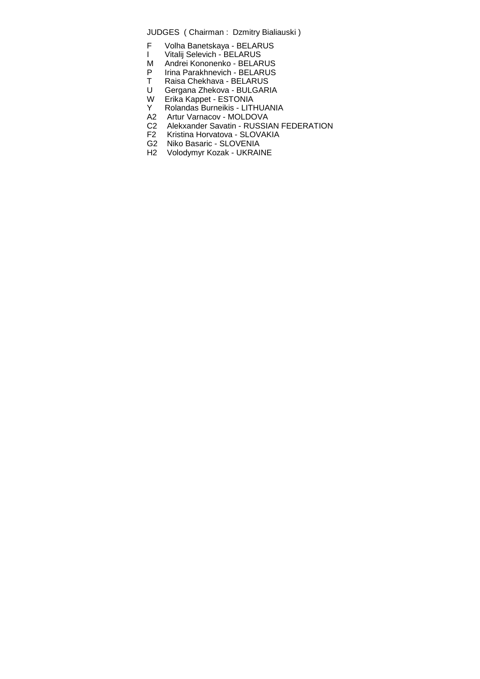- F Volha Banetskaya BELARUS
- I Vitalij Selevich BELARUS
- M Andrei Kononenko BELARUS
- P Irina Parakhnevich BELARUS
- T Raisa Chekhava BELARUS
- U Gergana Zhekova BULGARIA
- W Erika Kappet ESTONIA<br>
Y Rolandas Burneikis LITH
- Rolandas Burneikis LITHUANIA
- A2 Artur Varnacov MOLDOVA<br>C2 Alekxander Savatin RUSSI
- C2 Alekxander Savatin RUSSIAN FEDERATION<br>F2 Kristina Horvatova SLOVAKIA
- Kristina Horvatova SLOVAKIA
- G2 Niko Basaric SLOVENIA
- H2 Volodymyr Kozak UKRAINE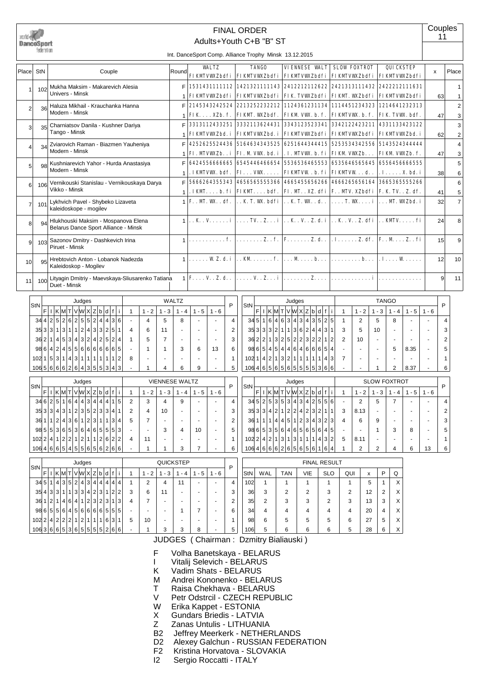

#### Adults+Youth C+B "B" ST FINAL ORDER

|                 | federation.       |                                                                             |       | Int. DanceSport Comp. Alliance Trophy Minsk 13.12.2015                                                                |              |                                                                                                                                                                              |                     |                  |                 |                     |
|-----------------|-------------------|-----------------------------------------------------------------------------|-------|-----------------------------------------------------------------------------------------------------------------------|--------------|------------------------------------------------------------------------------------------------------------------------------------------------------------------------------|---------------------|------------------|-----------------|---------------------|
| Place StN       |                   | Couple                                                                      | Round | <b>WALTZ</b>                                                                                                          | <b>TANGO</b> | <b>VIENNESE VALT</b><br>FIKMTVWZbdfi   FIKMTVWZbdfi   FIKMTVWZbdfi   FIKMTVWZbdfi   FIKMTVWZbdfi                                                                             | <b>SLOW FOXTROT</b> | <b>QUICKSTEP</b> | X               | Place               |
|                 | 102               | Mukha Maksim - Makarevich Alesia<br>Univers - Minsk                         |       | F 1531431111112 1421321111143 2412212112622 2421313111432 2422212111631                                               |              | FIKMTVWZbdfi   FIKMTVWZbdfi   FIK TVWZbdfi   FIKMT. WZbdfi   FIKMTVWZbdfi                                                                                                    |                     |                  | 63              |                     |
| $\mathfrak{p}$  | 36                | Haluza Mikhail - Krauchanka Hanna<br>Modern - Minsk                         |       |                                                                                                                       |              | 2145343242524   2213252232212   1124361231134   1114451234323   1214641232313                                                                                                |                     |                  |                 | 2                   |
| 3               | 35                | Charniatsov Danila - Kushner Dariya<br>Tango - Minsk                        |       |                                                                                                                       |              | FIK  XZb. f.   FIKM'. WXZbdf.   FIKM VW. b. f.   FIKM'VW. b. f.   FIK TVW. bdf.<br>3313112433251 3332113624431 3343123523341 3342122423211 4331133423122                     |                     |                  | 47              | 3                   |
| 4               | 34                | Zviarovich Raman - Biazmen Yauheniya<br>Modern - Minsk                      | E     |                                                                                                                       |              | FIKMTVWZbd. i FIKMTVWZbd. i FIKMTVWZbdfi FIKMTVWZbdfi FIKMTVWZbd. i<br>4252625524436 5164634343525 6251644344415 5253534342556 5143524344444                                 |                     |                  | 62              | 4                   |
| 5               | <b>QR</b>         | Kushniarevich Yahor - Hurda Anastasiya                                      | F     |                                                                                                                       |              | FI. MIVWZb. . i   FI. M VW. bd. i   . I. MIVW. b. fi   FIKM VWZb.   FIKM VWZb. f.<br>64245566666665 6545446466654 5536536465553 6535646565645 6556456666555                  |                     |                  | 47              | 3<br>5              |
| 6               | 106               | Modern - Minsk<br>Vernikouski Stanislau - Vernikouskaya Darya               | F     |                                                                                                                       |              | . IKMIVW. bdf.   FI $\ldots$ VW. $\ldots$   FIKMIVW . b. fi   FIKMIVW $\ldots$ d. $\ldots$ . X. bd. i<br>5666264355343 465656555366 4665455656266 4666265656164 366536555266 |                     |                  | 38              | 6<br>6              |
|                 |                   | Vikko - Minsk<br>Lykhvich Pavel - Shybeko Lizaveta                          |       |                                                                                                                       |              | . IKM. b. fi   FIKM. bdf.   FI. M. . XZ. dfi   F. . MV. XZbdfi   F. K. TV. . Z. df.<br>  F. . MT. WK. . df.   K. T. WK. bdfi   K. T. WK.d. .   T. WK. i   MT. WKZbd. i       |                     |                  | 41<br>32        | 5<br>$\overline{7}$ |
|                 | 101               | kaleidoskope - mogilev                                                      |       |                                                                                                                       |              |                                                                                                                                                                              |                     |                  |                 |                     |
| 8               | $Q_{\mathcal{A}}$ | Hlukhouski Maksim - Mospanova Elena<br>Belarus Dance Sport Alliance - Minsk |       | $1, K, V, \ldots, i, \ldots, T$ . T. Z., $i, i, K, V, Z, d, i, K, V, Z, df, \ldots, K$                                |              |                                                                                                                                                                              |                     |                  | 24              | 8                   |
| q               | 103               | Sazonov Dmitry - Dashkevich Irina<br>Piruet - Minsk                         |       |                                                                                                                       |              |                                                                                                                                                                              |                     |                  | 15 <sup>1</sup> | q                   |
| 10 <sup>1</sup> | 95                | Hrebtovich Anton - Lobanok Nadezda<br>Kaleidoskop - Mogilev                 |       | $1, \ldots, WZ, d, i, \ldots, K, \ldots, f, \ldots, M, \ldots, b, \ldots, \ldots, b, \ldots, J, I, \ldots, W, \ldots$ |              |                                                                                                                                                                              |                     |                  | 12 <sup>1</sup> | 10                  |
| 11              | 100               | Lityagin Dmitriy - Maevskaya-Sliusarenko Tatiana<br>Duet - Minsk            |       | $F_{\cdot}\ldots V_{\cdot}\ldots I_{\cdot}d_{\cdot}\ldots$                                                            |              |                                                                                                                                                                              |                     |                  | 9               | 11                  |

| StN                |                |                |                |                |                |                |                   | Judges         |                  |                |                |          |                |   |           |          | WALTZ |         |         | P | StN |
|--------------------|----------------|----------------|----------------|----------------|----------------|----------------|-------------------|----------------|------------------|----------------|----------------|----------|----------------|---|-----------|----------|-------|---------|---------|---|-----|
|                    | F              |                |                | KMT            |                |                |                   | VWXZ           |                  | b              | d              | f        | Ť              | 1 | $-2$<br>1 | - 3<br>1 | $-4$  | $1 - 5$ | $1 - 6$ |   |     |
| 34                 |                |                |                | 4 2 5 2        |                |                | $6 2 5 $          | 5 <sup>1</sup> | 2                | 4 <sup>1</sup> | $\vert$        | 3        | 6              | - | 4         | 5        | 8     |         |         | 4 | 34  |
| 35                 | 3 <sup>1</sup> | 3 <sup>1</sup> |                | 1 3            | $\mathbf{1}$   |                | 1 2               | $\vert$        | 3                | 3 <sup>1</sup> | $\overline{2}$ | 5        |                | 4 | 6         | 11       |       |         |         | 2 | 35  |
| 36                 | 2 <sub>1</sub> |                |                | 4 5            | 3 <sup>1</sup> | 4 <sup>1</sup> | $\lvert 3 \rvert$ | $\overline{2}$ | $\left 4\right $ | $\overline{2}$ | 5 <sup>1</sup> | 2        | 4              | 1 | 5         | 7        |       |         |         | 3 | 36  |
| 98 6               |                |                |                | 4 2 4          | 5              |                | 5 6               | 6              | $6 \overline{6}$ | 6              | 6              | $6 \mid$ | 5              | - |           |          | 3     | 6       | 13      | 6 | 98  |
| 102                |                | 5              | 3 <sup>1</sup> | 1 <sup>1</sup> | 4 <sup>1</sup> | 3 <sup>1</sup> | 11                | 1              | 1                | 1              |                |          | $\overline{2}$ | 8 |           |          |       |         |         |   | 102 |
| 106566662643555343 |                |                |                |                |                |                |                   |                |                  |                |                |          |                |   |           | 4        | 6     | 9       |         | 5 | 106 |

| StN  |                |   |                |       |                |                | Judges |                |   |                |                |   |   |                |         | <b>VIENNESE WALTZ</b> |        |       |       | P |
|------|----------------|---|----------------|-------|----------------|----------------|--------|----------------|---|----------------|----------------|---|---|----------------|---------|-----------------------|--------|-------|-------|---|
|      | F              |   | Κ              |       |                |                | VWI    | Χl             | Z | b              | d              |   | п | 1              | $1 - 2$ | 1 - 3                 | 4<br>۰ | 1 - 5 | 1 - 6 |   |
| 34 6 |                | 2 | 5              | 1     | 6              | 4              | 4      | 3              | 4 | 4              | $\overline{4}$ | 1 | 5 | 2              | 3       | 4                     | 9      |       |       | 4 |
| 35   | 3              | 3 | 4              | 3     | 1 <sub>1</sub> | 2              | 3      | 5              | 2 | 3              | 3              | 4 | 1 | $\overline{2}$ | 4       | 10                    |        |       |       | 3 |
| 36   |                | 1 | $\overline{2}$ | $4^1$ | 3              | 6              | 1      | $\overline{2}$ | 3 | 11             |                | 3 | 4 | 5              |         |                       |        |       |       | 2 |
| 98   | 5              | 5 | 3              | 6     | 5              | 3              | 6      | 4              | 6 | 5              | 5 <sup>1</sup> | 5 | 3 | -              | -       | 3                     | 4      | 10    |       | 5 |
| 102  | $\overline{2}$ | 4 | 1              | 2     | 2              | 1              | 2      | 1              | 1 | $\overline{2}$ | 6              | 2 | 2 | 4              | 11      | -                     |        |       |       | ٠ |
| 106  | 4              | 6 | 6              | 5     | 4 <sup>1</sup> | 5 <sup>1</sup> | 5      | 6              | 5 | 6              | $\overline{2}$ | 6 | 6 | -              |         |                       | 3      |       |       | 6 |

| 35 3            |                 | 3 <sup>1</sup> | 3              | 2              | 1 <sup>1</sup> | $\mathbf{1}$   | 3              | 6              | $\overline{2}$ | 4 <sup>1</sup> | 4 <sup>1</sup> | $\overline{3}$ | 1              | 3              | 5              | 10                  |                |         |          | 3 |
|-----------------|-----------------|----------------|----------------|----------------|----------------|----------------|----------------|----------------|----------------|----------------|----------------|----------------|----------------|----------------|----------------|---------------------|----------------|---------|----------|---|
| 36              | 2               | $\overline{2}$ | 1              | 3              | 2 <sup>1</sup> | 5 <sup>1</sup> | 2              | 2              | 3              | $\overline{2}$ | 2              | 1              | $\overline{2}$ | $\overline{2}$ | 10             |                     |                |         |          | 2 |
| 98              | 6               | 5              | 4              | 5              | $\vert$        | $\vert$        | 6              | $\vert$        | 6              | 6              | 6              | 5              | 4              |                |                |                     | 5              | 8.35    |          | 5 |
| 102             | 1               | 4              | 2              | $\mathbf{1}$   | $\frac{3}{3}$  | $\overline{2}$ | 1              | 1              | 1              |                |                | 4              | 3              | 7              |                |                     |                |         |          |   |
| 106             | $\vert 4 \vert$ | 6              | 5 <sup>1</sup> |                | 6 5            | 6              | 5 5 5          |                |                | 5              | 3              | 6              | 6              |                |                |                     | $\overline{2}$ | 8.37    |          | 6 |
|                 |                 |                |                |                |                |                |                |                |                |                |                |                |                |                |                |                     |                |         |          |   |
|                 |                 |                |                |                |                |                | Judges         |                |                |                |                |                |                |                |                | <b>SLOW FOXTROT</b> |                |         |          |   |
|                 |                 |                |                |                |                |                |                |                |                |                |                |                |                |                |                |                     |                |         |          |   |
| StN             | F               |                |                |                |                |                | KMTVWX         |                | Z              | b              | d              |                |                |                | $-2$           | $1 - 3$             | $1 - 4$        | $1 - 5$ | - 6<br>1 | P |
| 34 5            |                 | $\overline{2}$ | 5 <sup>5</sup> | 3              | 5 <sup>1</sup> | $\overline{3}$ | 4 <sup>1</sup> | $\overline{3}$ | $\overline{4}$ | 2              | 5 <sup>1</sup> | 5              | 6              |                | $\overline{2}$ | 5                   | 7              |         |          | 4 |
| 35 <sup>1</sup> | 3               | 3              | 4              | $\overline{2}$ | 1 <sup>1</sup> | $\overline{2}$ | $\overline{2}$ | 4              | $\overline{2}$ | 3              | 2              | 1              | 1              | 3              | 8.13           |                     |                |         |          | 2 |
| 36              | 1               | 1              | 1              | 4              | 4 <sup>1</sup> | 5 <sup>1</sup> | 1              | $\overline{2}$ | 3              | 4              | 31             | 2              | 3              | 4              | 6              | 9                   |                |         |          | 3 |
| 98              | 6               | 5              | 3              | 5              | 6              | 4              | 6              | 5              | 6              | 5              | 6              | 4              | 5              |                |                |                     | 3              | 8       |          | 5 |

106 4 6 6 6 2 6 5 6 5 6 6 1 6 4 1 2 2 4 6 13 6

Judges TANGO

 $F | I | K | M | T | V | W | X | Z | b | d | f | i | 1 | 1 - 2 | 1 - 3 | 1 - 4 | 1 - 5 | 1 - 6$  $34\sqrt{5}|1|6|4|6|3|4|3|4|3|5|2|5|12|5|58-1-4$ 

**Couples** 11

P

|                    |                 |   |                   |       |                | Judges         |           |                |     |     |     |                          |      |     | <b>QUICKSTEP</b>         |     |                          |   |     |                |            |     | <b>FINAL RESULT</b> |        |    |   |          |
|--------------------|-----------------|---|-------------------|-------|----------------|----------------|-----------|----------------|-----|-----|-----|--------------------------|------|-----|--------------------------|-----|--------------------------|---|-----|----------------|------------|-----|---------------------|--------|----|---|----------|
| StN                | F               |   | K M T V W X Z b d |       |                |                |           |                |     |     |     |                          | $-2$ | - 3 | - 4                      | - 5 | - 6                      | D | StN | WAL            | <b>TAN</b> | VIE | <b>SLO</b>          | QUI    | x  | P | Ω        |
|                    | $345$   1       |   | 4 3 5 2 4 3 4 4   |       |                |                |           |                |     | 444 |     |                          |      | 4   | 11                       | -   | $\overline{\phantom{0}}$ | 4 | 102 |                |            |     |                     |        | 5  |   | X        |
|                    | 35 4 3 3 1      |   |                   | 1 3 3 |                |                | 4 2 3     |                |     |     | 2 2 | 3                        | 6    |     | $\overline{\phantom{0}}$ | -   | -                        |   | 36  | 3              | 2          | ◠   | ◠                   | ◠<br>∠ | 12 | ◠ | X        |
| 36                 |                 | 2 | 4 6 4             |       |                |                | 1 2 3 2   |                | l 3 |     | 1 3 | 4                        |      | -   | -                        | -   | -                        |   | 35  | $\overline{2}$ | 3          | 3   | っ                   | 3      | 13 | 3 | $\times$ |
|                    | 986556456666555 |   |                   |       |                |                |           |                |     |     |     | ۰                        |      | ۰   |                          |     | -                        | 6 | 34  | 4              | 4          |     | 4                   | 4      | 20 | 4 | X        |
|                    | 10221422212     |   |                   |       | $\overline{2}$ | 1 <sup>1</sup> | $\vert$ 1 | $\overline{1}$ | 6   | 3   |     | 5                        | 10   | ۰   | $\overline{\phantom{0}}$ | -   | -                        |   | 98  | 6              | 5          | 5   | 5                   | 6      | 27 | 5 | X        |
| 106366653655555266 |                 |   |                   |       |                |                |           |                |     |     |     | $\overline{\phantom{0}}$ |      | 3   | 3                        | 8   |                          | 5 | 106 | 5              | 6          | 6   | 6                   | 5      | 28 | 6 | X        |

- F Volha Banetskaya BELARUS
- I Vitalij Selevich BELARUS<br>K Vadim Shats BELARUS
- Vadim Shats BELARUS
- M Andrei Kononenko BELARUS<br>T Raisa Chekhava BELARUS
- Raisa Chekhava BELARUS
- V Petr Odstrcil CZECH REPUBLIC
- W Erika Kappet ESTONIA<br>X Gundars Briedis LATVIA
- X Gundars Briedis LATVIA<br>Z Zanas Untulis LITHUANI
- Z Zanas Untulis LITHUANIA
- Jeffrey Meerkerk NETHERLANDS
- D2 Alexey Galchun RUSSIAN FEDERATION<br>F2 Kristina Horvatova SLOVAKIA
- F2 Kristina Horvatova SLOVAKIA<br>I2 Sergio Roccatti ITALY
- Sergio Roccatti ITALY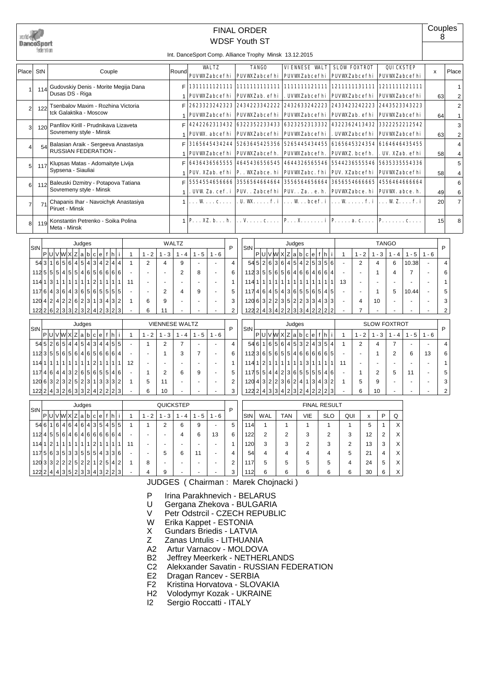| DanceSport     | federation                |                                                                                                                                                                                                           |                |                |                       |                |                                     | <b>WDSF Youth ST</b>     |                     |     | <b>FINAL ORDER</b>                                          |                                          |                  | Int. DanceSport Comp. Alliance Trophy Minsk 13.12.2015          |                              |                     |                                  |                    |                                                  |                                      |                          | Couples<br>8 |                         |
|----------------|---------------------------|-----------------------------------------------------------------------------------------------------------------------------------------------------------------------------------------------------------|----------------|----------------|-----------------------|----------------|-------------------------------------|--------------------------|---------------------|-----|-------------------------------------------------------------|------------------------------------------|------------------|-----------------------------------------------------------------|------------------------------|---------------------|----------------------------------|--------------------|--------------------------------------------------|--------------------------------------|--------------------------|--------------|-------------------------|
|                |                           |                                                                                                                                                                                                           |                |                |                       |                |                                     | <b>WALTZ</b>             |                     |     | <b>TANGO</b>                                                |                                          |                  | <b>VIENNESE WALT</b>                                            |                              |                     | <b>SLOW FOXTROT</b>              |                    |                                                  | <b>QUICKSTEP</b>                     |                          |              |                         |
| Place          | StN                       | Couple                                                                                                                                                                                                    |                |                |                       | Round          |                                     | <b>PUVWZabcefhi</b>      |                     |     | <b>PUVWZabcefhi</b>                                         |                                          |                  | <b>PUVWZabcefhi</b>                                             |                              |                     | <b>PUVWZabcefhi</b>              |                    |                                                  | <b>PUVWZabcefhi</b>                  | $\pmb{\mathsf{x}}$       |              | Place                   |
| $\mathbf{1}$   | 114                       | Gudovskiy Denis - Morite Megija Dana                                                                                                                                                                      |                |                |                       | F              | 1311111121111                       |                          |                     |     | 1111111111111                                               |                                          |                  | 1111111121111                                                   |                              |                     | 1211111131111                    |                    |                                                  | 1211111121111                        |                          |              | $\mathbf{1}$            |
|                |                           | Dusas DS - Riga                                                                                                                                                                                           |                |                |                       | $\overline{1}$ | <b>PUVWZabcefhi</b>                 |                          |                     |     | PUVWZab. efhi                                               |                                          |                  | . UVWZabcefhi                                                   |                              |                     | <b>PUVWZabcefhi</b>              |                    |                                                  | <b>PUVWZabcefhi</b>                  |                          | 63           | $\overline{2}$          |
| $\overline{2}$ | 122                       | Tsenbalov Maxim - Rozhina Victoria<br>tck Galaktika - Moscow                                                                                                                                              |                |                |                       | F              | 2623323242323                       |                          |                     |     | 2434223342222                                               |                                          |                  | 2432633242223                                                   |                              |                     | 2433423242223                    |                    |                                                  | 2443523343223                        |                          |              | $\overline{\mathbf{c}}$ |
|                |                           |                                                                                                                                                                                                           |                |                |                       | $\overline{1}$ | <b>PUVWZabcefhi</b>                 |                          |                     |     | <b>PUVWZabcefhi</b>                                         |                                          |                  | <b>PUVWZabcefhi</b>                                             |                              |                     | PUVWZab. efhi                    |                    |                                                  | <b>PUVWZabcefhi</b>                  |                          | 64           | $\mathbf{1}$            |
| 3              | 120                       | Panfilov Kirill - Prudnikava Lizaveta<br>Sovremeny style - Minsk                                                                                                                                          |                |                |                       | F<br>1         | PUVW. abcefhi                       | 4242262313432            |                     |     | 6322352233433<br><b>PUVWZabcefhi</b>                        |                                          |                  | 6323252313332<br><b>PUVWZabcefhi</b>                            |                              |                     | 4322362413432<br>. UVWZabcefhi   |                    |                                                  | 3322252212542<br><b>PUVWZabcefhi</b> |                          | 63           | 3<br>$\overline{2}$     |
|                |                           | Balasian Araik - Sergeeva Anastasiya                                                                                                                                                                      |                |                |                       | F              | 3165645434244                       |                          |                     |     | 5263645425356                                               |                                          |                  | 5265445434455                                                   |                              |                     | 6165645324354                    |                    |                                                  | 6164646435455                        |                          |              | 4                       |
| $\overline{4}$ | 54                        | <b>RUSSIAN FEDERATION -</b>                                                                                                                                                                               |                |                |                       | 1              | <b>PUVWZabcefhi</b>                 |                          |                     |     | PUVWZabcefh.                                                |                                          |                  | <b>PUVWZabcefh.</b>                                             |                              |                     | PUVWZ. bcefh.                    |                    |                                                  | . UV. XZab. efhi                     |                          | 58           | 4                       |
| 5              | 117                       | Klupsas Matas - Adomaityte Livija                                                                                                                                                                         |                |                |                       | F              | 6436436565555                       |                          |                     |     | 4645436556545                                               |                                          |                  | 4644326565546                                                   |                              |                     | 5544236555546                    |                    |                                                  | 5635335554336                        |                          |              | 5                       |
|                |                           | Sypsena - Siauliai                                                                                                                                                                                        |                |                |                       | 1              | PUV. XZab. efhi                     |                          |                     |     | P. . WYZabce. hi                                            |                                          |                  | <b>PUVWZabc. fhi</b>                                            |                              |                     | <b>PUV. XZabcefhi</b>            |                    |                                                  | <b>PUVWZabcefhi</b>                  |                          | 58           | 4                       |
| 6              | 112                       | Baleuski Dzmitry - Potapova Tatiana                                                                                                                                                                       |                |                |                       | F              |                                     | 5554554656666            |                     |     | 3556564664664                                               |                                          |                  | 3556564656664                                                   |                              |                     | 3656554666665                    |                    |                                                  | 4556464666664                        |                          |              | 6                       |
|                |                           | Sovremeny style - Minsk                                                                                                                                                                                   |                |                |                       | 1              |                                     | . UVW Za. cef. i         |                     |     | <b>PUV.</b> . Zabcefhi                                      |                                          |                  | <b>PUV.</b> . Za. . e. h.                                       |                              |                     | <b>PUVWZabce.hi</b>              |                    |                                                  | PUVW. abce. h.                       |                          | 49           | 6                       |
| $\overline{7}$ | 71                        | Chapanis Ihar - Navoichyk Anastasiya<br>Piruet - Minsk                                                                                                                                                    |                |                |                       | $\overline{1}$ |                                     | . W c.                   |                     |     | . U. WK. f. i                                               |                                          |                  | $\ldots$ W $\ldots$ bcef. i                                     |                              |                     | $\ldots$ W $\ldots$ f.i          |                    |                                                  | $\ldots$ WZ. $\ldots$ f. i           |                          | 20           | $\overline{7}$          |
| 8              | 119                       | Konstantin Petrenko - Soika Polina<br>Meta - Minsk                                                                                                                                                        |                |                |                       |                | $1 \mid P. \ldots XZ. b. \ldots h.$ |                          |                     |     | . . V. c.                                                   |                                          |                  | $P_{1}, \ldots, X_{n}, \ldots, i   P_{n}, \ldots, a, c, \ldots$ |                              |                     |                                  |                    |                                                  | $P_{1}, \ldots, P_{n}$               |                          | 15           | 8                       |
|                |                           | Judges                                                                                                                                                                                                    |                |                |                       | <b>WALTZ</b>   |                                     |                          |                     |     |                                                             |                                          |                  | Judges                                                          |                              |                     |                                  |                    | <b>TANGO</b>                                     |                                      |                          |              |                         |
|                | StN                       | P U V W X Z a b c e f h i                                                                                                                                                                                 | $\mathbf{1}$   | $1 - 2$        | $1 - 3$               | $1 - 4$        | $1 - 5$                             | $1 - 6$                  | P                   | StN |                                                             |                                          |                  | P U V W X Z a b c e f h i                                       |                              | $\mathbf{1}$        |                                  | $1 - 2$            | $1 - 3$<br>$1 - 4$                               | $1 - 5$                              | $1 - 6$                  | P            |                         |
|                | 543                       | 5 <sup>1</sup><br>6<br>4 5 <br>4 3 4 2 4 4<br>1 6                                                                                                                                                         | $\mathbf{1}$   | $\overline{2}$ | 4                     | 9              |                                     |                          | $\overline{4}$      |     |                                                             |                                          |                  | 545 26 36 45 425                                                | 3 5 6                        | $\sim$              |                                  | $\overline{2}$     | $\overline{4}$<br>6                              | 10.38                                |                          | 4            |                         |
|                | 5 <sub>5</sub><br>112     | 5<br>$\vert 4 \vert$<br>5<br>5 4 <br>656666<br>5 <sup>5</sup>                                                                                                                                             | $\sim$         | $\overline{a}$ | ÷,                    | $\overline{2}$ | 8                                   | $\overline{\phantom{a}}$ | 6                   |     | 5 <sup>5</sup><br>1123                                      | 5 <sup>1</sup>                           |                  | 6564684                                                         | 6 6 4                        |                     | $\overline{a}$                   |                    | $\mathbf{1}$<br>$\overline{4}$                   | $\overline{7}$                       | $\overline{\phantom{a}}$ | 6            |                         |
|                | 114113                    | 1 2 1 1<br>$\mathbf{1}$<br>$\mathbf{1}$<br>1 <sup>1</sup><br>$\mathbf{1}$<br>$\mathbf{1}$<br>1 1                                                                                                          | 11             | $\sim$         |                       |                |                                     | $\overline{a}$           | $\mathbf{1}$        |     | 114 1<br>1                                                  | 1<br>1                                   | 1 1              | 1<br>1 1<br>$\overline{1}$                                      | 1 <sup>1</sup><br>1          | 13<br>1             |                                  |                    | $\sim$                                           |                                      |                          | 1            |                         |
|                | $6 \overline{6}$<br>117   | $\overline{\mathbf{3}}$<br>6 4<br>3 6 <br>5 6 5 5 5 5<br>$\vert 4 \vert$                                                                                                                                  |                | $\overline{a}$ | $\overline{2}$        | 4              | 9                                   | $\overline{a}$           | 5                   |     | $6 \mid$<br>$\overline{4}$<br>117                           | $\vert$<br>5 <sup>1</sup>                | 4 3 6 5          | 5 6                                                             | 5 4 5                        |                     |                                  |                    | $\mathbf{1}$<br>5                                | 10.44                                |                          | 5            |                         |
|                | 120<br>$\overline{4}$     | 4 2 2<br>6 2 <br>3 1 3 4 3 2<br>$\overline{2}$<br>1222 6 2 3 3 2 3 2 4 2 3 2 3                                                                                                                            | $\mathbf{1}$   | 6<br>6         | 9<br>11               |                |                                     | $\ddot{\phantom{1}}$     | 3<br>$\overline{2}$ |     | 120 6                                                       | 3 2 2                                    | 3 5 2 2          | 3 3<br>$122$ 2 4 3 4 2 2 3 3 4 2 2 2                            | 4 3 3                        | $\overline{2}$      | $\overline{4}$<br>$\overline{7}$ |                    | 10                                               |                                      | $\overline{a}$           | 3<br>2       |                         |
|                |                           |                                                                                                                                                                                                           |                |                |                       |                |                                     |                          |                     |     |                                                             |                                          |                  |                                                                 |                              |                     |                                  |                    |                                                  |                                      |                          |              |                         |
|                | StN                       | Judges                                                                                                                                                                                                    |                |                | <b>VIENNESE WALTZ</b> |                |                                     |                          | P                   | StN |                                                             |                                          |                  | Judges                                                          |                              |                     |                                  |                    | <b>SLOW FOXTROT</b>                              |                                      |                          | P            |                         |
|                |                           | P U V W X Z a <br>b c e f<br>l h I i                                                                                                                                                                      | $\mathbf{1}$   | $1 - 2$        | $1 - 3$               | $1 - 4$        | $1 - 5$                             | $1 - 6$                  |                     |     |                                                             |                                          | P U V W X Z a b  | c e                                                             | fhi                          | $\overline{1}$      |                                  | $1 - 2$            | $1 - 3$<br>$1 - 4$                               | $1 - 5$                              | $1 - 6$                  |              |                         |
|                | 5<br>54                   | 5<br>$\overline{4}$<br>$6\overline{6}$<br>4 5<br>4 3 4 4 5 5<br>$\overline{2}$                                                                                                                            |                | $\mathbf{1}$   | $\overline{2}$        | $\overline{7}$ |                                     | l,<br>$\overline{a}$     | $\overline{4}$      |     | 546<br>1                                                    | 5<br>$6 \overline{6}$                    | $6 \overline{6}$ | 4 5 3<br>2 4                                                    | 3 5 4                        | $\overline{1}$      |                                  | $\overline{2}$     | $\overline{7}$<br>$\overline{4}$                 |                                      |                          | 4            |                         |
|                | 112 3<br>114<br>$\vert$ 1 | 5 <sup>5</sup><br>5<br>$6 \mid$<br>5<br>6 4<br>6 5 <br>$6 6 6 $<br>$\overline{\mathbf{4}}$<br> 2 <br>1<br>$\mathbf{1}$<br>$\mathbf{1}$<br>1<br>$\mathbf{1}$<br>$\mathbf{1}$<br>$\mathbf{1}$<br>111<br>111 | 12             | $\blacksquare$ | $\mathbf{1}$          | 3              | $\overline{7}$                      |                          | 6<br>$\mathbf{1}$   |     | $6 \mid$<br>112 3 <br>2 <sup>1</sup><br>$\mathbf{1}$<br>114 | 5 <sup>1</sup><br>6<br>1<br>$\mathbf{1}$ | 1 1              | 5 5 4 6 6 6 <br>1<br>3 1<br>$\overline{1}$                      | 6 6 5<br>1 <sup>1</sup><br>1 | 11<br>1             |                                  |                    | $\overline{2}$<br>$\mathbf{1}$<br>$\overline{a}$ | 6                                    | 13                       | 6<br>1       |                         |
|                | 4<br>117                  | 3 <sup>1</sup><br>2 6 <br>5 6<br>$6 \mid$<br>$\vert 4 \vert$<br>5 5<br>4<br>4 6                                                                                                                           |                | $\mathbf{1}$   | 2                     | 6              | 9                                   | L,                       | 5                   |     | 5 <sup>1</sup><br>1175                                      | $\vert 4 \vert$<br>$\vert$               | 2 <br> 3         | 6 5 <br>5 5                                                     | 5 4 6                        |                     | $\mathbf{1}$                     |                    | $\overline{2}$<br>5                              | 11                                   |                          | 5            |                         |
|                | 120<br>$6 \mid$           | 3 2 <br>5 2 <br>3 1 3 3 3 2<br>$\overline{2}$<br>$\overline{3}$                                                                                                                                           | $\mathbf{1}$   | 5              | 11                    |                |                                     |                          | $\overline{2}$      |     | $\overline{3}$<br>$\overline{4}$<br>120                     | 2 <br>$\overline{2}$                     | 3 6              | $\overline{2}$<br>$\overline{4}$<br>$\overline{1}$<br>3         | 4 3 2                        | $\mathbf 1$         | 5                                |                    | 9                                                |                                      |                          | 3            |                         |
|                | 122 2                     | 4 3 2 6 3 3 2 4 2 2 2 3                                                                                                                                                                                   |                | 6              | 10                    |                |                                     |                          | 3                   |     | 122 2<br>$\vert$                                            | 3 3 4 2                                  |                  | 3 <br>$\overline{2}$<br>4<br>2                                  | 2<br>2                       | 3                   |                                  | 6                  | 10<br>$\overline{a}$                             |                                      |                          | 2            |                         |
|                |                           | Judges                                                                                                                                                                                                    |                |                | QUICKSTEP             |                |                                     |                          |                     |     |                                                             |                                          |                  |                                                                 |                              | <b>FINAL RESULT</b> |                                  |                    |                                                  |                                      |                          |              |                         |
|                | StN                       | P U V W X Z a b c e f h i                                                                                                                                                                                 | $\mathbf{1}$   | $1 - 2$        | $1 - 3$               | $1 - 4$        | $1 - 5$                             | $1 - 6$                  | P                   | StN |                                                             | WAL                                      | <b>TAN</b>       | <b>VIE</b>                                                      |                              | <b>SLO</b>          | QUI                              | $\pmb{\mathsf{x}}$ | P<br>Q                                           |                                      |                          |              |                         |
|                |                           | 546164646435455                                                                                                                                                                                           | $\overline{1}$ | $\mathbf{1}$   | $\overline{2}$        | 6              | 9                                   |                          | 5                   |     | 114                                                         | $\overline{1}$                           | $\mathbf{1}$     | $\overline{1}$                                                  |                              | $\mathbf{1}$        | $\overline{1}$                   | 5                  | $\mathbf{1}$                                     | $\times$                             |                          |              |                         |

 $122 \cdot 2 \cdot 4 \cdot 4 \cdot 3 \cdot 5 \cdot 2 \cdot 3 \cdot 3 \cdot 4 \cdot 3 \cdot 2 \cdot 2 \cdot 3 = 49$ 112 6 6 6 6 6 6 30 6 X JUDGES ( Chairman : Marek Chojnacki )

P Irina Parakhnevich - BELARUS U Gergana Zhekova - BULGARIA

V Petr Odstrcil - CZECH REPUBLIC<br>W Erika Kappet - ESTONIA

 $112 |4|5|5|6|4|6|4|6|6|6|6|6|4$  - - - 4 6 13 6 114 1211111121111 11 - - - - - 1  $117|5|6|3|5|3|5|5|5|5|4|3|3|6$  - - 5 6 11 - 4 120 3322252212542 1 8 - - - - 2

W Erika Kappet - ESTONIA<br>X Gundars Briedis - LATVIA

X Gundars Briedis - LATVIA<br>Z Zanas Untulis - LITHUANI

Z Zanas Untulis - LITHUANIA<br>A2 Artur Varnacov - MOLDOV

A2 Artur Varnacov - MOLDOVA<br>B2 Jeffrev Meerkerk - NETHERI B2 Jeffrey Meerkerk - NETHERLANDS<br>C2 Alekxander Savatin - RUSSIAN FED

C2 Alekxander Savatin - RUSSIAN FEDERATION<br>E2 Dragan Rancev - SERBIA

 $122$  2 2 3  $3$  2 3  $12$  2  $\times$  $120 \mid 3 \mid 3 \mid 2 \mid 3 \mid 2 \mid 13 \mid 3 \mid X$ 54 4 4 4 4 4 5 21 4 X 117 5 5 5 5 5 4 24 5 X

E2 Dragan Rancev - SERBIA<br>F2 Kristina Horvatova - SLOV

F2 Kristina Horvatova - SLOVAKIA<br>H2 Volodymyr Kozak - UKRAINE

Volodymyr Kozak - UKRAINE

I2 Sergio Roccatti - ITALY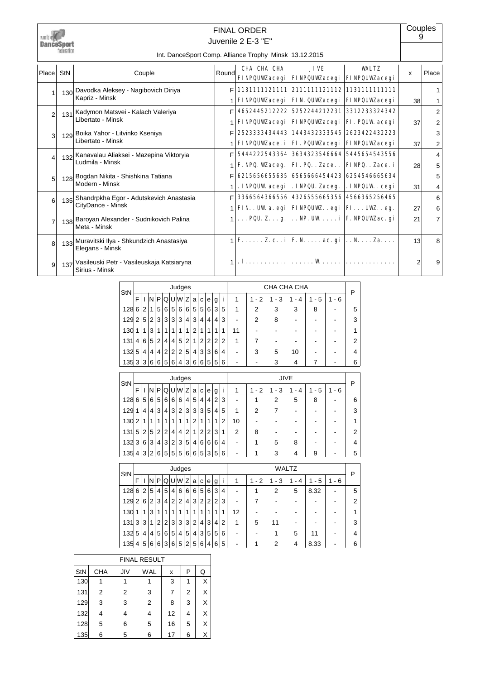

### Juvenile 2 E-3 "E" FINAL ORDER

**Couples** 9

#### Int. DanceSport Comp. Alliance Trophy Minsk 13.12.2015

| Place          | StN | Couple                                                          | Roundl | CHA CHA CHA                                                                                                                                                      | <b>JIVE</b><br><b>FINPQUWacegi   FINPQUWacegi   FINPQUWacegi</b> | <b>WALTZ</b>                                | $\mathsf{x}$    | Place          |
|----------------|-----|-----------------------------------------------------------------|--------|------------------------------------------------------------------------------------------------------------------------------------------------------------------|------------------------------------------------------------------|---------------------------------------------|-----------------|----------------|
|                |     | 130 Davodka Aleksey - Nagibovich Diriya                         |        |                                                                                                                                                                  |                                                                  |                                             |                 |                |
|                |     | Kapriz - Minsk                                                  |        |                                                                                                                                                                  | <b>FINPQUWacegi   FIN. QUWacegi   FINPQUWacegi</b>               |                                             | 38 <sup>1</sup> |                |
|                | 131 | Kadymon Matsvei - Kalach Valeriya                               |        |                                                                                                                                                                  |                                                                  | 4652445212222 5252244212231 3312233324342   |                 | 2              |
|                |     | Libertato - Minsk                                               |        |                                                                                                                                                                  | <b>FINPQUWacegi   FINPQUWacegi   FI. PQUW acegi</b>              |                                             | 37              | 2              |
| $\mathbf{3}$   |     | 129 Boika Yahor - Litvinko Kseniya                              |        |                                                                                                                                                                  |                                                                  | 2523333434443 1443432333545 2623422432223   |                 | 3              |
|                |     | Libertato - Minsk                                               |        |                                                                                                                                                                  | FINPQUWace. i   FI. PQUWacegi   FINPQUWacegi                     |                                             | 37              | 2              |
| 4              | 132 | Kanavalau Aliaksei - Mazepina Viktoryia                         |        |                                                                                                                                                                  |                                                                  | 5444222543364 3634323546664 5445654543556   |                 | 4              |
|                |     | Ludmila - Minsk                                                 |        |                                                                                                                                                                  | F. NPQ. Waceg.   FI. PQ. . Zace. .   FINPQ. . Zace. i            |                                             | 28              | 5              |
| 5 <sup>1</sup> |     | 128 Bogdan Nikita - Shishkina Tatiana                           | F      | 6215656655635 6565666454423 6254546665634                                                                                                                        |                                                                  |                                             |                 | 5              |
|                |     | Modern - Minsk                                                  |        |                                                                                                                                                                  | . INPQUW acegi   . INPQU. Zaceg.                                 | . INPQUW . cegi                             | 31              | 4              |
| 6              |     | 135 Shandrpkha Egor - Adutskevich Anastasia                     |        |                                                                                                                                                                  |                                                                  | 3366564366556  4326555665356  4566365256465 |                 | 6              |
|                |     | CityDance - Minsk                                               |        |                                                                                                                                                                  | FIN. . UW a. egi   FINPQUW. . egi   FI. UW. . eg.                |                                             | 27              | 6              |
| 7              |     | 138 Baroyan Alexander - Sudnikovich Palina<br>Meta - Minsk      |        | $\ldots$ PQU. Z. g. $\ldots$ NP. UW i   F. NPQUW. ac. gi                                                                                                         |                                                                  |                                             | 21              | $\overline{7}$ |
| $\mathsf{B}$   |     | 133 Muravitski Ilya - Shkundzich Anastasiya<br>Elegans - Minsk  |        | $\mathbf{F}.\dots.\mathbf{Z}.\mathbf{c}.\mathbf{i} \mathbf{F}.\mathbf{N}.\dots.\mathbf{a}\mathbf{c}.\mathbf{gi} \dots\mathbf{N}.\dots\mathbf{Z}\mathbf{a}.\dots$ |                                                                  |                                             | 13              | 8              |
| $\mathsf{Q}$   |     | 137 Vasileuski Petr - Vasileuskaja Katsiaryna<br>Sirius - Minsk |        | . <b>I</b> .                                                                                                                                                     | . <b>W</b>                                                       |                                             | 2               | 9              |

| StN   |                |                |                |                |                |   | Judges         |                |                |                |                |                |   |                          |                | CHA CHA CHA |    |     |         | P |
|-------|----------------|----------------|----------------|----------------|----------------|---|----------------|----------------|----------------|----------------|----------------|----------------|---|--------------------------|----------------|-------------|----|-----|---------|---|
|       | F              |                |                | NIPI           | Q              |   | UW Z           |                | a              | C              | е              | g              |   | 1                        | $-2$<br>1      | - 3         | 4  | - 5 | $1 - 6$ |   |
| 128   | 6              | 2 <sup>1</sup> | 1 <sup>1</sup> | 5 <sup>1</sup> | 6              |   | 5 6            | $6 \mid$       | 5              | 5 <sup>1</sup> | 6              | 3              | 5 | 1                        | 2              | 3           | 3  | 8   |         | 5 |
| 129   | $\overline{2}$ | 5              | 2 <sup>1</sup> | 3              | 3              | 3 | $\mathbf{3}$   | 4              | 3              | 4              | 4              | 4              | 3 | $\blacksquare$           | $\overline{2}$ | 8           |    |     |         | 3 |
| 130   | 1              | 1              | 3 <sub>1</sub> | 1              | 1              |   | 1              | 1              | $\mathfrak{p}$ | 1              | 1              |                | 1 | 11                       |                |             |    |     |         |   |
| 131   | $\overline{4}$ | 6              | 5 <sup>1</sup> | 2 <sub>1</sub> | 4              | 4 | 5 <sup>5</sup> | 2 <sub>1</sub> | $\mathbf{1}$   | 2 <sub>1</sub> | 2 <sup>1</sup> | 2              | 2 | 1                        | 7              |             |    |     |         | 2 |
| 132   | 5              | 4              | 4 <sup>1</sup> | $\overline{4}$ | $\overline{2}$ | 2 | $\overline{2}$ | 5              | 4              | 3              | 3              | 6              | 4 | -                        | 3              | 5           | 10 |     |         | 4 |
| 135 3 |                | 3              | 6 <sup>1</sup> | $6 \mid$       | 5              | 6 | $\vert$        | 3              | 6              | 6              | 5 <sup>1</sup> | 5 <sup>1</sup> | 6 | $\overline{\phantom{a}}$ | -              | 3           | 4  |     |         | 6 |
|       |                |                |                |                |                |   |                |                |                |                |                |                |   |                          |                |             |    |     |         |   |

| <b>StN</b> |   |                |                |                |     |                | Judges         |                |                |                |                |                |   |                |                               |          | JIVE |         |       | P |
|------------|---|----------------|----------------|----------------|-----|----------------|----------------|----------------|----------------|----------------|----------------|----------------|---|----------------|-------------------------------|----------|------|---------|-------|---|
|            | F |                | N              | Ρ              | Q   |                | lulwiz         |                | a              | C              | e l            | g              |   | 1              | 2<br>$\overline{\phantom{a}}$ | - 3<br>1 | 4    | $1 - 5$ | 1 - 6 |   |
| 128 6      |   | 5 <sup>1</sup> | 6              |                | 5 6 | 6              | 6              | 4              | 5              | 4 <sup>1</sup> | 4 <sup>1</sup> | $\overline{2}$ | 3 |                |                               | 2        | 5    | 8       |       | 6 |
| 129        |   | 4              | 4              | 3              | 4   | 3 <sup>1</sup> | 2 <sub>1</sub> | 3              | 3              | 3 <sup>1</sup> | 5 <sup>5</sup> | 4              | 5 | 1              | 2                             |          |      |         |       | 3 |
| 130 2      |   |                | 1              |                | 1   |                | 1              | 1              | $\mathfrak{p}$ | 1              |                | 1              | 2 | 10             |                               |          |      |         |       |   |
| 131        | 5 |                | 2 5            |                | 2 2 | 4              | 4              | 2 <sub>1</sub> | 1              | $\overline{2}$ | 2 <sub>1</sub> | 3              |   | $\overline{2}$ | 8                             |          |      |         |       | 2 |
| 132        | 3 | 6              | 3 <sub>1</sub> | 4 <sup>1</sup> | 3   | 2 <sup>1</sup> | 3 <sup>1</sup> | 5              | 4              | 6              | 6              | 6              | 4 |                |                               | 5        | 8    |         |       | 4 |
| 135 4      |   | 3 2            |                | 6              | 5   |                | 5 5            | 6              | 6              | 5 <sup>1</sup> | 3              | 5              | 6 |                |                               | 3        |      | 9       |       | 5 |

| StN |                |                |   |                |                |                | Judges |   |   |                |                |                |                |                          |           |                                    | WALTZ |      |         | P |
|-----|----------------|----------------|---|----------------|----------------|----------------|--------|---|---|----------------|----------------|----------------|----------------|--------------------------|-----------|------------------------------------|-------|------|---------|---|
|     | F              |                | N | P              | Q              |                | UW     | Z | a | $\mathbf{C}$   | e              | g              |                | 1                        | $-2$<br>1 | 3<br>1<br>$\overline{\phantom{a}}$ | - 4   | - 5  | $1 - 6$ |   |
| 128 | 6              | 2              | 5 | $\overline{4}$ | 5              | 4 <sup>1</sup> | 6      | 6 | 6 | 5 <sup>1</sup> | $6 \mid$       | 3              | 4              |                          |           | 2                                  | 5     | 8.32 |         | 5 |
| 129 | $\overline{2}$ | 6              | 2 | 3              | 4              | 2              | 2      | 4 | 3 | 2 <sub>1</sub> | $\overline{2}$ | $\overline{2}$ | 3              | $\overline{\phantom{a}}$ |           | -                                  |       |      |         | 2 |
| 130 |                |                | 3 |                | 1              |                | 1      | 1 |   |                | 1              | 1              | 1              | 12                       |           |                                    |       |      |         | 1 |
| 131 | 3              | 3              | 1 | $\overline{2}$ | $\overline{2}$ | 3 <sub>1</sub> | 3      | 3 | 2 | $\overline{4}$ | 3              | 4              | $\overline{2}$ | 1                        | 5         | 11                                 |       |      |         | 3 |
| 132 | 5              | 4              | 4 | 5              | 6              | 5              | 4      | 5 | 4 | 3              | 5              | 5              | 6              |                          |           |                                    | 5     | 11   |         | 4 |
| 135 | (4)            | 5 <sup>1</sup> | 6 | 6              | 3              | 6              | 5      | 2 | 5 | 6              | $\overline{4}$ | 6              | 5              |                          |           | 2                                  | 4     | 8.33 |         | 6 |

|     |            |                | <b>FINAL RESULT</b> |    |                |   |
|-----|------------|----------------|---------------------|----|----------------|---|
| StN | <b>CHA</b> | JIV            | <b>WAL</b>          | x  | P              | Q |
| 130 |            |                |                     | 3  | 1              | X |
| 131 | 2          | $\overline{2}$ | 3                   | 7  | $\overline{2}$ | х |
| 129 | 3          | 3              | 2                   | 8  | 3              | X |
| 132 | 4          | 4              | 4                   | 12 | 4              | X |
| 128 | 5          | 6              | 5                   | 16 | 5              | X |
| 135 | 6          | 5              | 6                   | 17 | 6              | x |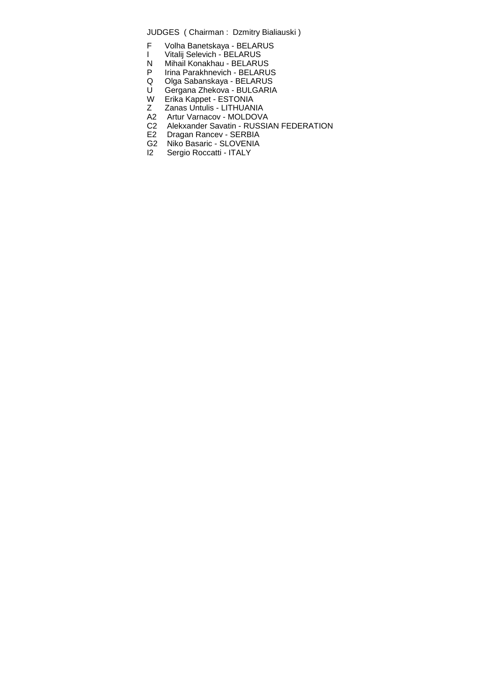- F Volha Banetskaya BELARUS
- I Vitalij Selevich BELARUS
- N Mihail Konakhau BELARUS
- P Irina Parakhnevich BELARUS
- Q Olga Sabanskaya BELARUS
- U Gergana Zhekova BULGARIA
- W Erika Kappet ESTONIA
- Z Zanas Untulis LITHUANIA
- A2 Artur Varnacov MOLDOVA
- C2 Alekxander Savatin RUSSIAN FEDERATION
- E2 Dragan Rancev SERBIA
- G2 Niko Basaric SLOVENIA<br>I2 Sergio Roccatti ITALY
- Sergio Roccatti ITALY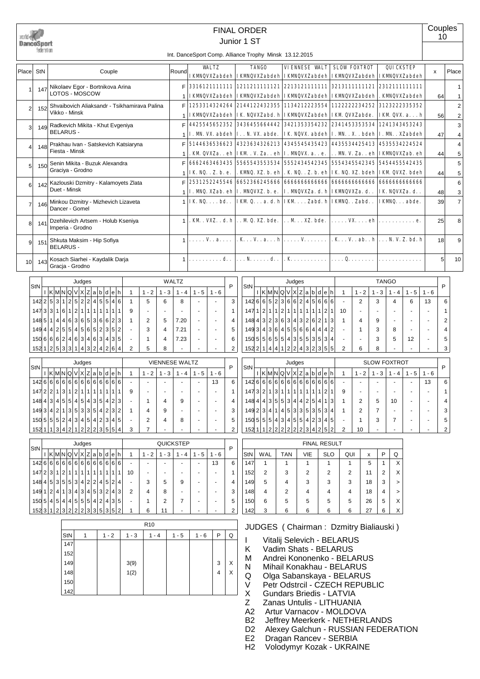|       | DanceSport<br>federation |                                                                                                   |                   |                          |                                    | <b>FINAL ORDER</b><br>Junior 1 ST |                                                                                                                                                  |              |                                                                       |                     |                                                                                                                                            |         |                |                                         |         | Couples<br>10  |                                  |
|-------|--------------------------|---------------------------------------------------------------------------------------------------|-------------------|--------------------------|------------------------------------|-----------------------------------|--------------------------------------------------------------------------------------------------------------------------------------------------|--------------|-----------------------------------------------------------------------|---------------------|--------------------------------------------------------------------------------------------------------------------------------------------|---------|----------------|-----------------------------------------|---------|----------------|----------------------------------|
| Place | StN                      | Couple                                                                                            | Round             |                          | <b>WALTZ</b>                       |                                   | Int. DanceSport Comp. Alliance Trophy Minsk 13.12.2015<br><b>TANGO</b><br>IKMQVXZabdeh   IKMQVXZabdeh   IKMQVXZabdeh                             |              | <b>VIENNESE VALT</b>                                                  |                     | <b>SLOW FOXTROT</b><br><b>IKMQVXZabdeh</b>                                                                                                 |         |                | <b>QUICKSTEP</b><br><b>IKMQVXZabdeh</b> |         | $\mathsf{x}$   | Place                            |
|       | 147                      | Nikolaev Egor - Bortnikova Arina<br>LOTOS - MOSCOW                                                | F<br>1            |                          |                                    |                                   | 3316121111111 1211211111121 <br>IKWNQVXZabdeh IKWNQVXZabdeh                                                                                      |              | 2213121111111<br>IKMQVXZabdeh IKMQVXZabdeh                            |                     | 3213111111121                                                                                                                              |         |                | 2312111111111<br>. KWNQVXZabdeh         |         | 64             | $\mathbf 1$<br>$\mathbf{1}$      |
| 2     | 152                      | Shvaibovich Aliaksandr - Tsikhamirava Palina<br>Vikko - Minsk                                     | F<br>$\mathbf{1}$ |                          |                                    |                                   | 1253314324264 2144122432355<br>IKMQVXZabdeh IK NQVXZabd. h                                                                                       |              | 1134212223554 1122222234252<br>IKMQVXZabdeh IKM QVXZabde.             |                     |                                                                                                                                            |         |                | 3123222335352<br>IKM QVX. ah            |         | 56             | $\overline{2}$<br>$\overline{2}$ |
| 3     | 149                      | Radkevich Mikita - Khut Evgeniya<br><b>BELARUS-</b>                                               | F<br>$\mathbf{1}$ |                          | 4425545652352                      |                                   | 3436455664442<br>I. M. VX. abdeh I. . N. VX. abde.                                                                                               |              | 3421353354232<br>IK NQVX. abdeh   I. M. . X. . bdeh   I. M. . XZabdeh |                     | 2341453353534                                                                                                                              |         |                | 1241343453243                           |         | 47             | 3<br>$\overline{4}$              |
|       | 148                      | Prakhau Ivan - Satskevich Katsiaryna<br>Fiesta - Minsk                                            | F<br>$\mathbf{1}$ |                          | 5144636536623                      |                                   | 4323634326213<br>. KM QVXZa. . eh   IKM . V. Za. . eh   I. MVQVX. a. . e.                                                                        |              | 4345545435423 4435534425413                                           |                     | M. V. Za. . eh   IKMQVXZab. eh                                                                                                             |         |                | 4535534224524                           |         | 44             | $\overline{4}$<br>5              |
| 5     | 150                      | Senin Mikita - Buzuk Alexandra<br>Graciya - Grodno                                                | F<br>$\mathbf{1}$ |                          | IK NQ. . Z. b. e.<br>2531252245546 |                                   | 6662463463435 5565543553534 5552434542345 5554345542345<br>. KMQ. XZ. b. eh . K. NQ. . Z. b. eh IK. NQ. XZ. bdeh <br>6652366245666 6666666666666 |              |                                                                       |                     |                                                                                                                                            |         |                | 5454455542435<br>IKM QVXZ. bdeh         |         | 44             | 5<br>5                           |
| 6     | 142                      | Kazlouski Dzmitry - Kalamoyets Zlata<br>Duet - Minsk                                              | F<br>$\mathbf{1}$ |                          |                                    |                                   | I. MVQ. XZab. eh I. MVQVXZ. b. e.   I. MVQVXZa. d. h   IKMQVXZa. d. .                                                                            |              |                                                                       |                     | 6666666666666                                                                                                                              |         |                | 6666666666666<br>IK NQVXZa.d            |         | 48             | 6<br>3                           |
| 7     | 146                      | Minkou Dzmitry - Mizhevich Lizaveta<br>Dancer - Gomel                                             | $\mathbf{1}$      |                          | <b>IK NQbd</b>                     |                                   | IKM Qa.d.h IKMZabd.h IKMQZabd                                                                                                                    |              |                                                                       |                     |                                                                                                                                            |         |                | IKMQabde.                               |         | 39             | $\overline{7}$                   |
| 8     | 141                      | Dzehilevich Artsem - Holub Kseniya<br>Imperia - Grodno                                            | $\mathbf{1}$      |                          |                                    |                                   | . KM . VXZ. . d. h M 0. XZ. bde.   M XZ. bde.                                                                                                    |              |                                                                       |                     | $\ldots$ . VX. eh $\ldots$ . e.                                                                                                            |         |                |                                         |         | 25             | 8                                |
| 9     | 151                      | Shkuta Maksim - Hip Sofiya<br><b>BELARUS -</b>                                                    | $\mathbf{1}$      |                          | Va                                 |                                   |                                                                                                                                                  |              |                                                                       |                     | $\mathbf{K} \cdot \mathbf{V} \cdot \mathbf{a}$ b. $\mathbf{h} \cdot \mathbf{v} \cdot \mathbf{N} \cdot \mathbf{V} \cdot \mathbf{Z}$ . bd. h |         |                |                                         |         | 18             | 9                                |
| 10    | 143                      | Kosach Siarhei - Kaydalik Darja<br>Gracja - Grodno                                                | $\mathbf{1}$      |                          | . <b>d.</b> .                      |                                   | $\ldots$ N. $\ldots$ d. .                                                                                                                        |              | . K                                                                   |                     | 0                                                                                                                                          |         |                |                                         |         | 5 <sup>5</sup> | 10                               |
|       |                          | Judges                                                                                            | <b>WALTZ</b>      |                          |                                    |                                   |                                                                                                                                                  | Judges       |                                                                       |                     |                                                                                                                                            |         | <b>TANGO</b>   |                                         |         |                |                                  |
|       | StN                      | 1K M N Q V X Z a b d e h<br>$1 - 2$<br>$1 - 3$<br>$\mathbf{1}$                                    | $1 - 4$           | $1 - 5$                  | P<br>$1 - 6$                       | StN                               |                                                                                                                                                  |              | $1K$ M $N$ Q $V$ $X$ Z $a$ $b$ $d$ $e$ $h$                            |                     | $\mathbf{1}$                                                                                                                               | $1 - 2$ | $1 - 3$        | $1 - 4$                                 | $1 - 5$ | P<br>$1 - 6$   |                                  |
|       | 142253                   | 1 2 5 2 2 4 5 5<br> 4 6<br>$\mathbf{1}$<br>5<br>6                                                 | 8                 | $\overline{a}$           | $\overline{a}$                     | 3                                 | 142665236624                                                                                                                                     |              |                                                                       | 5666                |                                                                                                                                            | 2       | 3              | 4                                       | 6       | 13             | 6                                |
|       | 147<br>$\mathbf{3}$      | 1 2 1 <br>1 1 <br>6 <br>$\overline{1}$<br>111<br>3 <sup>1</sup><br>1<br>9<br>$\overline{a}$<br>÷. |                   | $\overline{\phantom{a}}$ | $\omega$                           | $\mathbf{1}$                      | $147 \mid 1 \mid 2 \mid 1 \mid 1 \mid 2 \mid$                                                                                                    |              | 1 1 1 1<br>1 1                                                        | 2 1                 | 10<br>$\mathbf{r}$                                                                                                                         |         | $\blacksquare$ |                                         |         | ÷,             | 1                                |
|       | 148<br>5 <sub>l</sub>    | 3 6 5 3 6 6 <br>4 6 <br> 2 3<br>2<br>1 4 <br>1<br>5                                               | 7.20              | $\overline{\phantom{a}}$ | ä,                                 | $\overline{4}$                    | 148 4 3 2 3 6 3 4 3 2 6 2                                                                                                                        |              |                                                                       | 1 <sup>1</sup><br>3 | $\mathbf{1}$                                                                                                                               | 4       | 9              |                                         | ÷,      | ÷,             | $\overline{\mathbf{c}}$          |
|       | 149 4                    | 5 5 4 5 6 5 2 3 5 2<br>4 2 <br>3<br>4                                                             | 7.21              | $\overline{\phantom{a}}$ | $\sim$                             | 5                                 | 1493 436 45566 444                                                                                                                               |              |                                                                       | 4 2                 | 1<br>÷.                                                                                                                                    |         | 3              | 8                                       | ÷,      | ÷,             | 4                                |
|       | 150 6                    | 6 6 2 4 6 3 4 6 3 4<br>3 5<br>1<br>4                                                              | 7.23              | ÷                        | ÷                                  | 6                                 | 150555655435535                                                                                                                                  |              |                                                                       | 3 4                 | ä,                                                                                                                                         |         | 3              | 5                                       | 12      |                | 5                                |
|       |                          | 15212533114324264<br>$\overline{2}$<br>5<br>8                                                     |                   |                          |                                    | 2                                 | $152$ 2 1 4 4 1 2 2 4 3 2 3 5 5                                                                                                                  |              |                                                                       |                     | $\overline{2}$                                                                                                                             | 6       | 8              |                                         |         |                | 3                                |
|       |                          | <b>VIENNESE WALTZ</b><br>Judges                                                                   |                   |                          |                                    |                                   |                                                                                                                                                  | Judges       |                                                                       |                     |                                                                                                                                            |         |                | <b>SLOW FOXTROT</b>                     |         |                |                                  |
|       | <b>StN</b>               | $1K$ M $NQVXZa b d e h$<br>$1 - 2$   $1 - 3$   $1 - 4$  <br>$\mathbf{1}$                          |                   | $1 - 5$                  | P<br>$1 - 6$                       | StN                               |                                                                                                                                                  |              | 1K M Q V X Z a b d e h                                                |                     | $\overline{1}$                                                                                                                             |         |                | $1 - 2$   1 - 3   1 - 4   1 - 5         |         | P<br>$1 - 6$   |                                  |
|       |                          | 142 6 6 6 6 6 6 6 6 6 6 6 6 6 6 6 6                                                               |                   |                          | 13                                 | 6                                 | 142666666666666666666                                                                                                                            |              |                                                                       |                     |                                                                                                                                            |         |                |                                         |         | 13             | 6                                |
|       |                          | $147$ 2 2 1 3 1 2 1 1 1 1 1 1 1 1 1<br>9                                                          |                   |                          |                                    | 1                                 | $1473$  2 1 3 1 1 1 1 1 1 2 1                                                                                                                    |              |                                                                       |                     | 9                                                                                                                                          |         |                |                                         |         |                | 1                                |
|       |                          | $148$ 4 3 4 5 5 4 5 4 3 5 4 3 5 4 2 3<br>1<br>4                                                   | 9                 | $\blacksquare$           |                                    | 4                                 | 148 4 4 3 5 5 3 4 4 2 5 4 1 3                                                                                                                    |              |                                                                       |                     | -1                                                                                                                                         | 2       | 5              | 10                                      |         |                | 4                                |
|       |                          | 1493 4 2 1 3 5 3 3 5 4 2 3 2<br>$\mathbf{1}$<br>9<br>4                                            |                   | $\overline{\phantom{a}}$ | $\sim$                             | 3                                 | $149$ 2 3 4 1 4 5 3 3 5 3 5 3 5 4                                                                                                                |              |                                                                       |                     | $\overline{1}$                                                                                                                             | 2       | 7              |                                         |         |                | 3                                |
|       |                          | 1505552434542345<br>2<br>4                                                                        | 8                 | $\overline{\phantom{a}}$ | $\sim$                             | 5                                 | $150\,5\,5\,5\,4\,3\,4\,5\,5\,4\,2\,3\,4\,5$                                                                                                     |              |                                                                       |                     |                                                                                                                                            | 1       | 3              | 7                                       |         |                | 5                                |
|       |                          | 152 1 1 3 4 2 1 2 2 2 3 5 5 4<br>3<br>7                                                           |                   | $\blacksquare$           | $\blacksquare$                     | $\overline{2}$                    | 152 1 1 2 2 2 2 2 2 3 4 2 5 2                                                                                                                    |              |                                                                       |                     | $\overline{2}$<br>10                                                                                                                       |         |                |                                         |         | $\sim$         | 2                                |
|       |                          | Judges                                                                                            | <b>QUICKSTEP</b>  |                          |                                    |                                   |                                                                                                                                                  |              |                                                                       | <b>FINAL RESULT</b> |                                                                                                                                            |         |                |                                         |         |                |                                  |
|       | StN                      | $ I $ K $ M N Q V X Z a b d e h$<br>$1 - 2$<br>$1 - 3$<br>$\mathbf{1}$                            | $1 - 4$           | $1 - 5$                  | $1 - 6$                            | P<br>StN                          | WAL                                                                                                                                              | <b>TAN</b>   | VIE                                                                   | <b>SLO</b>          | QUI                                                                                                                                        | x       | P              | Q                                       |         |                |                                  |
|       |                          | 142666666666666666                                                                                |                   |                          | 13                                 | 6<br>147                          | 1                                                                                                                                                | $\mathbf{1}$ | $\mathbf{1}$                                                          | $\mathbf{1}$        | $\mathbf{1}$                                                                                                                               | 5       | $\mathbf{1}$   | X                                       |         |                |                                  |
|       |                          | 147 2 3 1 2 1 1 1 1 1 1 1 1 1 1<br>10<br>$\blacksquare$                                           |                   | $\overline{\phantom{a}}$ |                                    | 152<br>1                          | 2                                                                                                                                                | 3            | $\overline{2}$                                                        | 2                   | 2                                                                                                                                          | 11      | 2              | х                                       |         |                |                                  |
|       |                          | 14845355534224524<br>3<br>5                                                                       | 9                 | $\blacksquare$           | $\blacksquare$                     | 149<br>4                          | 5                                                                                                                                                | 4            | 3                                                                     | 3                   | 3                                                                                                                                          | 18      | 3              | $\,>\,$                                 |         |                |                                  |
|       |                          | 149124134343453243<br>2<br>8<br>4                                                                 |                   |                          |                                    | 3<br>148                          | 4                                                                                                                                                | 2            | 4                                                                     | 4                   | 4                                                                                                                                          | 18      | 4              | $\geq$                                  |         |                |                                  |
|       |                          | $150\,5\,4\,5\,4\,4\,5\,5\,5\,4\,2\,4\,3\,5$<br>2<br>1                                            | 7                 | $\overline{\phantom{a}}$ |                                    | 5<br>150                          | 6                                                                                                                                                | 5            | 5                                                                     | 5                   | 5                                                                                                                                          | 26      | 5              | х                                       |         |                |                                  |
|       |                          | 152312222235352<br>6<br>$\mathbf{1}$<br>11                                                        |                   | $\blacksquare$           |                                    | 2<br>142                          | 3                                                                                                                                                | 6            | 6                                                                     | 6                   | 6                                                                                                                                          | 27      | 6              | X                                       |         |                |                                  |

|     |   |         |         | R <sub>10</sub> |         |         |   |   |
|-----|---|---------|---------|-----------------|---------|---------|---|---|
| StN | 1 | $1 - 2$ | $1 - 3$ | $1 - 4$         | $1 - 5$ | $1 - 6$ | P | Q |
| 147 |   |         |         |                 |         |         |   |   |
| 152 |   |         |         |                 |         |         |   |   |
| 149 |   |         | 3(9)    |                 |         |         | 3 | X |
| 148 |   |         | 1(2)    |                 |         |         | 4 | Χ |
| 150 |   |         |         |                 |         |         |   |   |
| 142 |   |         |         |                 |         |         |   |   |

- 
- I Vitalij Selevich BELARUS<br>K Vadim Shats BELARUS K Vadim Shats - BELARUS<br>M Andrei Kononenko - BELA
- M Andrei Kononenko BELARUS<br>N Mihail Konakhau BELARUS
- N Mihail Konakhau BELARUS<br>Q Olga Sabanskaya BELARUS
- Q Olga Sabanskaya BELARUS<br>V Petr Odstrcil CZECH REPUB
- V Petr Odstrcil CZECH REPUBLIC<br>X Gundars Briedis LATVIA<br>Z Zanas Untulis LITHUANIA
- Gundars Briedis LATVIA
- Zanas Untulis LITHUANIA
- A2 Artur Varnacov MOLDOVA
- B2 Jeffrey Meerkerk NETHERLANDS<br>D2 Alexey Galchun RUSSIAN FEDER.<br>E2 Dragan Rancev SERBIA
- Alexey Galchun RUSSIAN FEDERATION
- Dragan Rancev SERBIA
- H2 Volodymyr Kozak UKRAINE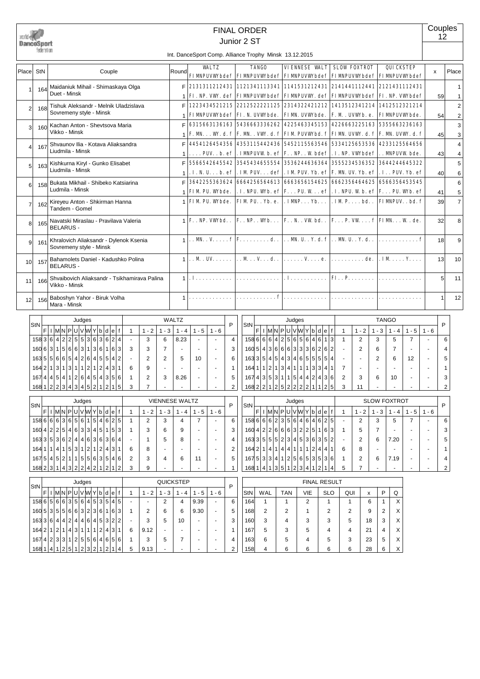|       | DanceSport<br>federation |                                                                   |                |                                       |                           |                                                        |                                                                           |                   | <b>FINAL ORDER</b><br>Junior 2 ST         |                                                                |                                |                                                |           |                                |                                     |                                  |                      |                           |                                                                                     | Couples<br>12            |                     |
|-------|--------------------------|-------------------------------------------------------------------|----------------|---------------------------------------|---------------------------|--------------------------------------------------------|---------------------------------------------------------------------------|-------------------|-------------------------------------------|----------------------------------------------------------------|--------------------------------|------------------------------------------------|-----------|--------------------------------|-------------------------------------|----------------------------------|----------------------|---------------------------|-------------------------------------------------------------------------------------|--------------------------|---------------------|
|       |                          |                                                                   |                |                                       |                           | Int. DanceSport Comp. Alliance Trophy Minsk 13.12.2015 |                                                                           |                   |                                           |                                                                |                                |                                                |           |                                |                                     |                                  |                      |                           |                                                                                     |                          |                     |
| Place | StN                      | Couple                                                            |                |                                       | Round                     |                                                        | <b>WALTZ</b><br><b>FIMPUVWbdef FIMPUVWbdef FIMPUVWbdef</b>                |                   |                                           | <b>TANGO</b>                                                   |                                | <b>VIENNESE VALT</b>                           |           |                                | <b>SLOW FOXTROT</b>                 |                                  |                      | QUICKSTEP                 | <b>FIMPUVWbdef FIMPUVWbdef</b>                                                      | x                        | Place               |
| 1     | 164                      | Maidaniuk Mihail - Shimaskaya Olga<br>Duet - Minsk                |                |                                       | F<br>1                    |                                                        | 2131311212431 1121341113341 1141531212431<br>FI. NP. VW. def FIMNPUVWbdef |                   |                                           |                                                                |                                | <b>FIMPUVW.</b> def                            |           |                                |                                     |                                  |                      |                           | 2141441112441   2121431112431<br><b>FIMPUVWbdef FI. NP. VWbdef</b>                  | 59                       | 1<br>$\mathbf{1}$   |
| 2     | 168                      | Tishuk Aleksandr - Melnik Uladzislava<br>Sovremeny style - Minsk  |                |                                       | F                         |                                                        | 1223434521215 2212522221125                                               |                   |                                           |                                                                |                                |                                                |           |                                |                                     |                                  |                      |                           | 2314322421212 1413512341214 1412512321214                                           |                          | $\overline{2}$      |
| 3     | 160                      | Kachan Anton - Shevtsova Maria<br>Vikko - Minsk                   |                |                                       | 1<br>F                    |                                                        | <b>FIMPUVWbdef FI. N. UVWbde.</b><br>6315663136163 5436663336262          |                   |                                           |                                                                |                                | <b>FIMM.</b> UVWbde.<br>4225463345153          |           |                                | F.M. UVWb. e.                       |                                  |                      |                           | <b>FIMMPUVWbde.</b><br>4226663225163 5355663236163                                  | 54                       | $\overline{c}$<br>3 |
| 4     | 167                      | Shvaunov Ilia - Kotava Aliaksandra                                |                |                                       | $\mathbf{1}$<br>F         |                                                        | <b>F. M W. d. f F. M VW. d. f</b><br>4454126454356 4353115442436          |                   |                                           |                                                                |                                | <b>FIM PUVWbd. f</b><br>5452115563546          |           |                                | 5334125653536                       |                                  |                      |                           | <b>FIM. UVW. d. f   F. M. UVW. d. f</b><br>4233125564656                            | 45                       | 3<br>4              |
| 5     | 163                      | Liudmila - Minsk<br>Kishkurna Kiryl - Gunko Elisabet              |                |                                       | $\mathbf{1}$<br>F         |                                                        | $\ldots$ . PUV. . b. ef $\mid$<br>5566542645542 3545434655554             |                   | . IMNPUVW b. ef   F. . NP. . W bdef       |                                                                |                                | 3536244636364                                  |           |                                | . I. NP. VWbdef<br>3555234536352    |                                  |                      |                           | MNPUVW bde.<br>3644244645322                                                        | 43                       | 4<br>5              |
|       |                          | Liudmila - Minsk                                                  |                |                                       | 1                         |                                                        | . I. N. U. $\ldots$ b. ef $\lceil$ . IM PUV. $\ldots$ def                 |                   |                                           |                                                                |                                |                                                |           |                                |                                     |                                  |                      |                           | . IM PUV. Yb. ef   F. M. UV. Yb. ef   . I. . PUV. Yb. ef                            | 40                       | 6                   |
| 6     | 158                      | Bukata Mikhail - Shibeko Katsiarina<br>Ludmila - Minsk            |                |                                       | F<br>1                    |                                                        | 3642255363624 6664256564613<br>FIM PU. Wbde.                              |                   |                                           |                                                                |                                | 6663656154625                                  |           |                                | 6662356464625                       |                                  |                      |                           | 6566356453545<br>. I. NPU. Wb. ef   F. PU. W ef   . I. NPU. W b. ef   F. PU. Wb. ef | 41                       | 6<br>5              |
| 7     | 162                      | Kireyeu Anton - Shkirman Hanna<br>Tandem - Gomel                  |                |                                       | 1                         |                                                        | FIM PU. Wbde.                                                             |                   | FIM PU. . Yb. e.                          |                                                                |                                | $.$ IMNP $.$ Yb                                |           |                                | $. IMP. \ldots bd.$ .               |                                  |                      |                           | <b>FIMMPUVbd.f</b>                                                                  | 39                       | $\overline{7}$      |
| 8     | 165                      | Navatski Miraslau - Pravilava Valeria<br><b>BELARUS -</b>         |                |                                       | $\mathbf{1}$              |                                                        | <b>F.</b> . NP. VWbd. .                                                   |                   | $F \cdot NP \cdot W b \cdot \cdot$        |                                                                |                                | <b>F.</b> . N. . VW bd. .                      |           |                                |                                     |                                  |                      |                           | $ FP. VWf $ FIM W.de.                                                               | 32                       | 8                   |
| 9     | 161                      | Khralovich Aliaksandr - Dylenok Ksenia<br>Sovremeny style - Minsk |                |                                       | $\mathbf{1}$              |                                                        | $\ldots$ M. $\ldots$ V. $\ldots$ . $f$ $F$ . $\ldots$ . $\ldots$ . $d$ .  |                   |                                           |                                                                |                                |                                                |           |                                | . . M. U. . Y. d. f M. U. . Y. d. . |                                  |                      | .                         |                                                                                     | 18                       | 9                   |
| 10    | 157                      | Bahamolets Daniel - Kadushko Polina<br><b>BELARUS -</b>           |                |                                       | $\mathbf{1}$              |                                                        | $\ldots$ M $\ldots$ UV $\ldots$ $\ldots$                                  |                   | $\ldots$ M $\ldots$ V $\ldots$ d $\ldots$ |                                                                |                                | $\ldots \ldots \mathbf{V} \ldots \mathbf{e}$ . |           |                                | . de.                               |                                  |                      |                           | $.$ IM $.$ $\ldots$ Y. $\ldots$                                                     | 13                       | 10                  |
| 11    | 166                      | Shvaibovich Aliaksandr - Tsikhamirava Palina<br>Vikko - Minsk     |                |                                       | $\mathbf{1}$              |                                                        | . <b>I</b> .                                                              |                   |                                           |                                                                |                                | . <b>I</b> .                                   |           |                                | FI. . P.                            |                                  |                      |                           |                                                                                     | 5                        | 11                  |
| 12    | 156                      | Baboshyn Yahor - Biruk Volha<br>Mara - Minsk                      |                |                                       | 1                         |                                                        |                                                                           |                   |                                           |                                                                |                                |                                                |           |                                |                                     |                                  |                      |                           |                                                                                     | 1                        | 12                  |
|       |                          | Judges                                                            |                |                                       | <b>WALTZ</b>              |                                                        |                                                                           |                   |                                           |                                                                | Judges                         |                                                |           |                                |                                     |                                  |                      | <b>TANGO</b>              |                                                                                     |                          |                     |
|       | StN                      | F I M N P U V W Y b d e f                                         | $\mathbf{1}$   | $1 - 2$<br>$1 - 3$                    | $1 - 4$                   | $1 - 5$                                                | $1 - 6$                                                                   | P                 | StN                                       | F I M N P U V W Y b d e f                                      |                                |                                                |           |                                | $\overline{1}$                      | $1 - 2$                          | $1 - 3$              | $1 - 4$                   | $1 - 5$                                                                             | $1 - 6$                  | P                   |
|       |                          | 15836422555363624                                                 |                | 6<br>3                                | 8.23                      | $\tilde{\phantom{a}}$                                  | $\omega$                                                                  | $\overline{4}$    |                                           | 15866664256564613                                              |                                |                                                |           |                                | $\overline{1}$                      | $\overline{2}$                   | 3                    | 5                         | $\overline{7}$                                                                      |                          | 6                   |
|       | 160 6 3 1                | 5 6 6 3 <br>1 3 6 1 6 3                                           | 3              | $\overline{7}$<br>3                   | ÷.                        | ÷.                                                     | $\omega$                                                                  | 3                 |                                           | $160\,5\,4\,3\,6\,6\,6\,3\,3\,3\,6\,2\,6\,2$<br>16335145434655 |                                |                                                | 5 5       |                                |                                     | $\overline{2}$                   | 6                    | $\overline{7}$            |                                                                                     |                          | 4                   |
|       | 163 5 5<br>$164$ 2 $1$ 3 | 4 2 6 4 5 5 4 2<br>6<br>6 5 <br>2 1 2 4 3 1<br>1 3 <br>1 1        | 6              | $\overline{2}$<br>$\overline{2}$<br>9 | 5                         | 10<br>ä,                                               | $\omega$<br>$\sim$                                                        | 6<br>$\mathbf{1}$ |                                           | 164112121341111                                                |                                |                                                | 3 <br>3 4 | $\overline{4}$                 | $\overline{7}$                      | $\sim$<br>$\sim$                 | $\overline{2}$<br>ä, | 6                         | 12                                                                                  | ÷,<br>÷.                 | 5<br>1              |
|       |                          | $167  4   5   4   1   2  6  4  5  4  3  5  6$                     | $\overline{1}$ | $\overline{2}$<br>3                   | 8.26                      | ٠                                                      |                                                                           | 5                 |                                           | 167 4 3 5 3 1 1 5 4 4 2                                        |                                |                                                | 4 3 6     |                                | $\overline{2}$                      | 3                                | 6                    | 10                        |                                                                                     |                          | 3                   |
|       |                          | $\frac{1681223434521215}{3}$                                      |                | $\overline{7}$                        |                           |                                                        |                                                                           | $\overline{2}$    |                                           | $168 2 2 1 2 5 2 2 2 2 1 1 2 5 $ 3                             |                                |                                                |           |                                |                                     | 11                               |                      |                           |                                                                                     |                          | $\overline{2}$      |
|       |                          | Judges                                                            |                |                                       | <b>VIENNESE WALTZ</b>     |                                                        |                                                                           |                   |                                           |                                                                | Judges                         |                                                |           |                                |                                     |                                  |                      | <b>SLOW FOXTROT</b>       |                                                                                     |                          |                     |
|       | StN                      | F I M N P U V W Y b d e f                                         | $\mathbf{1}$   | $1 - 3$<br>$1 - 2$                    | $1 - 4$                   | $1 - 5$                                                | $1 - 6$                                                                   | P                 | StN                                       | F I M N P U V W Y b d e f                                      |                                |                                                |           |                                | $\overline{1}$                      | $1 - 2$                          | $1 - 3$              | $ 1 - 4 $                 | $1 - 5$                                                                             | $1 - 6$                  | P                   |
|       |                          | 15866683656154625                                                 | $\mathbf{1}$   | $\overline{2}$<br>3                   | $\overline{4}$            | $\overline{7}$                                         | $\blacksquare$                                                            | 6                 |                                           | 1586662356464625                                               |                                |                                                |           |                                |                                     | $\overline{2}$                   | 3                    | 5                         | $\overline{7}$                                                                      |                          | 6                   |
|       |                          | 160 4 2 2 5 4 6 3 3 4 5 1 5 3                                     | $\mathbf{1}$   | 3<br>6                                | 9                         |                                                        |                                                                           | 3                 |                                           | 160422666632251683                                             |                                |                                                |           |                                | $\overline{1}$                      | 5                                | $\overline{7}$       |                           |                                                                                     |                          | 3                   |
|       |                          | 16335536244636364                                                 |                | 5<br>1                                | 8                         |                                                        |                                                                           | 4                 |                                           | 16335555234536352                                              |                                |                                                |           |                                |                                     | $\overline{2}$                   | 6                    | 7.20                      |                                                                                     |                          | 5                   |
|       |                          | 16411141531121212431                                              | 6              | 8                                     |                           |                                                        |                                                                           | $\overline{2}$    |                                           | 1642 1 4 1 4 4 1 1 1 2 4 4 1                                   |                                |                                                |           |                                | 6                                   | 8                                |                      |                           |                                                                                     |                          | 1                   |
|       |                          | 1675 45 2 11556 3546<br>$168$ 2 3 1 4 3 2 2 4 2 1 2 1 2 1 2       | 2<br>3         | 3<br>4<br>9                           | 6                         | 11                                                     |                                                                           | 5<br>$\mathbf{1}$ |                                           | 16753341125653516<br>168 1 4 1 3 5 1 2 3 4 1 2 1 4             |                                |                                                |           |                                | $\overline{1}$<br>5                 | $\overline{c}$<br>$\overline{7}$ | 6                    | 7.19                      |                                                                                     | $\overline{\phantom{a}}$ | 4                   |
|       |                          |                                                                   |                |                                       |                           |                                                        |                                                                           |                   |                                           |                                                                |                                |                                                |           |                                |                                     |                                  |                      |                           |                                                                                     |                          | $\overline{2}$      |
|       | StN                      | Judges                                                            |                |                                       | QUICKSTEP                 |                                                        |                                                                           | P                 |                                           |                                                                |                                |                                                |           | <b>FINAL RESULT</b>            |                                     |                                  |                      |                           |                                                                                     |                          |                     |
|       |                          | F I M N P U V W Y b d e f <br>15865668356453545                   | $\mathbf{1}$   | $1 - 2$<br>$1 - 3$                    | $1 - 4$<br>$\overline{4}$ | $1 - 5$<br>9.39                                        | $1 - 6$                                                                   |                   | StN                                       | WAL                                                            | <b>TAN</b>                     | VIE                                            |           | <b>SLO</b>                     | QUI                                 | X                                | P<br>$\mathbf{1}$    | $\mathsf Q$<br>X          |                                                                                     |                          |                     |
|       |                          | 16053556663236163                                                 |                | $\overline{2}$<br>$\overline{2}$      | 6<br>6                    | 9.30                                                   |                                                                           | 6<br>5            | 164<br>168                                | 1<br>$\overline{2}$                                            | $\mathbf{1}$<br>$\overline{2}$ | $\overline{2}$<br>$\mathbf{1}$                 |           | $\mathbf{1}$<br>$\overline{2}$ | $\mathbf{1}$<br>$\overline{2}$      | 6<br>9                           | $\sqrt{2}$           | $\boldsymbol{\mathsf{X}}$ |                                                                                     |                          |                     |

160 3 4 3 3 3 5 18 3 X 167 5 3 5 4 4 21 4 X 163 6 5 4 5 3 23 5 X 158 4 6 6 6 6 28 6 X

 $163\,3\,6\,4\,4\,4\,2\,4\,4\,6\,4\,5\,3\,2\,2\,2$  - 3 3 5 10 - - 3  $164 \, 2 \, | \, 1 \, | \, 2 \, | \, 1 \, | \, 4 \, | \, 3 \, | \, 1 \, | \, 1 \, | \, 2 \, | \, 4 \, | \, 3 \, | \, 1 \, | \quad 6 \quad | \, 9.12 \, | \quad - \quad | \quad - \quad | \quad - \quad | \quad - \quad | \quad 1 \, | \, 1 \, | \, 1 \, | \, 1 \, | \, 1 \, | \, 1 \, | \, 1 \, | \, 1 \, | \, 1 \, | \, 1 \, | \, 1 \, | \, 1 \, | \, 1 \, | \$  $167 \frac{4}{2} \left| 3 \right| 3 \left| 1 \right| 2 \left| 5 \right| 5 \left| 6 \right| 4 \left| 6 \right| 5 \left| 6 \right| 1 \left| 3 \right| 5 \left| 5 \right| 7 \left| -1 \right| - 4$  $168 \frac{1}{4} \left| 4 \right| 2 \left| 5 \right| 1 \left| 2 \right| 3 \left| 2 \right| 1 \left| 2 \right| 1 \left| 4 \right| 5 \left| 9.13 \right| - \left| - \left| - \right| - \left| 2 \right| 2$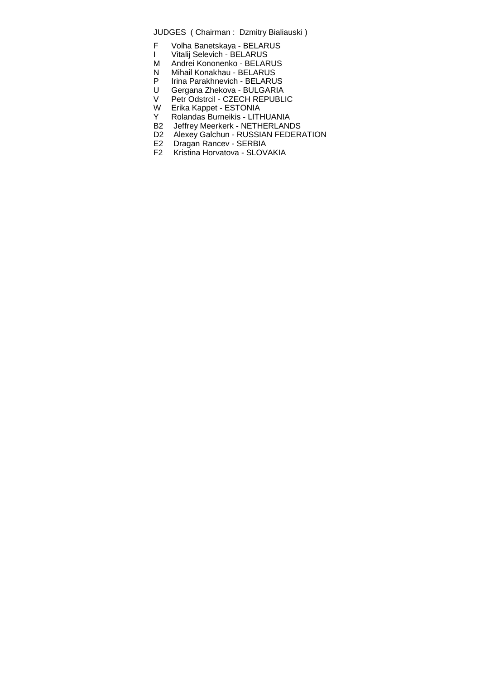- F Volha Banetskaya BELARUS
- I Vitalij Selevich BELARUS
- M Andrei Kononenko BELARUS
- N Mihail Konakhau BELARUS
- P Irina Parakhnevich BELARUS<br>U Gergana Zhekova BULGARIA
- U Gergana Zhekova BULGARIA
- V Petr Odstrcil CZECH REPUBLIC
- W Erika Kappet ESTONIA<br>Y Rolandas Burneikis LITI
- Y Rolandas Burneikis LITHUANIA<br>B2 Jeffrey Meerkerk NETHERLANI
- Jeffrey Meerkerk NETHERLANDS
- D2 Alexey Galchun RUSSIAN FEDERATION<br>E2 Dragan Rancev SERBIA
- 
- E2 Dragan Rancev SERBIA<br>F2 Kristina Horvatova SLOV Kristina Horvatova - SLOVAKIA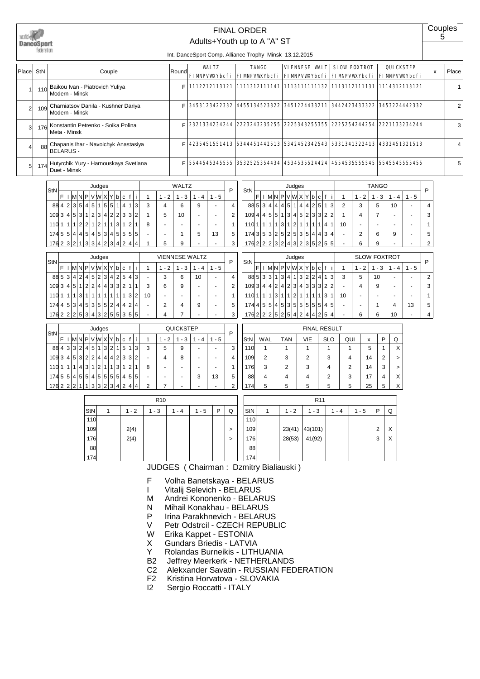|                | DanceSuort<br>iederat on |                                                                                                                                             |              | Int. DanceSport Comp. Alliance Trophy Minsk 13.12.2015 | <b>FINAL ORDER</b><br>Adults+Youth up to A "A" ST |                                                                                     |                                |                                          | Couples<br>5 |       |
|----------------|--------------------------|---------------------------------------------------------------------------------------------------------------------------------------------|--------------|--------------------------------------------------------|---------------------------------------------------|-------------------------------------------------------------------------------------|--------------------------------|------------------------------------------|--------------|-------|
| Place          | StN                      | Couple                                                                                                                                      | Round        | <b>VALTZ</b><br><b>FIMPVWXYbcfi</b>                    | <b>TANGO</b>                                      | <b>VIENNESE WALT</b><br>  FIMPVWXYbcfi   FIMPVWXYbcfi   FIMPVWXYbcfi   FIMPVWXYbcfi | <b>SLOW FOXTROT</b>            | <b>QUICKSTEP</b>                         | x            | Place |
|                | 110                      | Baikou Ivan - Piatrovich Yuliya<br>Modern - Minsk                                                                                           | E            |                                                        |                                                   | 1112212113121   1111312111141   1113111111132   1113112111131   1114312113121       |                                |                                          |              |       |
| $\overline{2}$ | 109                      | Charniatsov Danila - Kushner Dariya<br>Modern - Minsk                                                                                       | Е            | 3453123422332                                          | 4455134523322                                     | 3451224433211 3442423433322 3453224442332                                           |                                |                                          |              | 2     |
| 3              | 176                      | Konstantin Petrenko - Soika Polina<br>Meta - Minsk                                                                                          | Е            | 2321334234244                                          |                                                   | 2223243235255   2225343255355   2225254244254   2221133234244                       |                                |                                          |              | 3     |
| $\overline{4}$ | 88                       | Chapanis Ihar - Navoichyk Anastasiya<br><b>BELARUS -</b>                                                                                    | E            |                                                        |                                                   | 4235451551413 5344451442513 5342452342543 5331341322413 4332451321513               |                                |                                          |              | 4     |
| 5              | 174                      | Hutyrchik Yury - Harnouskaya Svetlana<br>Duet - Minsk                                                                                       | Е            |                                                        |                                                   | 5544545345555  3532525354434  4534535524424  4554535555545  5545545555455           |                                |                                          |              | 5     |
|                |                          | Judges<br>StN                                                                                                                               | <b>WALTZ</b> | P                                                      | StN                                               | Judges                                                                              |                                | <b>TANGO</b>                             | P            |       |
|                |                          | F<br>$I \vert M \vert N \vert P \vert V \vert W \vert X \vert Y \vert D \vert c \vert f \vert i$<br>$1 - 2$<br>884235451515511414<br>3<br>4 | $1 - 3$<br>6 | $1 - 4$<br>$1 - 5$<br>9<br>4                           | FI                                                | M N P V W X Y b c f i<br>885344445114425113                                         | $1 - 2$<br>$\overline{2}$<br>3 | $1 - 5$<br>$1 - 3$<br>$1 - 4$<br>5<br>10 | 4            |       |
|                |                          | 109 3 4 5 3 1 2 3 4 2 2 3 3 2<br>5                                                                                                          | 10           | 2                                                      |                                                   | 109 4 4 5 5 1 3 4 5 2 3 3 2 2                                                       | 4                              |                                          | 3            |       |

| 8842354545155         |    |    |                |                |    |                |    |                |      | 1 4 |                | 1 3 | 3 |   | 6  |   |    |   |
|-----------------------|----|----|----------------|----------------|----|----------------|----|----------------|------|-----|----------------|-----|---|---|----|---|----|---|
| 109 3                 |    |    |                | 4 5 3 1 2 3    |    |                |    | 4 2            |      | 2 3 | 3              | 2   |   | 5 | 10 | - |    | C |
| 110                   | 11 | 11 | $\overline{2}$ | $\overline{2}$ | 11 | 2 <sub>1</sub> | 11 | 1 <sup>1</sup> | '3 I | 1   | 2 <sub>1</sub> |     | 8 | - | -  |   |    |   |
| 174551414514531455555 |    |    |                |                |    |                |    |                |      |     |                |     | ٠ | - |    | 5 | 13 | 5 |
| 176232                |    |    |                | 1 3 3          |    |                |    | 4 2 3          |      | 4 2 |                |     |   | 5 | 9  | - |    | 3 |
|                       |    |    |                |                |    |                |    |                |      |     |                |     |   |   |    |   |    |   |

| StN  |                |                |                |   |               |                |                | Judges         |   |                |                |   |    |    |         | <b>VIENNESE WALTZ</b> |    |       | D              |  |
|------|----------------|----------------|----------------|---|---------------|----------------|----------------|----------------|---|----------------|----------------|---|----|----|---------|-----------------------|----|-------|----------------|--|
|      |                |                |                | N | P             |                |                | VWXY           |   | b              | c              |   |    |    | $1 - 2$ | $1 - 3$               | 4  | 1 - 5 |                |  |
| 88 5 |                | 3              | 4 <sup>1</sup> | 2 | $\frac{4}{ }$ | 5 <sup>1</sup> | $\overline{2}$ | 3              | 4 | 2 <sup>1</sup> | 5 <sub>1</sub> | 4 | 3  |    | 3       | 6                     | 10 |       |                |  |
| 109  | 3              | 4              | 5              | 1 | 2             | 2 <sub>1</sub> | 4              | 4 <sup>1</sup> | 3 | 31             | 2 <sub>1</sub> |   |    | 3  | 6       | 9                     |    |       | $\overline{2}$ |  |
| 110  |                |                |                | 3 |               |                | 1              |                |   |                |                | 3 | 2  | 10 |         | ۰                     |    |       |                |  |
| 174  | 4              | 5              | 3              | 4 |               | 5 3            | 5              | 5 <sup>1</sup> | 2 | 4              | $\overline{4}$ | 2 | 4  |    | 2       | 4                     | 9  |       | 5              |  |
| 176  | 2 <sub>1</sub> | 2 <sup>1</sup> | 2 <sup>1</sup> | 5 | 3             | 4 <sup>1</sup> | 3              | 2 <sup>1</sup> | 5 |                | 5 3            | 5 | 15 |    |         |                       |    |       | 3              |  |

| StN |               |   |         |   |   |                | Judges |   |   |   |   |   |   |   |      | <b>QUICKSTEP</b> |   |       | P              |
|-----|---------------|---|---------|---|---|----------------|--------|---|---|---|---|---|---|---|------|------------------|---|-------|----------------|
|     | F             |   | M       |   |   |                |        | x |   | b | с |   |   | 1 | $-2$ | - 3              | 4 | 1 - 5 |                |
| 88  | $\frac{4}{ }$ | 3 | 3       | 2 | 4 | 51             | 1      | 3 | 2 |   | 5 | 1 | 3 | 3 | 5    | 9                |   |       | 3              |
| 109 | з             | 4 | 5       | 3 | 2 | 2 <sub>1</sub> | 4      | 4 | 4 | 2 | 3 | 3 | 2 |   | 4    | 8                |   |       | 4              |
| 110 |               | 1 |         | 4 | 3 | 1              | 2      |   |   | 3 |   | 2 |   | 8 |      | ۰                |   |       | 1              |
| 174 | 5             | 5 | $\vert$ | 5 | 5 | 41             | 5      | 5 | 5 | 5 | 4 | 5 | 5 |   |      | ۰                | 3 | 13    | 5              |
| 176 | $\mathcal{P}$ | 2 | ◠       |   |   | 3 <sup>1</sup> | 3      | 2 | 3 | 4 | 2 | 4 | 4 | 2 |      |                  |   |       | $\overline{2}$ |

| 176 2 2 2 3 2 4 3 2 3 5 2 5 5 |   |                |   |                 |                |    |                |   |                |   |                |                |                |    | 6       | 9                   |     |       | 2 <sub>1</sub> |
|-------------------------------|---|----------------|---|-----------------|----------------|----|----------------|---|----------------|---|----------------|----------------|----------------|----|---------|---------------------|-----|-------|----------------|
|                               |   |                |   |                 |                |    |                |   |                |   |                |                |                |    |         |                     |     |       |                |
| StN                           |   |                |   |                 |                |    | Judges         |   |                |   |                |                |                |    |         | <b>SLOW FOXTROT</b> |     |       | P              |
|                               | F |                |   |                 | NPVWX          |    |                |   |                | b | C              |                |                |    | $1 - 2$ | - 3                 | - 4 | 1 - 5 |                |
| 88 5                          |   | 31             | 3 | 1               | 3 <sub>1</sub> | 4' | 11             | 3 | 2 <sub>1</sub> | 2 | 4              |                | 3              | 3  | 5       | 10                  |     |       | 2              |
| 109                           | 3 | 4 <sup>1</sup> | 4 | 2 <sub>1</sub>  | $\vert$        | 2  | 3              | 4 | 3 <sup>1</sup> | 3 | 3              | $\overline{2}$ | 2 <sub>1</sub> |    | 4       | 9                   |     |       | 3              |
| 110                           | 1 |                |   | 3               | 11             | 1  | $\mathcal{P}$  |   |                |   |                | 3              | 1              | 10 |         |                     |     |       |                |
| 174                           | 4 | 5 <sup>1</sup> | 5 | .4 <sup>1</sup> | 5 <sup>1</sup> | 3  | 5 <sup>1</sup> | 5 | 5 <sup>1</sup> | 5 | 5              | 4              | 5              |    |         |                     | 4   | 13    | 5              |
| 1762 2                        |   |                | 2 | 5 <sup>1</sup>  | 2              | 5  | 4 <sup>1</sup> | 2 | 4              | 4 | 2 <sub>1</sub> | 5              | 4              |    | 6       | 6                   | 10  |       |                |

 $110|1|1|1|1|3|1|2|1|1|1|1|4|1|10| - | - | - | - | - | 1$  $1743|5|3|2|5|2|5|3|5|4|4|3|4$  -  $2$  6 9 - 5

|     |     |            |     | <b>FINAL RESULT</b> |     |    |   |              |
|-----|-----|------------|-----|---------------------|-----|----|---|--------------|
| StN | WAL | <b>TAN</b> | VIE | <b>SLO</b>          | QUI | x  | P | Q            |
| 110 |     |            |     |                     |     | 5  | 1 | X            |
| 109 | 2   | 3          | 2   | 3                   | 4   | 14 | 2 | $\geq$       |
| 176 | 3   | 2          | 3   | 4                   | 2   | 14 | 3 | $\mathbf{r}$ |
| 88  | 4   | 4          | 4   | 2                   | 3   | 17 | 4 | X            |
| 174 | 5   | 5          | 5   | 5                   | 5   | 25 | 5 | X            |
|     |     |            |     |                     |     |    |   |              |

|     |      | R <sub>10</sub> |     |         |   |   |     |         | R <sub>11</sub> |         |         |   |   |
|-----|------|-----------------|-----|---------|---|---|-----|---------|-----------------|---------|---------|---|---|
| StN | $-2$ | $1 - 3$         | - 4 | $1 - 5$ | P | Q | StN | $1 - 2$ | $-3$            | $1 - 4$ | $1 - 5$ | P | Q |
| 110 |      |                 |     |         |   |   | 110 |         |                 |         |         |   |   |
| 109 | 2(4) |                 |     |         |   | > | 109 | 23(41)  | 43(101)         |         |         | 2 | х |
| 176 | 2(4) |                 |     |         |   | > | 176 | 28(53)  | 41(92)          |         |         | 3 | X |
| 88  |      |                 |     |         |   |   | 88  |         |                 |         |         |   |   |
| 174 |      |                 |     |         |   |   | 174 |         |                 |         |         |   |   |

- F Volha Banetskaya BELARUS
- I Vitalij Selevich BELARUS<br>M Andrei Kononenko BELAR
- M Andrei Kononenko BELARUS<br>N Mihail Konakhau BELARUS
- N Mihail Konakhau BELARUS<br>P Irina Parakhnevich BELARU
- P Irina Parakhnevich BELARUS<br>V Petr Odstrcil CZECH REPUBL
- V Petr Odstrcil CZECH REPUBLIC<br>W Erika Kappet ESTONIA
- Erika Kappet ESTONIA
- X Gundars Briedis LATVIA<br>Y Rolandas Burneikis LITH
- Y Rolandas Burneikis LITHUANIA<br>B2 Jeffrev Meerkerk NETHERLANI
- Jeffrey Meerkerk NETHERLANDS
- C2 Alekxander Savatin RUSSIAN FEDERATION<br>F2 Kristina Horvatova SLOVAKIA
- F2 Kristina Horvatova SLOVAKIA<br>I2 Sergio Roccatti ITALY
- Sergio Roccatti ITALY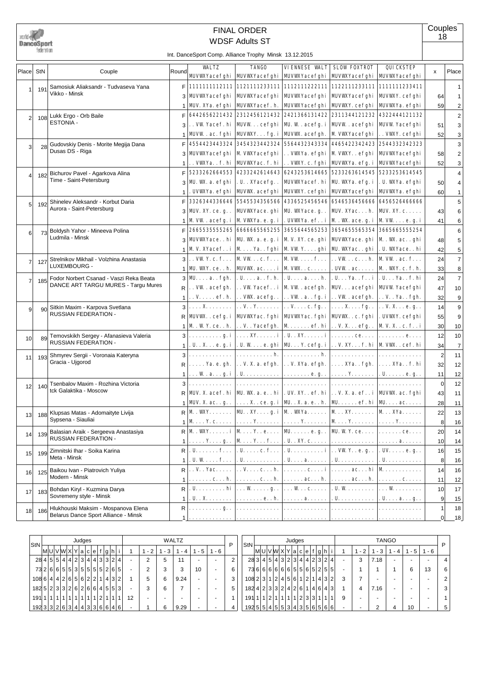

# WDSF Adults ST FINAL ORDER

Int. DanceSport Comp. Alliance Trophy Minsk 13.12.2015

|                 |     |                                         |                |                       | $\overline{\text{m}}$ . Dancesport Comp. Alliance Trophy Minsk 13.12.2015       |                                                  |                                                                                                                                                |                   |                 |                         |
|-----------------|-----|-----------------------------------------|----------------|-----------------------|---------------------------------------------------------------------------------|--------------------------------------------------|------------------------------------------------------------------------------------------------------------------------------------------------|-------------------|-----------------|-------------------------|
| Place StN       |     | Couple                                  | Round          | <b>WALTZ</b>          | <b>TANGO</b>                                                                    |                                                  | <b>VIENNESE VALT SLOW FOXTROT</b><br>MJVWXYacefghi   MJVWXYacefghi   MJVWXYacefghi   MJVWXYacefghi   MJVWXYacefghi                             | QUICKSTEP         | x               | Place                   |
| 1               | 191 | Samosiuk Aliaksandr - Tudvaseva Yana    |                |                       |                                                                                 |                                                  | F   1111111112111   1121111233111   1112111222111   1122111233111   1111111233411                                                              |                   |                 | 1                       |
|                 |     | Vikko - Minsk                           | 31             |                       |                                                                                 |                                                  | MJVWXYacefghi   MJVWXYacefghi   MJVWXYacefghi   MJVWXYacefghi   MJVWXY. cefghi                                                                 |                   | 64              | 1                       |
|                 |     |                                         | $\mathbf{1}$   |                       |                                                                                 |                                                  | MJV. XYa. efghi   MJVWXYacef. h.   MJVWXYacefghi   MJVWXY. cefghi   MJVWXYa. efghi                                                             |                   | 59              | $\overline{\mathbf{c}}$ |
| $\overline{2}$  | 108 | Lukk Ergo - Orb Baile                   | F              |                       |                                                                                 |                                                  | 6442656221432 2312456121432 2421366131422 2311344121232 4322444121132                                                                          |                   |                 | $\overline{\mathbf{c}}$ |
|                 |     | <b>ESTONIA -</b>                        | 3              |                       |                                                                                 |                                                  | . . VW Yacef. hi   MJVW cefghi   MJ. W . acefg. i   MJVW . acefghi   MJVW Yacefghi                                                             |                   | 51              | 3                       |
|                 |     |                                         | $\mathbf{1}$   |                       |                                                                                 |                                                  | MJVW.ac.fghi   MJVWYfg.i   MJVW.acefgh.   M VWYacefghi                                                                                         | . . VWY. cefghi   | 52              | 3                       |
| 3 <sup>1</sup>  | 28  | Gudovskiy Denis - Morite Megija Dana    | F              |                       |                                                                                 |                                                  | 4554423443324 3454323442324 5564432343334 4465422342423 2544332342323                                                                          |                   |                 | 3                       |
|                 |     | Dusas DS - Riga                         | 3              |                       |                                                                                 |                                                  | MJVWXYacefghi   M VWXYacefghi   VWXYa. efghi   M VWXY. . efghi   MJVWXYacefghi                                                                 |                   | 58              | $\overline{c}$          |
|                 |     |                                         | $\mathbf{1}$   |                       |                                                                                 |                                                  | . . VWXYa. . f. hi   MJVWXYac. f. hi   VWXY. c. fghi   MJVWXYa. efg. i   MJVWXYacefghi                                                         |                   | 52              | 3                       |
| 4 <sup>1</sup>  | 182 | Bichurov Pavel - Agarkova Alina         | F              |                       |                                                                                 |                                                  | 5233262664553 4233242614643 6243253614665 5233263614545 5233253614545                                                                          |                   |                 | 4                       |
|                 |     | Time - Saint-Petersburg                 | 3              | MJ. WK. a. efghi      | . U. . XYacefg. .                                                               |                                                  | MJVWYacef. hi   MJ. WYA. efg. i                                                                                                                | . U. WYA. efghi   | 50              | 4                       |
|                 |     |                                         | 1              | . UVWYa. efghi        |                                                                                 |                                                  | <b>MIVW.</b> acefghi   MIVWY. cefghi   MIVWYacefghi   MIVWYa. efghi                                                                            |                   | 60              | 1                       |
| 5 <sub>l</sub>  | 192 | Shinelev Aleksandr - Korbut Daria       | F              | 3326344336646         |                                                                                 |                                                  | 5545534356566   4336525456546   6546536456666   6456526466666                                                                                  |                   |                 | 5                       |
|                 |     | Aurora - Saint-Petersburg               | 3              | <b>MIV. XY. ce. g</b> |                                                                                 | MJVWXYace. ghi   MJ. WXYace. g. .   MJV. XYac h. |                                                                                                                                                | MUV. XY. c.       | 43              | 6                       |
|                 |     |                                         | 1              |                       |                                                                                 |                                                  | M VW . acefg. i   M VWYa. e. g. i   . UVWYa. ef. . i   M . W. ace. g. i   M VW e. g. i                                                         |                   | 41              | 6                       |
| 6               | 73  | Boldysh Yahor - Mineeva Polina          | F              |                       |                                                                                 |                                                  | 2665535555265  6666665565255  3655644565253  3654655565354  3665665555254                                                                      |                   |                 | 6                       |
|                 |     | Ludmila - Minsk                         | 3              |                       |                                                                                 |                                                  | MJVWXYace. . hi   MJ. WK. a. e. g. i   M V. XY. ce. ghi   MJVWXYace. ghi   M . WK. ac. . ghi                                                   |                   | 48              | 5                       |
|                 |     |                                         | 1 <sup>1</sup> |                       |                                                                                 |                                                  | M V. XYacef. . i   M Ya. . fghi   M VW Y. ghi   MJ. WKYac. . ghi   . U. WKYace. . hi                                                           |                   | 42              | 5                       |
| 7               | 127 | Strelnikov Mikhail - Volzhina Anastasia |                |                       |                                                                                 |                                                  | $3$ . VW Y. c. f. M VW c. f.   M VW f.   VW c. h.   M VW . ac. f.                                                                              |                   | 24              | $\overline{7}$          |
|                 |     | LUXEMBOURG -                            | $\mathbf{1}$   |                       | <b>MJ.</b> WKY. ce. . h.   <b>MJVW.</b> ac. i   <b>M</b> VWK. . c.   . UVW. ac. |                                                  |                                                                                                                                                | M . WXY. c. f. h. | 33              | 8                       |
| $\overline{7}$  | 185 | Fodor Norbert Csanad - Vaszi Reka Beata |                |                       |                                                                                 |                                                  | $3$   MUa fgh. $ $ . Ua f. h. $ $ . Uah. $ $ . U Ya f. i $ $ . U Ya f. hi                                                                      |                   | 24              | $\overline{7}$          |
|                 |     | DANCE ART TARGU MURES - Targu Mures     | R.             |                       |                                                                                 |                                                  | VW . acefgh.   VW Yacef. . i   M VW . acefgh.   MJV. acefghi   MJVW Yacefghi                                                                   |                   | 47              | 10                      |
|                 |     |                                         | 1 <sup>1</sup> |                       |                                                                                 |                                                  | $ \ldots$ V. $\ldots$ . ef. h. $ \ldots$ VWL. acefg. . $ \ldots$ VW . a. . fg. i $ \ldots$ VW . acefgh. $ \ldots$ V. . Ya. . fgh.              |                   | 32              | 9                       |
| 9               | 90  | Sitkin Maxim - Karpova Svetlana         |                |                       |                                                                                 |                                                  |                                                                                                                                                |                   | 14              | 9                       |
|                 |     | <b>RUSSIAN FEDERATION -</b>             |                |                       |                                                                                 |                                                  | MJVW. . cefg. i   MJVWYac. fghi   MJVWYac. fghi   MJVW. . c. fghi   . UVWY. cefghi                                                             |                   | 55              | 9                       |
|                 |     |                                         | 1 <sup>1</sup> |                       |                                                                                 |                                                  | M . W Y. ce. . h.   V. . Yacefgh.   M ef. hi   V. X. efg. .   M V. X. . c. f. . i                                                              |                   | 30              | 10                      |
| 10 <sup>1</sup> | 89  | Temovskikh Sergey - Afanasieva Valeria  |                |                       |                                                                                 |                                                  |                                                                                                                                                |                   | 12              | 10                      |
|                 |     | RUSSIAN FEDERATION -                    | 1 <sup>1</sup> |                       |                                                                                 |                                                  | . U. . X. e. g. i   . U. W e. ghi   ML Y. cefg. i   V. XY. f. hi   M VWK. . cef. hi                                                            |                   | 34              | $\overline{7}$          |
| 11              | 193 | Shmyrev Sergii - Voronaia Kateryna      | 3              |                       |                                                                                 |                                                  |                                                                                                                                                |                   | $\overline{2}$  | 11                      |
|                 |     | Gracia - Ujgorod                        |                |                       |                                                                                 |                                                  | R   Ya. e. gh.   V. X. a. efgh.   V. XYa. efgh.   XYa. . fgh.   XYa. . f. hi                                                                   |                   | 32              | 12                      |
|                 |     |                                         |                |                       |                                                                                 |                                                  | $1    W$ .ag.i   . U   e.g    Y   . Ue.g                                                                                                       |                   | 11              | 12                      |
| 12 <sub>l</sub> | 140 | Tsenbalov Maxim - Rozhina Victoria      | 3              |                       |                                                                                 |                                                  |                                                                                                                                                |                   | $\mathbf 0$     | 12                      |
|                 |     | tck Galaktika - Moscow                  |                |                       |                                                                                 |                                                  | R   MJV. X. acef. hi   MJ. WK. a. e. . hi   . UV. XY. . ef. hi   V. X. a. ef. . i   MJVWK. ac. fghi                                            |                   | 43              | 11                      |
|                 |     |                                         |                |                       |                                                                                 |                                                  | $1 \, \,$ MJV. X. ac. . g. . $ \ldots$ . X. . ce. g. i $ \,$ MJ. . X. a. e. . h. $ \,$ MJ. $\ldots$ . ef. hi $ \,$ MJ. $\ldots$ ac. $\ldots$ . |                   | 28              | 11                      |
| 13              |     | 188 Klupsas Matas - Adomaityte Livija   |                |                       |                                                                                 |                                                  | $R$   M . WXY.   MJ. . XY.   M . WXYa.   M XY.   M XYa.                                                                                        |                   | 22              | 13                      |
|                 |     | Sypsena - Siauliai                      |                |                       |                                                                                 |                                                  | $1   M Y. c       Y Y Y Y   M Y Y    Y Y$                                                                                                      |                   | 8               | 16                      |
| 14              | 139 | Balasian Araik - Sergeeva Anastasiya    |                |                       |                                                                                 |                                                  | $R/M$ . WXY.  i $MY$ . . e.  MU.  e. g. . MU. WY. ce. $\dots$ .  ce.                                                                           |                   | 20 <sub>2</sub> | 14                      |
|                 |     | <b>RUSSIAN FEDERATION -</b>             | 1 <sup>1</sup> |                       |                                                                                 |                                                  | Yg.   M Y f   . U. . XY. c       a                                                                                                             |                   | 10              | 14                      |
| 15 <sub>l</sub> | 199 | Zimnitski Ihar - Soika Karina           | R I            |                       |                                                                                 |                                                  |                                                                                                                                                |                   | 16              | 15                      |
|                 |     | Meta - Minsk                            | 1              |                       |                                                                                 |                                                  |                                                                                                                                                |                   | 8 <sup>1</sup>  | 16                      |
| 16              | 125 | Baikou Ivan - Piatrovich Yuliya         |                |                       |                                                                                 |                                                  |                                                                                                                                                |                   | 14              | 16                      |
|                 |     | Modern - Minsk                          | 1 <sup>1</sup> |                       |                                                                                 |                                                  |                                                                                                                                                |                   | 11              | 12                      |
| 17              | 183 | Bohdan Kiryl - Kuzmina Darya            |                |                       |                                                                                 |                                                  |                                                                                                                                                |                   | 10              | 17                      |
|                 |     | Sovremeny style - Minsk                 | 1 <sup>1</sup> |                       |                                                                                 |                                                  |                                                                                                                                                |                   | $\overline{9}$  | 15                      |
| 18              | 186 | Hlukhouski Maksim - Mospanova Elena     |                |                       |                                                                                 |                                                  |                                                                                                                                                |                   | 1               | 18                      |
|                 |     | Belarus Dance Sport Alliance - Minsk    | 1 <sup>1</sup> |                       |                                                                                 |                                                  |                                                                                                                                                |                   | $\overline{0}$  | $\_18$                  |

| StN                           |  |             |  | Judges |  |     |                                |    |      |     | WALTZ |     |     | ח | StN                                          |  |      |                                  | Judges         |         |       |   |     |      | <b>TANGO</b> |     |     | P              |
|-------------------------------|--|-------------|--|--------|--|-----|--------------------------------|----|------|-----|-------|-----|-----|---|----------------------------------------------|--|------|----------------------------------|----------------|---------|-------|---|-----|------|--------------|-----|-----|----------------|
|                               |  | MUVWXYa c e |  |        |  |     | $\lceil f  g h \rceil$ i       |    | $-2$ | - 3 | $-4$  | - 5 | - 6 |   |                                              |  |      | M U V W X Y a c e                |                |         | f g h |   | - 2 | - 3  | - 4          | - 5 | - 6 |                |
|                               |  |             |  |        |  |     | 28 4 5 5 4 4 2 3 4 4 3 3 2 4   |    |      | 5   |       |     |     | っ |                                              |  |      | 28 3 4 5 4 3 2 3 4 4 2 3 2 4     |                |         |       |   |     | 7.18 |              |     |     | 4              |
|                               |  |             |  |        |  |     | 73 2 6 6 5 5 3 5 5 5 5 6 2 6 5 |    |      |     |       | 10  |     | 6 |                                              |  |      | 7366666665565255                 |                |         |       |   |     |      |              | 6   | 13  | 6 I            |
| 1086 4 4 2 6 5 6 2 2 1 4 3 2  |  |             |  |        |  |     |                                |    | 5.   | 6   | 9.24  |     |     | 3 | $108$ 2 3 1 2 4 5 6 1 2 1 4 3 2              |  |      |                                  |                |         |       |   |     |      |              |     |     |                |
| 182523332626664553            |  |             |  |        |  |     |                                |    |      |     |       |     |     | 5 | 1824233242614643                             |  |      |                                  |                |         |       |   |     | 7.16 |              |     |     | $\overline{3}$ |
| 191 1 1 1 1 1 1 1 1 1 1 1 1   |  |             |  |        |  | 2 1 |                                | 12 |      |     |       |     |     |   | 191 1                                        |  | 1211 | $^{\circ}$ 1 $\vert$ 1 $\vert$ . | $\overline{ }$ | 2 3 3 1 |       | 9 |     |      |              |     |     |                |
| 192 3 3 2 6 3 4 4 3 3 6 6 4 6 |  |             |  |        |  |     |                                |    |      |     | 9.29  |     |     |   | $192\,5\,5\,4\,5\,5\,3\,4\,3\,5\,6\,5\,6\,6$ |  |      |                                  |                |         |       |   |     |      |              | 10  |     | 5 <sub>1</sub> |

**Couples** 18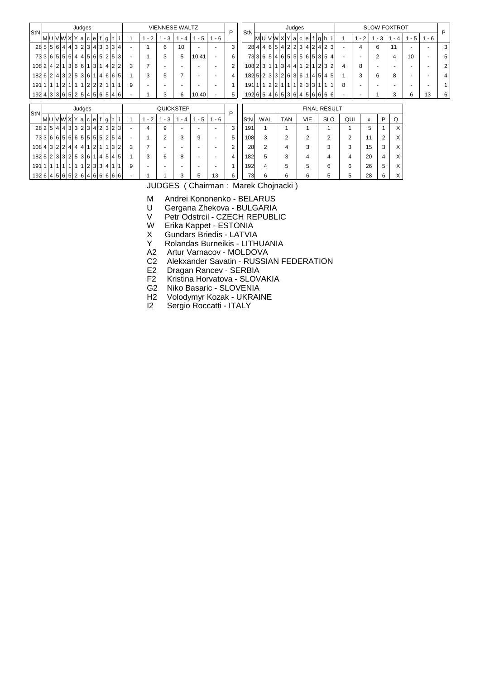| StN                                                       |                                                    |  |  | Judges |  |  |  |   |      | <b>VIENNESE WALTZ</b>    |     |                          |                          | P              | <b>StN</b>                        |                |  |                                  | Judges |                |  |                     |                |      |                          |                | <b>SLOW FOXTROT</b> |                          |         | P              |
|-----------------------------------------------------------|----------------------------------------------------|--|--|--------|--|--|--|---|------|--------------------------|-----|--------------------------|--------------------------|----------------|-----------------------------------|----------------|--|----------------------------------|--------|----------------|--|---------------------|----------------|------|--------------------------|----------------|---------------------|--------------------------|---------|----------------|
|                                                           | [M]U[V]W]X[Y]a[c]e[f g h]                          |  |  |        |  |  |  |   | $-2$ | $-3$                     | - 4 | $1 - 5$                  | $1 - 6$                  |                |                                   |                |  | M U V W X Y a c e f g h i        |        |                |  |                     |                | $-2$ | - 3                      |                | $-4$                | $1 - 5$                  | $1 - 6$ |                |
|                                                           | $28   5   6   4   4   3   2   3   4   3   3   4  $ |  |  |        |  |  |  |   |      | 6                        | 10  | $\sim$                   | $\overline{\phantom{a}}$ | 3              |                                   |                |  | 28 4 4 6 5 4 2 2 3 4 2 4 2 3     |        |                |  |                     | $\sim$         | 4    | 6                        |                | 11                  | ٠                        |         | 3              |
|                                                           | 73 3 6 5 5 6 4 4 5 6 5 2 5 3                       |  |  |        |  |  |  | ٠ |      | 3                        | 5   | 10.41                    | $\sim$                   | 6              |                                   |                |  | 73 3 6 5 4 6 5 5 6 6 5 6 7 3 5 4 |        |                |  |                     | ٠              |      | 2                        |                | 4                   | 10                       |         | 5              |
| 108 2 4 2 1 3 6 6 1 3 1 4 2 2                             |                                                    |  |  |        |  |  |  | 3 |      | $\overline{\phantom{0}}$ |     |                          | $\overline{\phantom{0}}$ | $\overline{2}$ | $108$ 2 3 1 1 1 3 4 4 1 2 1 2 3 2 |                |  |                                  |        |                |  |                     | 4              | 8    | $\overline{a}$           |                |                     | $\overline{\phantom{0}}$ | ٠       | $\overline{2}$ |
| 182 6 2 4 3 2 5 3 6 1 4 6 6 5                             |                                                    |  |  |        |  |  |  |   | 3    | 5                        |     | $\sim$                   |                          | 4              | $182\,5$  2 3 3 2 6 3 6 1 4 5 4 5 |                |  |                                  |        |                |  |                     |                | 3    | 6                        |                | 8                   | $\overline{\phantom{0}}$ |         | 4              |
| 191 1 1 1 2 1 1 1 2 2 2 1                                 |                                                    |  |  |        |  |  |  | 9 |      |                          |     |                          |                          | 1              | 191 1 1 2 2 1 1 1 2 3 3 1 1       |                |  |                                  |        |                |  |                     | 8              |      | $\overline{\phantom{0}}$ |                |                     | $\overline{\phantom{0}}$ |         |                |
| $192   4   3   3   6   5   2   5   4   5   6   5   4   6$ |                                                    |  |  |        |  |  |  |   |      | 3                        | 6   | 10.40                    |                          | 5              | 192 6 5 4 6 5 3 6 4 5 6 6 6 6     |                |  |                                  |        |                |  |                     |                |      |                          |                | 3                   | 6                        | 13      | 6              |
|                                                           |                                                    |  |  | Judges |  |  |  |   |      | <b>QUICKSTEP</b>         |     |                          |                          |                |                                   |                |  |                                  |        |                |  | <b>FINAL RESULT</b> |                |      |                          |                |                     |                          |         |                |
| StN                                                       | [M]U[V]W]X[Y]a[c]e[f g h]                          |  |  |        |  |  |  |   | $-2$ | $-3$                     | - 4 | $1 - 5$                  | $1 - 6$                  | P              | StN                               | WAL            |  | <b>TAN</b>                       |        | <b>VIE</b>     |  | <b>SLO</b>          | QUI            |      | x                        | P              | Q                   |                          |         |                |
|                                                           | 28 2 5 4 4 3 3 2 3 4 2 3 2 3                       |  |  |        |  |  |  |   | 4    | 9                        |     |                          |                          | 3              | 191                               |                |  |                                  |        |                |  |                     |                |      | 5                        |                | X                   |                          |         |                |
|                                                           | 73 3 6 6 5 6 6 6 5 5 5 5 6 2 5 4                   |  |  |        |  |  |  | ٠ |      | 2                        | 3   | 9                        | $\overline{\phantom{0}}$ | 5              | 108                               | 3              |  | 2                                |        | $\overline{2}$ |  | 2                   | $\overline{2}$ |      | 11                       | $\overline{2}$ | X                   |                          |         |                |
| 108 4 3 2 2 4 4 4 1 2 1 1 3 2                             |                                                    |  |  |        |  |  |  | 3 |      | $\overline{\phantom{0}}$ |     | $\sim$                   |                          | $\overline{2}$ | 28                                | 2              |  | 4                                |        | 3              |  | 3                   | 3              |      | 15                       | 3              | X                   |                          |         |                |
| 1825 23325 361145 45                                      |                                                    |  |  |        |  |  |  |   | 3    | 6                        | 8   | $\sim$                   |                          | 4              | 182                               | 5              |  | 3                                |        | 4              |  | 4                   | 4              |      | 20                       | 4              | X                   |                          |         |                |
| $191   1   1   1   1   1   1   1   2   3   3   4$         |                                                    |  |  |        |  |  |  | 9 |      |                          |     | $\overline{\phantom{0}}$ |                          |                | 192                               | $\overline{4}$ |  | 5                                |        | 5              |  | 6                   | 6              |      | 26                       | 5              | X                   |                          |         |                |
| 1926 4565 526466666                                       |                                                    |  |  |        |  |  |  |   |      |                          | 3   | 5                        | 13                       | 6              | 73                                | 6              |  | 6                                |        | 6              |  | 5                   | 5              |      | 28                       | 6              | X                   |                          |         |                |

JUDGES ( Chairman : Marek Chojnacki )

- M Andrei Kononenko BELARUS
- U Gergana Zhekova BULGARIA
- V Petr Odstrcil CZECH REPUBLIC
- W Erika Kappet ESTONIA
- X Gundars Briedis LATVIA<br>Y Rolandas Burneikis LITH
- Rolandas Burneikis LITHUANIA
- A2 Artur Varnacov MOLDOVA
- C2 Alekxander Savatin RUSSIAN FEDERATION<br>E2 Dragan Rancev SERBIA
- E2 Dragan Rancev SERBIA<br>F2 Kristina Horvatova SLOV
- Kristina Horvatova SLOVAKIA
- G2 Niko Basaric SLOVENIA
- H2 Volodymyr Kozak UKRAINE<br>I2 Sergio Roccatti ITALY
- Sergio Roccatti ITALY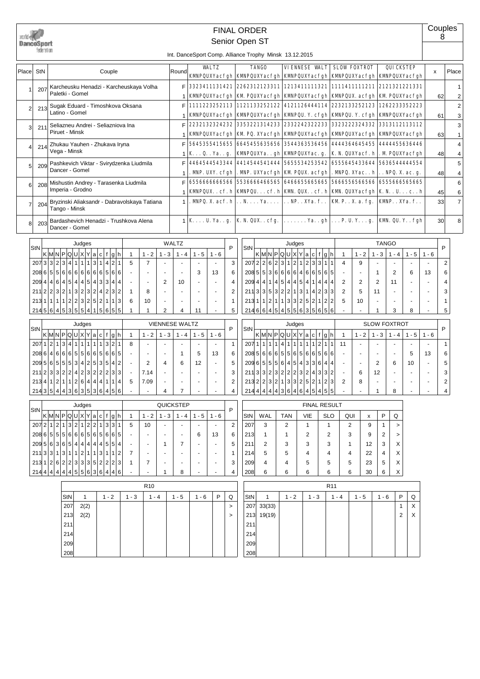| DanceSport<br>federation<br>Int. DanceSport Comp. Alliance Trophy Minsk 13.12.2015<br><b>WALTZ</b><br><b>TANGO</b><br>VIENNESE VALT<br><b>SLOW FOXTROT</b><br><b>QUICKSTEP</b><br>Couple<br>Place<br>StN<br>Round<br>x<br>KMPQUXYacfgh KMPQUXYacfgh KMPQUXYacfgh KMPQUXYacfgh KMPQUXYacfgh<br>2262312123311 1213411111321<br>1111411111211 2121321221331<br>F<br>3323411131421<br>Karcheusku Henadzi - Karcheuskaya Volha<br>207<br>Paletki - Gomel<br><b>KMPQUXYacfgh</b><br><b>KM PQUXYacfgh</b><br><b>KWNPQUXYacfgh</b><br><b>KMPQUX.</b> acfgh   KM PQUXYacfgh<br>62<br>1111223252113 1121133252122<br>4121126444114<br>2232133252123 1262233352223<br>F<br>Sugak Eduard - Timoshkova Oksana<br>213<br>$\overline{2}$<br>Latino - Gomel<br><b>KMPQUXYacfgh</b><br>KMPQUXYacfgh  KMPQU. Y. cfgh  KMPQU. Y. cfgh  KMPQUXYacfgh<br>61<br>2232132324232<br>3353221314233 23322423222233<br>3323222324332 3313112113112<br>F<br>Seliazneu Andrei - Seliazniova Ina<br>211<br>3<br>Piruet - Minsk<br>KMPQUXYacfgh KM PQ. XYacfgh KMPQUXYacfgh KMPQUXYacfgh KMPQUXYacfgh<br>1<br>63<br>5645355415655   6645455635656   3544363536456   4444364645455   4444455636446<br>Zhukau Yauhen - Zhukava Iryna<br>F<br>214<br>4<br>Vega - Minsk<br>KQ Yag.<br>KMPQUXYagh KMPQUXYac.g.<br>K. N. QUXYacf. h   . M PQUXYacfgh<br>48<br>1<br>4464544543344 4414544541444 5655534253542<br>6555645433644 5636544444554<br>Pashkevich Viktar - Svirydzenka Liudmila<br>F<br>209<br>5<br>Dancer - Gomel<br>. MNP. UXY. cfgh . MNP. UXYacfgh   KM PQUX. acfgh<br>. MNPQ. XYac. . $\mathbf{h}$ . NPQ. X. ac. g.<br>48<br>1<br>6556666666566 5536666466565 6466655665665<br>56665565665666 6555666565665<br>Mishustin Andrey - Tarasenka Liudmila<br>F<br>208<br>6<br>Imperia - Grodno<br><b>KWIPQUXcf.h KWIPQUcf.h KW.QUXcf.h KWI.QUXYacfgh K.NUch</b><br>45<br>1<br>$\ldots$ NP. $\ldots$ XYa. f. .<br><b>KM P.</b> . X. a. fg.<br>$\mathbf{MNPQ}$ . X. acf. h $\mathbf{N}$ . N. Ya.<br><b>KMP.</b> . XYa. f<br>33<br>Bryzinski Aliaksandr - Dabravolskaya Tatiana<br>$\mathbf{1}$<br>204<br>7<br>Tango - Minsk<br>$1 \mid K \ldots U$ . Ya. . g.   K. N. QUX. . cfg.  <br>$\ldots \ldots$ Ya. . gh $\ldots$ P. U. Y. g.   KM. QU. Y. . fgh<br>30<br>Bardashevich Henadzi - Trushkova Alena<br>203<br>8<br>Dancer - Gomel<br>WALTZ<br><b>TANGO</b><br>Judges<br>Judges<br>StN<br>P<br>P<br>StN<br>$\kappa$  M N P Q U X Y a c f g h<br>$K$ MNPQUXYacfgh<br>$1 - 3$<br>$1 - 5$<br>$\mathbf{1}$<br>$1 - 2$<br>$-4$<br>$1 - 5$<br>$1 - 6$<br>$1 - 2$<br>$1 - 3$<br>$1 - 6$<br>$\overline{1}$<br>$1 - 4$<br>1<br>207 2 2 6 2 3 1 2 1 2 3 3 1<br>1 1<br>1 3 1 4 2 1<br>3 3 2 3 4<br>$\overline{7}$<br>3<br>5<br>$\overline{2}$<br>$\mathbf{1}$<br>4<br>9<br>207<br>÷,<br>÷,<br>$208\,5\,5\,3\,6\,6\,6\,6\,4\,6\,6\,5\,6\,5$<br>6 6 6 6 6 6 6 5 6 6<br>6<br>208655<br>3<br>$\overline{2}$<br>6<br>13<br>6<br>13<br>$\mathbf{1}$<br>4 5 4 4 5 4 3 3 4 4<br>1 4 5 4 4 5 4 1 4 4<br>209 4 4<br>$6 \mid$<br>2<br>$\overline{4}$<br>$\overline{2}$<br>$\overline{2}$<br>209<br>4 4 <br>10<br>$\overline{4}$<br>2<br>11<br>4<br>ä,<br>$\sim$<br>÷,<br>$\sim$<br>211 3 3 5 3 2 2 1 3 1 4 2 3 <br>3 2 1 3 2 3 2 4 2 3 2<br>$\overline{2}$<br>2<br>5<br>3<br>2 2 <br>$\mathbf{1}$<br>8<br>3<br>11<br>211<br>÷,<br>÷,<br>٠<br>1 1 1 1 2 2 3 2 5 2 1 1 3<br>213 1 1 2 1 1 3 3 2 5 2 1 2 <br>6<br>10<br>$\mathbf{1}$<br>2<br>5<br>10<br>$\mathbf{1}$<br>213<br>$\ddot{\phantom{1}}$<br>$\ddot{\phantom{1}}$<br>$\ddot{\phantom{1}}$<br>$\ddot{\phantom{1}}$<br>$\sim$<br>٠<br>2145 6 4 5 3 5 5 4 1 5 6 5 5<br>5<br>214664151455635656<br>5<br>$\mathbf{1}$<br>2<br>11<br>3<br>8<br>1<br>4<br>1<br>÷,<br><b>VIENNESE WALTZ</b><br><b>SLOW FOXTROT</b><br>Judges<br>Judges<br>P<br>P<br>StN<br>StN<br>K M P Q U X Y a c f g h<br>$K$ MNPQUXYacfgh<br>$1 - 2$<br>$1 - 3$<br>$1 - 2$<br>$1 - 3$<br>$1 - 5$<br>$\mathbf{1}$<br>$1 - 4$<br>$1 - 5$<br>$1 - 6$<br>$1 - 4$<br>$1 - 6$<br>$\mathbf{1}$<br>1 1<br>$\overline{4}$<br>1 2 <br>3<br>$\overline{4}$<br>1<br>$\vert$ 1<br>13211<br>$\mathbf{1}$<br>$\mathbf{1}$<br>$\mathbf{1}$<br>$\mathbf{1}$<br>$\overline{1}$<br>$\mathbf{1}$<br>1<br>$\mathbf{1}$<br>207 1<br>$\overline{1}$<br>1121<br>$\mathbf{1}$<br>207<br>8<br>11<br>$\mathbf{1}$<br>$\sim$<br>$\tilde{\phantom{a}}$<br>$\sim$<br>$\tilde{\phantom{a}}$<br>$\tilde{\phantom{a}}$<br>÷.<br>$\sim$<br>÷,<br> 6 6 5 5 6 5 6 6 5 6 <br>6<br>55665665<br>6<br>208 5<br>6<br>$6 \mid$<br>6<br>6<br>5<br>6<br>208<br>$\vert$<br>5<br>13<br>13<br>6<br>$\sim$<br>$\mathbf 1$<br>÷,<br>÷,<br>ä,<br>$\sim$<br>5 5 5 3 4 2 5 3 5 4 2<br>209655564543364<br>5 6 <br>$\overline{2}$<br>5<br>5<br>209<br>4<br>6<br>12<br>$\overline{4}$<br>2<br>6<br>10<br>$\blacksquare$<br>$\sim$<br>211 2 3 3 2 2 4 2 3 2 2 2 3 3<br>211 3 3 2 3 2 2 2 3 2 4 3 3 <br>3<br>3<br>7.14<br>2<br>12<br>6<br>$\sim$<br>$\overline{\phantom{a}}$<br>$\sim$<br>٠<br>213 2 3 2 1 3 3 2 5 2 1 2<br>213 4 1 2 1 1 2 6 4 4 4 1 1 4<br>7.09<br>$\overline{2}$<br>3<br>$\overline{2}$<br>5<br>2<br>8<br>2144444443646464545<br>21435444363536456<br>7<br>4<br>4<br>4<br>1<br>8<br>QUICKSTEP<br><b>FINAL RESULT</b><br>Judges<br>P<br>StN<br>$\kappa$  M N P Q U X Y a c f g h<br>$\mathsf{P}$<br>$1 - 2$<br>$1 - 3$<br>$1 - 4$<br>$1 - 5$<br>WAL<br><b>TAN</b><br>VIE<br><b>SLO</b><br>QUI<br>Q<br>$\mathbf{1}$<br>$1 - 6$<br>StN<br>x<br>1 3 2 1 2 2 1 3 3 1<br>2<br>2072 1<br>5<br>$\overline{2}$<br>3<br>2<br>10<br>207<br>$\mathbf{1}$<br>2<br>9<br>1<br>$\mathbf{1}$<br>$\, >$<br>5 5 6 6 6 5 6 5 6 6 5<br>6 5 <br>6<br>2<br>2<br>6<br>13<br>213<br>$\mathbf{1}$<br>3<br>9<br>2<br>-1<br>$\,$<br>5 6 3 6 5 4 4 4 4 4 5 5 4<br>3<br>X<br>$\mathbf{1}$<br>7<br>5<br>211<br>2<br>3<br>3<br>12<br>209<br>3<br>1<br>211 3 3 1 3 1 1 2 1 1 3 1 1 2<br>X<br>$\mathbf{1}$<br>214<br>5<br>5<br>4<br>22<br>7<br>4<br>4<br>4<br>213 1 2 6 2 2 3 3 3 5 2 2 2 3<br>5<br>X<br>7<br>3<br>209<br>4<br>5<br>1<br>4<br>5<br>23<br>5<br>4 4 4 4 4 5 5 6 3 6 4 4 6<br>X<br>4<br>6<br>6<br>214<br>8<br>208<br>6<br>6<br>6<br>30<br>6 |  |  |  |  |  |  |  |  |  | <b>FINAL ORDER</b><br>Senior Open ST |  |  |  |  |  |  |  | 8 | Couples             |
|--------------------------------------------------------------------------------------------------------------------------------------------------------------------------------------------------------------------------------------------------------------------------------------------------------------------------------------------------------------------------------------------------------------------------------------------------------------------------------------------------------------------------------------------------------------------------------------------------------------------------------------------------------------------------------------------------------------------------------------------------------------------------------------------------------------------------------------------------------------------------------------------------------------------------------------------------------------------------------------------------------------------------------------------------------------------------------------------------------------------------------------------------------------------------------------------------------------------------------------------------------------------------------------------------------------------------------------------------------------------------------------------------------------------------------------------------------------------------------------------------------------------------------------------------------------------------------------------------------------------------------------------------------------------------------------------------------------------------------------------------------------------------------------------------------------------------------------------------------------------------------------------------------------------------------------------------------------------------------------------------------------------------------------------------------------------------------------------------------------------------------------------------------------------------------------------------------------------------------------------------------------------------------------------------------------------------------------------------------------------------------------------------------------------------------------------------------------------------------------------------------------------------------------------------------------------------------------------------------------------------------------------------------------------------------------------------------------------------------------------------------------------------------------------------------------------------------------------------------------------------------------------------------------------------------------------------------------------------------------------------------------------------------------------------------------------------------------------------------------------------------------------------------------------------------------------------------------------------------------------------------------------------------------------------------------------------------------------------------------------------------------------------------------------------------------------------------------------------------------------------------------------------------------------------------------------------------------------------------------------------------------------------------------------------------------------------------------------------------------------------------------------------------------------------------------------------------------------------------------------------------------------------------------------------------------------------------------------------------------------------------------------------------------------------------------------------------------------------------------------------------------------------------------------------------------------------------------------------------------------------------------------------------------------------------------------------------------------------------------------------------------------------------------------------------------------------------------------------------------------------------------------------------------------------------------------------------------------------------------------------------------------------------------------------------------------------------------------------------------------------------------------------------------------------------------------------------------------------------------------------------------------------------------------------------------------------------------------------------------------------------------------------------------------------------------------------------------------------------------------------------------------------------------------------------------------------------------------------------------------------------------------------------------------------------------------------------------------------------------------------------------------------------------------------------------------------------------------------------------------------------------------------------------------------------------------------------------------------------------------------------------------------------------------------------------------------------------------------------------------------------------------------------------------------------------------------------------------------------------------------------------------------------------------------------------------------------------------------------------------------------------------------------------------------|--|--|--|--|--|--|--|--|--|--------------------------------------|--|--|--|--|--|--|--|---|---------------------|
|                                                                                                                                                                                                                                                                                                                                                                                                                                                                                                                                                                                                                                                                                                                                                                                                                                                                                                                                                                                                                                                                                                                                                                                                                                                                                                                                                                                                                                                                                                                                                                                                                                                                                                                                                                                                                                                                                                                                                                                                                                                                                                                                                                                                                                                                                                                                                                                                                                                                                                                                                                                                                                                                                                                                                                                                                                                                                                                                                                                                                                                                                                                                                                                                                                                                                                                                                                                                                                                                                                                                                                                                                                                                                                                                                                                                                                                                                                                                                                                                                                                                                                                                                                                                                                                                                                                                                                                                                                                                                                                                                                                                                                                                                                                                                                                                                                                                                                                                                                                                                                                                                                                                                                                                                                                                                                                                                                                                                                                                                                                                                                                                                                                                                                                                                                                                                                                                                                                                                                                                                                                  |  |  |  |  |  |  |  |  |  |                                      |  |  |  |  |  |  |  |   |                     |
|                                                                                                                                                                                                                                                                                                                                                                                                                                                                                                                                                                                                                                                                                                                                                                                                                                                                                                                                                                                                                                                                                                                                                                                                                                                                                                                                                                                                                                                                                                                                                                                                                                                                                                                                                                                                                                                                                                                                                                                                                                                                                                                                                                                                                                                                                                                                                                                                                                                                                                                                                                                                                                                                                                                                                                                                                                                                                                                                                                                                                                                                                                                                                                                                                                                                                                                                                                                                                                                                                                                                                                                                                                                                                                                                                                                                                                                                                                                                                                                                                                                                                                                                                                                                                                                                                                                                                                                                                                                                                                                                                                                                                                                                                                                                                                                                                                                                                                                                                                                                                                                                                                                                                                                                                                                                                                                                                                                                                                                                                                                                                                                                                                                                                                                                                                                                                                                                                                                                                                                                                                                  |  |  |  |  |  |  |  |  |  |                                      |  |  |  |  |  |  |  |   | Place               |
|                                                                                                                                                                                                                                                                                                                                                                                                                                                                                                                                                                                                                                                                                                                                                                                                                                                                                                                                                                                                                                                                                                                                                                                                                                                                                                                                                                                                                                                                                                                                                                                                                                                                                                                                                                                                                                                                                                                                                                                                                                                                                                                                                                                                                                                                                                                                                                                                                                                                                                                                                                                                                                                                                                                                                                                                                                                                                                                                                                                                                                                                                                                                                                                                                                                                                                                                                                                                                                                                                                                                                                                                                                                                                                                                                                                                                                                                                                                                                                                                                                                                                                                                                                                                                                                                                                                                                                                                                                                                                                                                                                                                                                                                                                                                                                                                                                                                                                                                                                                                                                                                                                                                                                                                                                                                                                                                                                                                                                                                                                                                                                                                                                                                                                                                                                                                                                                                                                                                                                                                                                                  |  |  |  |  |  |  |  |  |  |                                      |  |  |  |  |  |  |  |   | $\mathbf{1}$<br>2   |
|                                                                                                                                                                                                                                                                                                                                                                                                                                                                                                                                                                                                                                                                                                                                                                                                                                                                                                                                                                                                                                                                                                                                                                                                                                                                                                                                                                                                                                                                                                                                                                                                                                                                                                                                                                                                                                                                                                                                                                                                                                                                                                                                                                                                                                                                                                                                                                                                                                                                                                                                                                                                                                                                                                                                                                                                                                                                                                                                                                                                                                                                                                                                                                                                                                                                                                                                                                                                                                                                                                                                                                                                                                                                                                                                                                                                                                                                                                                                                                                                                                                                                                                                                                                                                                                                                                                                                                                                                                                                                                                                                                                                                                                                                                                                                                                                                                                                                                                                                                                                                                                                                                                                                                                                                                                                                                                                                                                                                                                                                                                                                                                                                                                                                                                                                                                                                                                                                                                                                                                                                                                  |  |  |  |  |  |  |  |  |  |                                      |  |  |  |  |  |  |  |   | $\overline{2}$<br>3 |
|                                                                                                                                                                                                                                                                                                                                                                                                                                                                                                                                                                                                                                                                                                                                                                                                                                                                                                                                                                                                                                                                                                                                                                                                                                                                                                                                                                                                                                                                                                                                                                                                                                                                                                                                                                                                                                                                                                                                                                                                                                                                                                                                                                                                                                                                                                                                                                                                                                                                                                                                                                                                                                                                                                                                                                                                                                                                                                                                                                                                                                                                                                                                                                                                                                                                                                                                                                                                                                                                                                                                                                                                                                                                                                                                                                                                                                                                                                                                                                                                                                                                                                                                                                                                                                                                                                                                                                                                                                                                                                                                                                                                                                                                                                                                                                                                                                                                                                                                                                                                                                                                                                                                                                                                                                                                                                                                                                                                                                                                                                                                                                                                                                                                                                                                                                                                                                                                                                                                                                                                                                                  |  |  |  |  |  |  |  |  |  |                                      |  |  |  |  |  |  |  |   | 3<br>$\mathbf{1}$   |
|                                                                                                                                                                                                                                                                                                                                                                                                                                                                                                                                                                                                                                                                                                                                                                                                                                                                                                                                                                                                                                                                                                                                                                                                                                                                                                                                                                                                                                                                                                                                                                                                                                                                                                                                                                                                                                                                                                                                                                                                                                                                                                                                                                                                                                                                                                                                                                                                                                                                                                                                                                                                                                                                                                                                                                                                                                                                                                                                                                                                                                                                                                                                                                                                                                                                                                                                                                                                                                                                                                                                                                                                                                                                                                                                                                                                                                                                                                                                                                                                                                                                                                                                                                                                                                                                                                                                                                                                                                                                                                                                                                                                                                                                                                                                                                                                                                                                                                                                                                                                                                                                                                                                                                                                                                                                                                                                                                                                                                                                                                                                                                                                                                                                                                                                                                                                                                                                                                                                                                                                                                                  |  |  |  |  |  |  |  |  |  |                                      |  |  |  |  |  |  |  |   | $\overline{4}$<br>4 |
|                                                                                                                                                                                                                                                                                                                                                                                                                                                                                                                                                                                                                                                                                                                                                                                                                                                                                                                                                                                                                                                                                                                                                                                                                                                                                                                                                                                                                                                                                                                                                                                                                                                                                                                                                                                                                                                                                                                                                                                                                                                                                                                                                                                                                                                                                                                                                                                                                                                                                                                                                                                                                                                                                                                                                                                                                                                                                                                                                                                                                                                                                                                                                                                                                                                                                                                                                                                                                                                                                                                                                                                                                                                                                                                                                                                                                                                                                                                                                                                                                                                                                                                                                                                                                                                                                                                                                                                                                                                                                                                                                                                                                                                                                                                                                                                                                                                                                                                                                                                                                                                                                                                                                                                                                                                                                                                                                                                                                                                                                                                                                                                                                                                                                                                                                                                                                                                                                                                                                                                                                                                  |  |  |  |  |  |  |  |  |  |                                      |  |  |  |  |  |  |  |   | 5<br>4              |
|                                                                                                                                                                                                                                                                                                                                                                                                                                                                                                                                                                                                                                                                                                                                                                                                                                                                                                                                                                                                                                                                                                                                                                                                                                                                                                                                                                                                                                                                                                                                                                                                                                                                                                                                                                                                                                                                                                                                                                                                                                                                                                                                                                                                                                                                                                                                                                                                                                                                                                                                                                                                                                                                                                                                                                                                                                                                                                                                                                                                                                                                                                                                                                                                                                                                                                                                                                                                                                                                                                                                                                                                                                                                                                                                                                                                                                                                                                                                                                                                                                                                                                                                                                                                                                                                                                                                                                                                                                                                                                                                                                                                                                                                                                                                                                                                                                                                                                                                                                                                                                                                                                                                                                                                                                                                                                                                                                                                                                                                                                                                                                                                                                                                                                                                                                                                                                                                                                                                                                                                                                                  |  |  |  |  |  |  |  |  |  |                                      |  |  |  |  |  |  |  |   | 6<br>6              |
|                                                                                                                                                                                                                                                                                                                                                                                                                                                                                                                                                                                                                                                                                                                                                                                                                                                                                                                                                                                                                                                                                                                                                                                                                                                                                                                                                                                                                                                                                                                                                                                                                                                                                                                                                                                                                                                                                                                                                                                                                                                                                                                                                                                                                                                                                                                                                                                                                                                                                                                                                                                                                                                                                                                                                                                                                                                                                                                                                                                                                                                                                                                                                                                                                                                                                                                                                                                                                                                                                                                                                                                                                                                                                                                                                                                                                                                                                                                                                                                                                                                                                                                                                                                                                                                                                                                                                                                                                                                                                                                                                                                                                                                                                                                                                                                                                                                                                                                                                                                                                                                                                                                                                                                                                                                                                                                                                                                                                                                                                                                                                                                                                                                                                                                                                                                                                                                                                                                                                                                                                                                  |  |  |  |  |  |  |  |  |  |                                      |  |  |  |  |  |  |  |   | $\overline{7}$      |
|                                                                                                                                                                                                                                                                                                                                                                                                                                                                                                                                                                                                                                                                                                                                                                                                                                                                                                                                                                                                                                                                                                                                                                                                                                                                                                                                                                                                                                                                                                                                                                                                                                                                                                                                                                                                                                                                                                                                                                                                                                                                                                                                                                                                                                                                                                                                                                                                                                                                                                                                                                                                                                                                                                                                                                                                                                                                                                                                                                                                                                                                                                                                                                                                                                                                                                                                                                                                                                                                                                                                                                                                                                                                                                                                                                                                                                                                                                                                                                                                                                                                                                                                                                                                                                                                                                                                                                                                                                                                                                                                                                                                                                                                                                                                                                                                                                                                                                                                                                                                                                                                                                                                                                                                                                                                                                                                                                                                                                                                                                                                                                                                                                                                                                                                                                                                                                                                                                                                                                                                                                                  |  |  |  |  |  |  |  |  |  |                                      |  |  |  |  |  |  |  |   | 8                   |
|                                                                                                                                                                                                                                                                                                                                                                                                                                                                                                                                                                                                                                                                                                                                                                                                                                                                                                                                                                                                                                                                                                                                                                                                                                                                                                                                                                                                                                                                                                                                                                                                                                                                                                                                                                                                                                                                                                                                                                                                                                                                                                                                                                                                                                                                                                                                                                                                                                                                                                                                                                                                                                                                                                                                                                                                                                                                                                                                                                                                                                                                                                                                                                                                                                                                                                                                                                                                                                                                                                                                                                                                                                                                                                                                                                                                                                                                                                                                                                                                                                                                                                                                                                                                                                                                                                                                                                                                                                                                                                                                                                                                                                                                                                                                                                                                                                                                                                                                                                                                                                                                                                                                                                                                                                                                                                                                                                                                                                                                                                                                                                                                                                                                                                                                                                                                                                                                                                                                                                                                                                                  |  |  |  |  |  |  |  |  |  |                                      |  |  |  |  |  |  |  |   |                     |
|                                                                                                                                                                                                                                                                                                                                                                                                                                                                                                                                                                                                                                                                                                                                                                                                                                                                                                                                                                                                                                                                                                                                                                                                                                                                                                                                                                                                                                                                                                                                                                                                                                                                                                                                                                                                                                                                                                                                                                                                                                                                                                                                                                                                                                                                                                                                                                                                                                                                                                                                                                                                                                                                                                                                                                                                                                                                                                                                                                                                                                                                                                                                                                                                                                                                                                                                                                                                                                                                                                                                                                                                                                                                                                                                                                                                                                                                                                                                                                                                                                                                                                                                                                                                                                                                                                                                                                                                                                                                                                                                                                                                                                                                                                                                                                                                                                                                                                                                                                                                                                                                                                                                                                                                                                                                                                                                                                                                                                                                                                                                                                                                                                                                                                                                                                                                                                                                                                                                                                                                                                                  |  |  |  |  |  |  |  |  |  |                                      |  |  |  |  |  |  |  |   |                     |
|                                                                                                                                                                                                                                                                                                                                                                                                                                                                                                                                                                                                                                                                                                                                                                                                                                                                                                                                                                                                                                                                                                                                                                                                                                                                                                                                                                                                                                                                                                                                                                                                                                                                                                                                                                                                                                                                                                                                                                                                                                                                                                                                                                                                                                                                                                                                                                                                                                                                                                                                                                                                                                                                                                                                                                                                                                                                                                                                                                                                                                                                                                                                                                                                                                                                                                                                                                                                                                                                                                                                                                                                                                                                                                                                                                                                                                                                                                                                                                                                                                                                                                                                                                                                                                                                                                                                                                                                                                                                                                                                                                                                                                                                                                                                                                                                                                                                                                                                                                                                                                                                                                                                                                                                                                                                                                                                                                                                                                                                                                                                                                                                                                                                                                                                                                                                                                                                                                                                                                                                                                                  |  |  |  |  |  |  |  |  |  |                                      |  |  |  |  |  |  |  |   |                     |
|                                                                                                                                                                                                                                                                                                                                                                                                                                                                                                                                                                                                                                                                                                                                                                                                                                                                                                                                                                                                                                                                                                                                                                                                                                                                                                                                                                                                                                                                                                                                                                                                                                                                                                                                                                                                                                                                                                                                                                                                                                                                                                                                                                                                                                                                                                                                                                                                                                                                                                                                                                                                                                                                                                                                                                                                                                                                                                                                                                                                                                                                                                                                                                                                                                                                                                                                                                                                                                                                                                                                                                                                                                                                                                                                                                                                                                                                                                                                                                                                                                                                                                                                                                                                                                                                                                                                                                                                                                                                                                                                                                                                                                                                                                                                                                                                                                                                                                                                                                                                                                                                                                                                                                                                                                                                                                                                                                                                                                                                                                                                                                                                                                                                                                                                                                                                                                                                                                                                                                                                                                                  |  |  |  |  |  |  |  |  |  |                                      |  |  |  |  |  |  |  |   |                     |
|                                                                                                                                                                                                                                                                                                                                                                                                                                                                                                                                                                                                                                                                                                                                                                                                                                                                                                                                                                                                                                                                                                                                                                                                                                                                                                                                                                                                                                                                                                                                                                                                                                                                                                                                                                                                                                                                                                                                                                                                                                                                                                                                                                                                                                                                                                                                                                                                                                                                                                                                                                                                                                                                                                                                                                                                                                                                                                                                                                                                                                                                                                                                                                                                                                                                                                                                                                                                                                                                                                                                                                                                                                                                                                                                                                                                                                                                                                                                                                                                                                                                                                                                                                                                                                                                                                                                                                                                                                                                                                                                                                                                                                                                                                                                                                                                                                                                                                                                                                                                                                                                                                                                                                                                                                                                                                                                                                                                                                                                                                                                                                                                                                                                                                                                                                                                                                                                                                                                                                                                                                                  |  |  |  |  |  |  |  |  |  |                                      |  |  |  |  |  |  |  |   |                     |
|                                                                                                                                                                                                                                                                                                                                                                                                                                                                                                                                                                                                                                                                                                                                                                                                                                                                                                                                                                                                                                                                                                                                                                                                                                                                                                                                                                                                                                                                                                                                                                                                                                                                                                                                                                                                                                                                                                                                                                                                                                                                                                                                                                                                                                                                                                                                                                                                                                                                                                                                                                                                                                                                                                                                                                                                                                                                                                                                                                                                                                                                                                                                                                                                                                                                                                                                                                                                                                                                                                                                                                                                                                                                                                                                                                                                                                                                                                                                                                                                                                                                                                                                                                                                                                                                                                                                                                                                                                                                                                                                                                                                                                                                                                                                                                                                                                                                                                                                                                                                                                                                                                                                                                                                                                                                                                                                                                                                                                                                                                                                                                                                                                                                                                                                                                                                                                                                                                                                                                                                                                                  |  |  |  |  |  |  |  |  |  |                                      |  |  |  |  |  |  |  |   |                     |
|                                                                                                                                                                                                                                                                                                                                                                                                                                                                                                                                                                                                                                                                                                                                                                                                                                                                                                                                                                                                                                                                                                                                                                                                                                                                                                                                                                                                                                                                                                                                                                                                                                                                                                                                                                                                                                                                                                                                                                                                                                                                                                                                                                                                                                                                                                                                                                                                                                                                                                                                                                                                                                                                                                                                                                                                                                                                                                                                                                                                                                                                                                                                                                                                                                                                                                                                                                                                                                                                                                                                                                                                                                                                                                                                                                                                                                                                                                                                                                                                                                                                                                                                                                                                                                                                                                                                                                                                                                                                                                                                                                                                                                                                                                                                                                                                                                                                                                                                                                                                                                                                                                                                                                                                                                                                                                                                                                                                                                                                                                                                                                                                                                                                                                                                                                                                                                                                                                                                                                                                                                                  |  |  |  |  |  |  |  |  |  |                                      |  |  |  |  |  |  |  |   |                     |
|                                                                                                                                                                                                                                                                                                                                                                                                                                                                                                                                                                                                                                                                                                                                                                                                                                                                                                                                                                                                                                                                                                                                                                                                                                                                                                                                                                                                                                                                                                                                                                                                                                                                                                                                                                                                                                                                                                                                                                                                                                                                                                                                                                                                                                                                                                                                                                                                                                                                                                                                                                                                                                                                                                                                                                                                                                                                                                                                                                                                                                                                                                                                                                                                                                                                                                                                                                                                                                                                                                                                                                                                                                                                                                                                                                                                                                                                                                                                                                                                                                                                                                                                                                                                                                                                                                                                                                                                                                                                                                                                                                                                                                                                                                                                                                                                                                                                                                                                                                                                                                                                                                                                                                                                                                                                                                                                                                                                                                                                                                                                                                                                                                                                                                                                                                                                                                                                                                                                                                                                                                                  |  |  |  |  |  |  |  |  |  |                                      |  |  |  |  |  |  |  |   |                     |
|                                                                                                                                                                                                                                                                                                                                                                                                                                                                                                                                                                                                                                                                                                                                                                                                                                                                                                                                                                                                                                                                                                                                                                                                                                                                                                                                                                                                                                                                                                                                                                                                                                                                                                                                                                                                                                                                                                                                                                                                                                                                                                                                                                                                                                                                                                                                                                                                                                                                                                                                                                                                                                                                                                                                                                                                                                                                                                                                                                                                                                                                                                                                                                                                                                                                                                                                                                                                                                                                                                                                                                                                                                                                                                                                                                                                                                                                                                                                                                                                                                                                                                                                                                                                                                                                                                                                                                                                                                                                                                                                                                                                                                                                                                                                                                                                                                                                                                                                                                                                                                                                                                                                                                                                                                                                                                                                                                                                                                                                                                                                                                                                                                                                                                                                                                                                                                                                                                                                                                                                                                                  |  |  |  |  |  |  |  |  |  |                                      |  |  |  |  |  |  |  |   |                     |
|                                                                                                                                                                                                                                                                                                                                                                                                                                                                                                                                                                                                                                                                                                                                                                                                                                                                                                                                                                                                                                                                                                                                                                                                                                                                                                                                                                                                                                                                                                                                                                                                                                                                                                                                                                                                                                                                                                                                                                                                                                                                                                                                                                                                                                                                                                                                                                                                                                                                                                                                                                                                                                                                                                                                                                                                                                                                                                                                                                                                                                                                                                                                                                                                                                                                                                                                                                                                                                                                                                                                                                                                                                                                                                                                                                                                                                                                                                                                                                                                                                                                                                                                                                                                                                                                                                                                                                                                                                                                                                                                                                                                                                                                                                                                                                                                                                                                                                                                                                                                                                                                                                                                                                                                                                                                                                                                                                                                                                                                                                                                                                                                                                                                                                                                                                                                                                                                                                                                                                                                                                                  |  |  |  |  |  |  |  |  |  |                                      |  |  |  |  |  |  |  |   |                     |
|                                                                                                                                                                                                                                                                                                                                                                                                                                                                                                                                                                                                                                                                                                                                                                                                                                                                                                                                                                                                                                                                                                                                                                                                                                                                                                                                                                                                                                                                                                                                                                                                                                                                                                                                                                                                                                                                                                                                                                                                                                                                                                                                                                                                                                                                                                                                                                                                                                                                                                                                                                                                                                                                                                                                                                                                                                                                                                                                                                                                                                                                                                                                                                                                                                                                                                                                                                                                                                                                                                                                                                                                                                                                                                                                                                                                                                                                                                                                                                                                                                                                                                                                                                                                                                                                                                                                                                                                                                                                                                                                                                                                                                                                                                                                                                                                                                                                                                                                                                                                                                                                                                                                                                                                                                                                                                                                                                                                                                                                                                                                                                                                                                                                                                                                                                                                                                                                                                                                                                                                                                                  |  |  |  |  |  |  |  |  |  |                                      |  |  |  |  |  |  |  |   |                     |
|                                                                                                                                                                                                                                                                                                                                                                                                                                                                                                                                                                                                                                                                                                                                                                                                                                                                                                                                                                                                                                                                                                                                                                                                                                                                                                                                                                                                                                                                                                                                                                                                                                                                                                                                                                                                                                                                                                                                                                                                                                                                                                                                                                                                                                                                                                                                                                                                                                                                                                                                                                                                                                                                                                                                                                                                                                                                                                                                                                                                                                                                                                                                                                                                                                                                                                                                                                                                                                                                                                                                                                                                                                                                                                                                                                                                                                                                                                                                                                                                                                                                                                                                                                                                                                                                                                                                                                                                                                                                                                                                                                                                                                                                                                                                                                                                                                                                                                                                                                                                                                                                                                                                                                                                                                                                                                                                                                                                                                                                                                                                                                                                                                                                                                                                                                                                                                                                                                                                                                                                                                                  |  |  |  |  |  |  |  |  |  |                                      |  |  |  |  |  |  |  |   |                     |
|                                                                                                                                                                                                                                                                                                                                                                                                                                                                                                                                                                                                                                                                                                                                                                                                                                                                                                                                                                                                                                                                                                                                                                                                                                                                                                                                                                                                                                                                                                                                                                                                                                                                                                                                                                                                                                                                                                                                                                                                                                                                                                                                                                                                                                                                                                                                                                                                                                                                                                                                                                                                                                                                                                                                                                                                                                                                                                                                                                                                                                                                                                                                                                                                                                                                                                                                                                                                                                                                                                                                                                                                                                                                                                                                                                                                                                                                                                                                                                                                                                                                                                                                                                                                                                                                                                                                                                                                                                                                                                                                                                                                                                                                                                                                                                                                                                                                                                                                                                                                                                                                                                                                                                                                                                                                                                                                                                                                                                                                                                                                                                                                                                                                                                                                                                                                                                                                                                                                                                                                                                                  |  |  |  |  |  |  |  |  |  |                                      |  |  |  |  |  |  |  |   |                     |
|                                                                                                                                                                                                                                                                                                                                                                                                                                                                                                                                                                                                                                                                                                                                                                                                                                                                                                                                                                                                                                                                                                                                                                                                                                                                                                                                                                                                                                                                                                                                                                                                                                                                                                                                                                                                                                                                                                                                                                                                                                                                                                                                                                                                                                                                                                                                                                                                                                                                                                                                                                                                                                                                                                                                                                                                                                                                                                                                                                                                                                                                                                                                                                                                                                                                                                                                                                                                                                                                                                                                                                                                                                                                                                                                                                                                                                                                                                                                                                                                                                                                                                                                                                                                                                                                                                                                                                                                                                                                                                                                                                                                                                                                                                                                                                                                                                                                                                                                                                                                                                                                                                                                                                                                                                                                                                                                                                                                                                                                                                                                                                                                                                                                                                                                                                                                                                                                                                                                                                                                                                                  |  |  |  |  |  |  |  |  |  |                                      |  |  |  |  |  |  |  |   |                     |
|                                                                                                                                                                                                                                                                                                                                                                                                                                                                                                                                                                                                                                                                                                                                                                                                                                                                                                                                                                                                                                                                                                                                                                                                                                                                                                                                                                                                                                                                                                                                                                                                                                                                                                                                                                                                                                                                                                                                                                                                                                                                                                                                                                                                                                                                                                                                                                                                                                                                                                                                                                                                                                                                                                                                                                                                                                                                                                                                                                                                                                                                                                                                                                                                                                                                                                                                                                                                                                                                                                                                                                                                                                                                                                                                                                                                                                                                                                                                                                                                                                                                                                                                                                                                                                                                                                                                                                                                                                                                                                                                                                                                                                                                                                                                                                                                                                                                                                                                                                                                                                                                                                                                                                                                                                                                                                                                                                                                                                                                                                                                                                                                                                                                                                                                                                                                                                                                                                                                                                                                                                                  |  |  |  |  |  |  |  |  |  |                                      |  |  |  |  |  |  |  |   |                     |
|                                                                                                                                                                                                                                                                                                                                                                                                                                                                                                                                                                                                                                                                                                                                                                                                                                                                                                                                                                                                                                                                                                                                                                                                                                                                                                                                                                                                                                                                                                                                                                                                                                                                                                                                                                                                                                                                                                                                                                                                                                                                                                                                                                                                                                                                                                                                                                                                                                                                                                                                                                                                                                                                                                                                                                                                                                                                                                                                                                                                                                                                                                                                                                                                                                                                                                                                                                                                                                                                                                                                                                                                                                                                                                                                                                                                                                                                                                                                                                                                                                                                                                                                                                                                                                                                                                                                                                                                                                                                                                                                                                                                                                                                                                                                                                                                                                                                                                                                                                                                                                                                                                                                                                                                                                                                                                                                                                                                                                                                                                                                                                                                                                                                                                                                                                                                                                                                                                                                                                                                                                                  |  |  |  |  |  |  |  |  |  |                                      |  |  |  |  |  |  |  |   |                     |
|                                                                                                                                                                                                                                                                                                                                                                                                                                                                                                                                                                                                                                                                                                                                                                                                                                                                                                                                                                                                                                                                                                                                                                                                                                                                                                                                                                                                                                                                                                                                                                                                                                                                                                                                                                                                                                                                                                                                                                                                                                                                                                                                                                                                                                                                                                                                                                                                                                                                                                                                                                                                                                                                                                                                                                                                                                                                                                                                                                                                                                                                                                                                                                                                                                                                                                                                                                                                                                                                                                                                                                                                                                                                                                                                                                                                                                                                                                                                                                                                                                                                                                                                                                                                                                                                                                                                                                                                                                                                                                                                                                                                                                                                                                                                                                                                                                                                                                                                                                                                                                                                                                                                                                                                                                                                                                                                                                                                                                                                                                                                                                                                                                                                                                                                                                                                                                                                                                                                                                                                                                                  |  |  |  |  |  |  |  |  |  |                                      |  |  |  |  |  |  |  |   |                     |
|                                                                                                                                                                                                                                                                                                                                                                                                                                                                                                                                                                                                                                                                                                                                                                                                                                                                                                                                                                                                                                                                                                                                                                                                                                                                                                                                                                                                                                                                                                                                                                                                                                                                                                                                                                                                                                                                                                                                                                                                                                                                                                                                                                                                                                                                                                                                                                                                                                                                                                                                                                                                                                                                                                                                                                                                                                                                                                                                                                                                                                                                                                                                                                                                                                                                                                                                                                                                                                                                                                                                                                                                                                                                                                                                                                                                                                                                                                                                                                                                                                                                                                                                                                                                                                                                                                                                                                                                                                                                                                                                                                                                                                                                                                                                                                                                                                                                                                                                                                                                                                                                                                                                                                                                                                                                                                                                                                                                                                                                                                                                                                                                                                                                                                                                                                                                                                                                                                                                                                                                                                                  |  |  |  |  |  |  |  |  |  |                                      |  |  |  |  |  |  |  |   |                     |
|                                                                                                                                                                                                                                                                                                                                                                                                                                                                                                                                                                                                                                                                                                                                                                                                                                                                                                                                                                                                                                                                                                                                                                                                                                                                                                                                                                                                                                                                                                                                                                                                                                                                                                                                                                                                                                                                                                                                                                                                                                                                                                                                                                                                                                                                                                                                                                                                                                                                                                                                                                                                                                                                                                                                                                                                                                                                                                                                                                                                                                                                                                                                                                                                                                                                                                                                                                                                                                                                                                                                                                                                                                                                                                                                                                                                                                                                                                                                                                                                                                                                                                                                                                                                                                                                                                                                                                                                                                                                                                                                                                                                                                                                                                                                                                                                                                                                                                                                                                                                                                                                                                                                                                                                                                                                                                                                                                                                                                                                                                                                                                                                                                                                                                                                                                                                                                                                                                                                                                                                                                                  |  |  |  |  |  |  |  |  |  |                                      |  |  |  |  |  |  |  |   |                     |
|                                                                                                                                                                                                                                                                                                                                                                                                                                                                                                                                                                                                                                                                                                                                                                                                                                                                                                                                                                                                                                                                                                                                                                                                                                                                                                                                                                                                                                                                                                                                                                                                                                                                                                                                                                                                                                                                                                                                                                                                                                                                                                                                                                                                                                                                                                                                                                                                                                                                                                                                                                                                                                                                                                                                                                                                                                                                                                                                                                                                                                                                                                                                                                                                                                                                                                                                                                                                                                                                                                                                                                                                                                                                                                                                                                                                                                                                                                                                                                                                                                                                                                                                                                                                                                                                                                                                                                                                                                                                                                                                                                                                                                                                                                                                                                                                                                                                                                                                                                                                                                                                                                                                                                                                                                                                                                                                                                                                                                                                                                                                                                                                                                                                                                                                                                                                                                                                                                                                                                                                                                                  |  |  |  |  |  |  |  |  |  |                                      |  |  |  |  |  |  |  |   |                     |
|                                                                                                                                                                                                                                                                                                                                                                                                                                                                                                                                                                                                                                                                                                                                                                                                                                                                                                                                                                                                                                                                                                                                                                                                                                                                                                                                                                                                                                                                                                                                                                                                                                                                                                                                                                                                                                                                                                                                                                                                                                                                                                                                                                                                                                                                                                                                                                                                                                                                                                                                                                                                                                                                                                                                                                                                                                                                                                                                                                                                                                                                                                                                                                                                                                                                                                                                                                                                                                                                                                                                                                                                                                                                                                                                                                                                                                                                                                                                                                                                                                                                                                                                                                                                                                                                                                                                                                                                                                                                                                                                                                                                                                                                                                                                                                                                                                                                                                                                                                                                                                                                                                                                                                                                                                                                                                                                                                                                                                                                                                                                                                                                                                                                                                                                                                                                                                                                                                                                                                                                                                                  |  |  |  |  |  |  |  |  |  |                                      |  |  |  |  |  |  |  |   |                     |
| R <sub>10</sub><br>R <sub>11</sub>                                                                                                                                                                                                                                                                                                                                                                                                                                                                                                                                                                                                                                                                                                                                                                                                                                                                                                                                                                                                                                                                                                                                                                                                                                                                                                                                                                                                                                                                                                                                                                                                                                                                                                                                                                                                                                                                                                                                                                                                                                                                                                                                                                                                                                                                                                                                                                                                                                                                                                                                                                                                                                                                                                                                                                                                                                                                                                                                                                                                                                                                                                                                                                                                                                                                                                                                                                                                                                                                                                                                                                                                                                                                                                                                                                                                                                                                                                                                                                                                                                                                                                                                                                                                                                                                                                                                                                                                                                                                                                                                                                                                                                                                                                                                                                                                                                                                                                                                                                                                                                                                                                                                                                                                                                                                                                                                                                                                                                                                                                                                                                                                                                                                                                                                                                                                                                                                                                                                                                                                               |  |  |  |  |  |  |  |  |  |                                      |  |  |  |  |  |  |  |   |                     |
| P<br>$1 - 2$<br>P<br>$1 - 2$<br>$1 - 3$<br>$1 - 4$<br>$1 - 5$<br>$1 - 6$<br>Q<br>StN<br>$1 - 3$<br>$1 - 4$<br>$1 - 5$<br>$1 - 6$<br>Q<br>StN<br>$\mathbf{1}$<br>1                                                                                                                                                                                                                                                                                                                                                                                                                                                                                                                                                                                                                                                                                                                                                                                                                                                                                                                                                                                                                                                                                                                                                                                                                                                                                                                                                                                                                                                                                                                                                                                                                                                                                                                                                                                                                                                                                                                                                                                                                                                                                                                                                                                                                                                                                                                                                                                                                                                                                                                                                                                                                                                                                                                                                                                                                                                                                                                                                                                                                                                                                                                                                                                                                                                                                                                                                                                                                                                                                                                                                                                                                                                                                                                                                                                                                                                                                                                                                                                                                                                                                                                                                                                                                                                                                                                                                                                                                                                                                                                                                                                                                                                                                                                                                                                                                                                                                                                                                                                                                                                                                                                                                                                                                                                                                                                                                                                                                                                                                                                                                                                                                                                                                                                                                                                                                                                                                |  |  |  |  |  |  |  |  |  |                                      |  |  |  |  |  |  |  |   |                     |
| 33(33)<br>207<br>2(2)<br>207<br>$\mathbf{1}$<br>X<br>$\geq$<br>2(2)<br>19(19)<br>213<br>213<br>2<br>X<br>$\geq$                                                                                                                                                                                                                                                                                                                                                                                                                                                                                                                                                                                                                                                                                                                                                                                                                                                                                                                                                                                                                                                                                                                                                                                                                                                                                                                                                                                                                                                                                                                                                                                                                                                                                                                                                                                                                                                                                                                                                                                                                                                                                                                                                                                                                                                                                                                                                                                                                                                                                                                                                                                                                                                                                                                                                                                                                                                                                                                                                                                                                                                                                                                                                                                                                                                                                                                                                                                                                                                                                                                                                                                                                                                                                                                                                                                                                                                                                                                                                                                                                                                                                                                                                                                                                                                                                                                                                                                                                                                                                                                                                                                                                                                                                                                                                                                                                                                                                                                                                                                                                                                                                                                                                                                                                                                                                                                                                                                                                                                                                                                                                                                                                                                                                                                                                                                                                                                                                                                                  |  |  |  |  |  |  |  |  |  |                                      |  |  |  |  |  |  |  |   |                     |
| 211<br>211                                                                                                                                                                                                                                                                                                                                                                                                                                                                                                                                                                                                                                                                                                                                                                                                                                                                                                                                                                                                                                                                                                                                                                                                                                                                                                                                                                                                                                                                                                                                                                                                                                                                                                                                                                                                                                                                                                                                                                                                                                                                                                                                                                                                                                                                                                                                                                                                                                                                                                                                                                                                                                                                                                                                                                                                                                                                                                                                                                                                                                                                                                                                                                                                                                                                                                                                                                                                                                                                                                                                                                                                                                                                                                                                                                                                                                                                                                                                                                                                                                                                                                                                                                                                                                                                                                                                                                                                                                                                                                                                                                                                                                                                                                                                                                                                                                                                                                                                                                                                                                                                                                                                                                                                                                                                                                                                                                                                                                                                                                                                                                                                                                                                                                                                                                                                                                                                                                                                                                                                                                       |  |  |  |  |  |  |  |  |  |                                      |  |  |  |  |  |  |  |   |                     |
| 214<br>214                                                                                                                                                                                                                                                                                                                                                                                                                                                                                                                                                                                                                                                                                                                                                                                                                                                                                                                                                                                                                                                                                                                                                                                                                                                                                                                                                                                                                                                                                                                                                                                                                                                                                                                                                                                                                                                                                                                                                                                                                                                                                                                                                                                                                                                                                                                                                                                                                                                                                                                                                                                                                                                                                                                                                                                                                                                                                                                                                                                                                                                                                                                                                                                                                                                                                                                                                                                                                                                                                                                                                                                                                                                                                                                                                                                                                                                                                                                                                                                                                                                                                                                                                                                                                                                                                                                                                                                                                                                                                                                                                                                                                                                                                                                                                                                                                                                                                                                                                                                                                                                                                                                                                                                                                                                                                                                                                                                                                                                                                                                                                                                                                                                                                                                                                                                                                                                                                                                                                                                                                                       |  |  |  |  |  |  |  |  |  |                                      |  |  |  |  |  |  |  |   |                     |
| 209<br>209                                                                                                                                                                                                                                                                                                                                                                                                                                                                                                                                                                                                                                                                                                                                                                                                                                                                                                                                                                                                                                                                                                                                                                                                                                                                                                                                                                                                                                                                                                                                                                                                                                                                                                                                                                                                                                                                                                                                                                                                                                                                                                                                                                                                                                                                                                                                                                                                                                                                                                                                                                                                                                                                                                                                                                                                                                                                                                                                                                                                                                                                                                                                                                                                                                                                                                                                                                                                                                                                                                                                                                                                                                                                                                                                                                                                                                                                                                                                                                                                                                                                                                                                                                                                                                                                                                                                                                                                                                                                                                                                                                                                                                                                                                                                                                                                                                                                                                                                                                                                                                                                                                                                                                                                                                                                                                                                                                                                                                                                                                                                                                                                                                                                                                                                                                                                                                                                                                                                                                                                                                       |  |  |  |  |  |  |  |  |  |                                      |  |  |  |  |  |  |  |   |                     |

209 208

209 208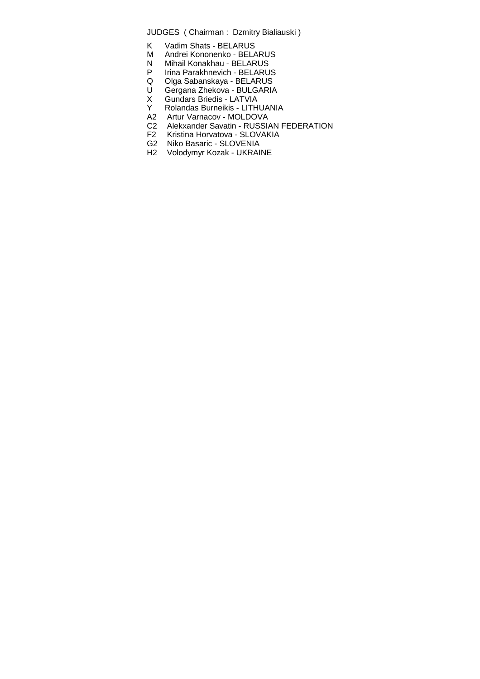- K Vadim Shats BELARUS
- M Andrei Kononenko BELARUS
- N Mihail Konakhau BELARUS<br>P Irina Parakhnevich BELARU
- P Irina Parakhnevich BELARUS<br>Q Olga Sabanskaya BELARUS
- Q Olga Sabanskaya BELARUS
- U Gergana Zhekova BULGARIA
- X Gundars Briedis LATVIA<br>Y Rolandas Burneikis LITH
- Rolandas Burneikis LITHUANIA
- A2 Artur Varnacov MOLDOVA<br>C2 Alekxander Savatin RUSSI
- C2 Alekxander Savatin RUSSIAN FEDERATION<br>F2 Kristina Horvatova SLOVAKIA
- Kristina Horvatova SLOVAKIA
- G2 Niko Basaric SLOVENIA
- H2 Volodymyr Kozak UKRAINE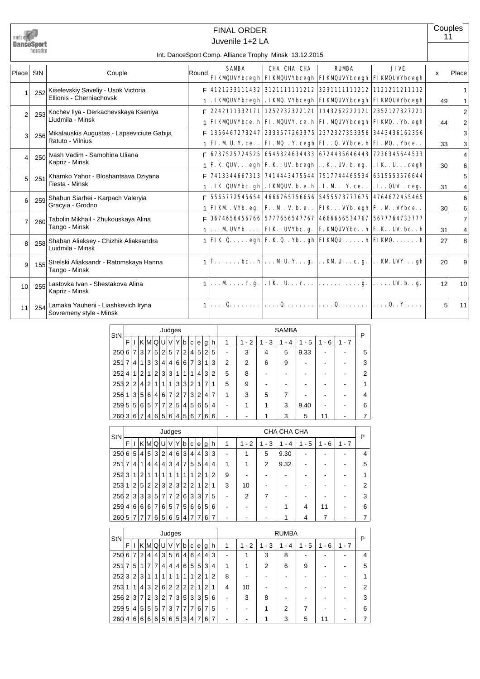

# Juvenile 1+2 LA FINAL ORDER

**Couples** 11

#### Int. DanceSport Comp. Alliance Trophy Minsk 13.12.2015

| Place StN       |     | Couple                                                        | Roundl | <b>SAMBA</b> | CHA CHA CHA                                                              | <b>RIMRA</b> | <b>JIVE</b>                                                                                                                                                                                                                                                                                                                                                                                                                                                                                                      | X              | Place          |
|-----------------|-----|---------------------------------------------------------------|--------|--------------|--------------------------------------------------------------------------|--------------|------------------------------------------------------------------------------------------------------------------------------------------------------------------------------------------------------------------------------------------------------------------------------------------------------------------------------------------------------------------------------------------------------------------------------------------------------------------------------------------------------------------|----------------|----------------|
|                 |     |                                                               |        |              | <b>FIKMQUVYbcegh FIKMQUVYbcegh FIKMQUVYbcegh FIKMQUVYbcegh</b>           |              |                                                                                                                                                                                                                                                                                                                                                                                                                                                                                                                  |                |                |
|                 |     | 252 Kiselevskiy Saveliy - Usok Victoria                       | F.     |              | 4121233111432   3121111111212   3231111111212   1121211211112            |              |                                                                                                                                                                                                                                                                                                                                                                                                                                                                                                                  |                |                |
|                 |     | Ellionis - Cherniachovsk                                      |        |              | . IKMQUVYbcegh . IKMQ. VYbcegh FIKMQUVYbcegh FIKMQUVYbcegh               |              |                                                                                                                                                                                                                                                                                                                                                                                                                                                                                                                  | 49             |                |
| $\mathfrak{p}$  |     | 253 Kochev Ilya - Derkachevskaya Kseniya                      | F.     |              | 2242111332171   1252232322121   1143262222121   2352127327221            |              |                                                                                                                                                                                                                                                                                                                                                                                                                                                                                                                  |                | $\overline{2}$ |
|                 |     | Liudmila - Minsk                                              |        |              | <b>FIKMQUVYbce.</b> h FI. MQUVY. ce. h FI. MQUVYbcegh FIKMQ. . Yb. egh   |              |                                                                                                                                                                                                                                                                                                                                                                                                                                                                                                                  | 44             | 2              |
| 3               |     | 256 Mikalauskis Augustas - Lapseviciute Gabija                |        |              |                                                                          |              | 1356467273247 2333577263375 2372327353356 3443436162356                                                                                                                                                                                                                                                                                                                                                                                                                                                          |                | 3              |
|                 |     | Ratuto - Vilnius                                              |        |              | FI. M U. Y. ce. .   FI. M. Y. cegh  FI. . Q. VYbce. h  FI. M. . Ybce. .  |              |                                                                                                                                                                                                                                                                                                                                                                                                                                                                                                                  | 33             | 3              |
| $\overline{A}$  |     | 250 Ivash Vadim - Samohina Uliana                             |        |              | F 6737525724525 6545324634433 6724435646443 7236345644533                |              |                                                                                                                                                                                                                                                                                                                                                                                                                                                                                                                  |                | 4              |
|                 |     | Kapriz - Minsk                                                |        |              | F. K. QUV egh  F. K. . UV. bcegh  K. . UV. b. eg.   . IK. . U cegh       |              |                                                                                                                                                                                                                                                                                                                                                                                                                                                                                                                  | 30             | 6              |
| 5               | 251 | Khamko Yahor - Bloshantsava Dziyana                           | F.     |              | 7413344667313 7414443475544 7517744465534 6515553576644                  |              |                                                                                                                                                                                                                                                                                                                                                                                                                                                                                                                  |                | 5              |
|                 |     | Fiesta - Minsk                                                |        |              | . IK QUVIbc. gh . IKMQUV. b. e. h . I. M Y. ce. . $ $ . I. . QUV. . ceg. |              |                                                                                                                                                                                                                                                                                                                                                                                                                                                                                                                  | 31             | 4              |
| 6               |     | 259 Shahun Siarhei - Karpach Valeryia                         | F      |              | 5565772545654 4666765756656 5455573777675 4764672455465                  |              |                                                                                                                                                                                                                                                                                                                                                                                                                                                                                                                  |                | 6              |
|                 |     | Gracyia - Grodno                                              |        |              | FIKM . VYb. eg. $ F.M.V.b.e. .   FIK VYb. egh   F. . M. VYbce. .$        |              |                                                                                                                                                                                                                                                                                                                                                                                                                                                                                                                  | 30             | 6              |
| $\overline{7}$  | 260 | Tabolin Mikhail - Zhukouskaya Alina                           | F      |              | 3674656456766   5777656547767   4666656534767   5677764733777            |              |                                                                                                                                                                                                                                                                                                                                                                                                                                                                                                                  |                | 7              |
|                 |     | Tango - Minsk                                                 |        |              | $\{ \ldots, M$ UVYb   FIK. UVYbc. g.   F. KMQUVYbch   F. K. UV. bch      |              |                                                                                                                                                                                                                                                                                                                                                                                                                                                                                                                  | 31             | 4              |
| 8               |     | 258 Shaban Aliaksey - Chizhik Aliaksandra<br>Luidmila - Minsk |        |              |                                                                          |              | $\uparrow$ FIK Q egh F. K. QYbgh FIKMQUh FIKMQh                                                                                                                                                                                                                                                                                                                                                                                                                                                                  | 27             | 8              |
| $\vert$         |     | 155 Strelski Aliaksandr - Ratomskaya Hanna<br>Tango - Minsk   |        |              |                                                                          |              | $\mathbf{1} \times \mathbf{1} \times \mathbf{1} \times \mathbf{1} \times \mathbf{1} \times \mathbf{1} \times \mathbf{1} \times \mathbf{1} \times \mathbf{1} \times \mathbf{1} \times \mathbf{1} \times \mathbf{1} \times \mathbf{1} \times \mathbf{1} \times \mathbf{1} \times \mathbf{1} \times \mathbf{1} \times \mathbf{1} \times \mathbf{1} \times \mathbf{1} \times \mathbf{1} \times \mathbf{1} \times \mathbf{1} \times \mathbf{1} \times \mathbf{1} \times \mathbf{1} \times \mathbf{1} \times \mathbf{$ | 20             | 9              |
| 10 <sup>1</sup> |     | 255 Lastovka Ivan - Shestakova Alina<br>Kapriz - Minsk        |        |              | $1    M  c. g.   . IK. U  c     g.    UV.b g.$                           |              |                                                                                                                                                                                                                                                                                                                                                                                                                                                                                                                  | 12             | 10             |
| 11              | 254 | Lamaka Yauheni - Liashkevich Iryna<br>Sovremeny style - Minsk |        |              | 1 $\mathbf{Q}$   $\mathbf{Q}$   $\mathbf{Q}$   $\mathbf{Q}$              |              |                                                                                                                                                                                                                                                                                                                                                                                                                                                                                                                  | 5 <sup>1</sup> | 11             |

| StN   |                |   |                |                |   | Judges         |                |                |   |                |   |                |    |                |                |                                    | <b>SAMBA</b> |                               |           |         | P |
|-------|----------------|---|----------------|----------------|---|----------------|----------------|----------------|---|----------------|---|----------------|----|----------------|----------------|------------------------------------|--------------|-------------------------------|-----------|---------|---|
|       | F              |   |                | KMI            | Q | U              | V              | Y              | b | c              | e | g              | h. | 1              | $-2$           | 3<br>1<br>$\overline{\phantom{a}}$ | 4<br>٠       | 5<br>$\overline{\phantom{a}}$ | - 6<br>1. | $1 - 7$ |   |
| 250   | 6              | 7 | 3              | 7              | 5 | $\overline{2}$ | 5              | 7              | 2 | 4              | 5 | $\overline{2}$ | 5  |                | 3              | 4                                  | 5            | 9.33                          |           |         | 5 |
| 251   | 7              | 4 | 1              | 3              | 3 | 4              | 4              | 6              | 6 | $\overline{7}$ | 3 | 1 <sub>1</sub> | 3  | $\overline{2}$ | $\overline{2}$ | 6                                  | 9            | ۰                             |           |         | 3 |
| 252   | 4              | 1 | $\overline{2}$ | 1              | 2 | 3              | 3              | 1              | 1 | 1              | 4 | 3              | 2  | 5              | 8              |                                    |              | ۰                             |           |         | 2 |
| 253 2 |                | 2 | 4              | $\overline{2}$ | 1 | 1              | 1              | 3              | 3 | 2              | 1 | 7              |    | 5              | 9              |                                    |              |                               |           |         | 1 |
| 256   | 1 <sub>1</sub> | 3 | 5              | 6              | 4 | 6              | $\overline{7}$ | $\overline{2}$ | 7 | 3              | 2 | 4              | 7  | 1              | 3              | 5                                  | 7            | ۰                             |           |         | 4 |
| 259   | 5              | 5 | 6              | 5              | 7 | 7              | $\overline{2}$ | 5              | 4 | 5              | 6 | 5              | 4  |                | 1              | 1                                  | 3            | 9.40                          |           |         | 6 |
| 260 3 |                | 6 | $\overline{7}$ | 4              | 6 | 5              | 6              | 4              | 5 | 6              |   | 6              | 6  |                |                |                                    | 3            | 5                             | 11        |         |   |

|       |                |                |                |                |                | Judges         |                |                |                |                |                |                |   |   | CHA CHA CHA    |                |           |         |         |         |   |  |
|-------|----------------|----------------|----------------|----------------|----------------|----------------|----------------|----------------|----------------|----------------|----------------|----------------|---|---|----------------|----------------|-----------|---------|---------|---------|---|--|
| StN   | F              |                |                |                |                | KMQUV          |                | Υ              | b              | C              | e l            | g              | h |   | $-2$<br>1      | $1 - 3$        | $-4$<br>1 | $1 - 5$ | $1 - 6$ | $1 - 7$ | P |  |
| 250   | 6              | 5              | $\vert$        | 5 <sup>1</sup> | 3              | 2              | 4              | 6              | 3              | 4 <sup>1</sup> | 4 <sup>1</sup> | 3              | 3 |   |                | 5              | 9.30      |         |         |         | 4 |  |
| 251   | $\overline{7}$ | 4              | 1              | 4              | $\overline{4}$ | 4              | 3              | 4              | $\overline{7}$ | 5 <sup>1</sup> | 5 <sup>1</sup> | 4              | 4 | 1 | 1              | $\overline{2}$ | 9.32      | -       |         |         | 5 |  |
| 252   | 3              | 1              | 2              | 1              | 1              | 1              | 1              | 1              | 1              | 1 <sup>1</sup> | 2 <sub>1</sub> |                | 2 | 9 |                |                |           |         |         |         |   |  |
| 253   | 1              | $\overline{2}$ | 5 <sup>1</sup> | 2 <sup>1</sup> | 2              | 3              | 2 <sub>1</sub> | 3              | $\overline{2}$ | 2 <sup>1</sup> | 1 <sup>1</sup> | $\overline{2}$ | 1 | 3 | 10             |                |           |         |         |         | 2 |  |
| 256   | 2              | 3              | $\overline{3}$ | 3              | 5              | $\overline{7}$ | $\overline{7}$ | 2              | 6              | 3              | 3              | 7              | 5 |   | $\overline{2}$ |                |           |         |         |         | 3 |  |
| 259   | 4              | 6              | $6 \mid$       | $6 \mid$       | $\overline{7}$ | 6              | 5              | $\overline{7}$ | $5^{\circ}$    | 6              | 6              | 5              | 6 |   |                |                |           | 4       | 11      |         | 6 |  |
| 260 5 |                | 7              | $\overline{7}$ | 7              | 6              | 5              | 6              | 5              | $\vert$        | $\mathsf{7}$   |                | 6              | 7 |   |                |                |           | 4       |         |         |   |  |

| StN   |                |                |                |                 |                |   |                | Judges         |                |   |   |   |   |   | <b>RUMBA</b> |                               |                     |                                    |         |         |   |
|-------|----------------|----------------|----------------|-----------------|----------------|---|----------------|----------------|----------------|---|---|---|---|---|--------------|-------------------------------|---------------------|------------------------------------|---------|---------|---|
|       | F              |                |                | KIMIQI          |                | U | V              | Y              | b              | C | e | g | h | 1 | $-2$<br>1    | 3<br>$\overline{\phantom{a}}$ | 4<br>$\blacksquare$ | 5<br>1<br>$\overline{\phantom{a}}$ | $1 - 6$ | $1 - 7$ | P |
| 250 6 |                | 7              | 2 <sub>1</sub> | $\vert 4 \vert$ | 4              | 3 | 5 <sup>1</sup> | 6              | 4              | 6 | 4 | 4 | 3 |   |              | 3                             | 8                   |                                    |         |         | 4 |
| 251   | 7              | 5              | 1              | $\overline{7}$  | $\overline{7}$ | 4 | 4'             | $\overline{4}$ | 6              | 5 | 5 | 3 | 4 | 1 |              | 2                             | 6                   | 9                                  |         |         | 5 |
| 252   | 3              | $\overline{2}$ | 3              | $\mathbf{1}$    | 1              | 1 | 1              | 1              |                | 1 | 2 |   | 2 | 8 |              |                               |                     |                                    |         |         |   |
| 253   | 1              | 1              | 4              | 3               | 2              | 6 | 2 <sup>1</sup> | 21             | $\overline{2}$ | 2 | 1 | 2 |   | 4 | 10           |                               |                     |                                    |         |         | 2 |
| 256   | 2 <sup>1</sup> | 3 <sup>1</sup> | $\overline{7}$ | 2 <sub>1</sub>  | 3              | 2 | $\overline{7}$ | 3              | 5              | 3 | 3 | 5 | 6 |   | 3            | 8                             |                     |                                    |         |         | 3 |
| 259   | 5              | 4 <sup>1</sup> | 5 <sup>1</sup> | 5 <sup>1</sup>  | 5              | 7 | 3 <sup>1</sup> | 7              | 7              | 7 | 6 | 7 | 5 |   |              |                               | $\overline{2}$      | 7                                  |         |         | 6 |
| 260   | 41             | 6              | 6              | 6               | 6              | 5 | 6              | $5^{\circ}$    | 3              | 4 |   | 6 |   |   |              |                               | 3                   | 5                                  | 11      |         |   |